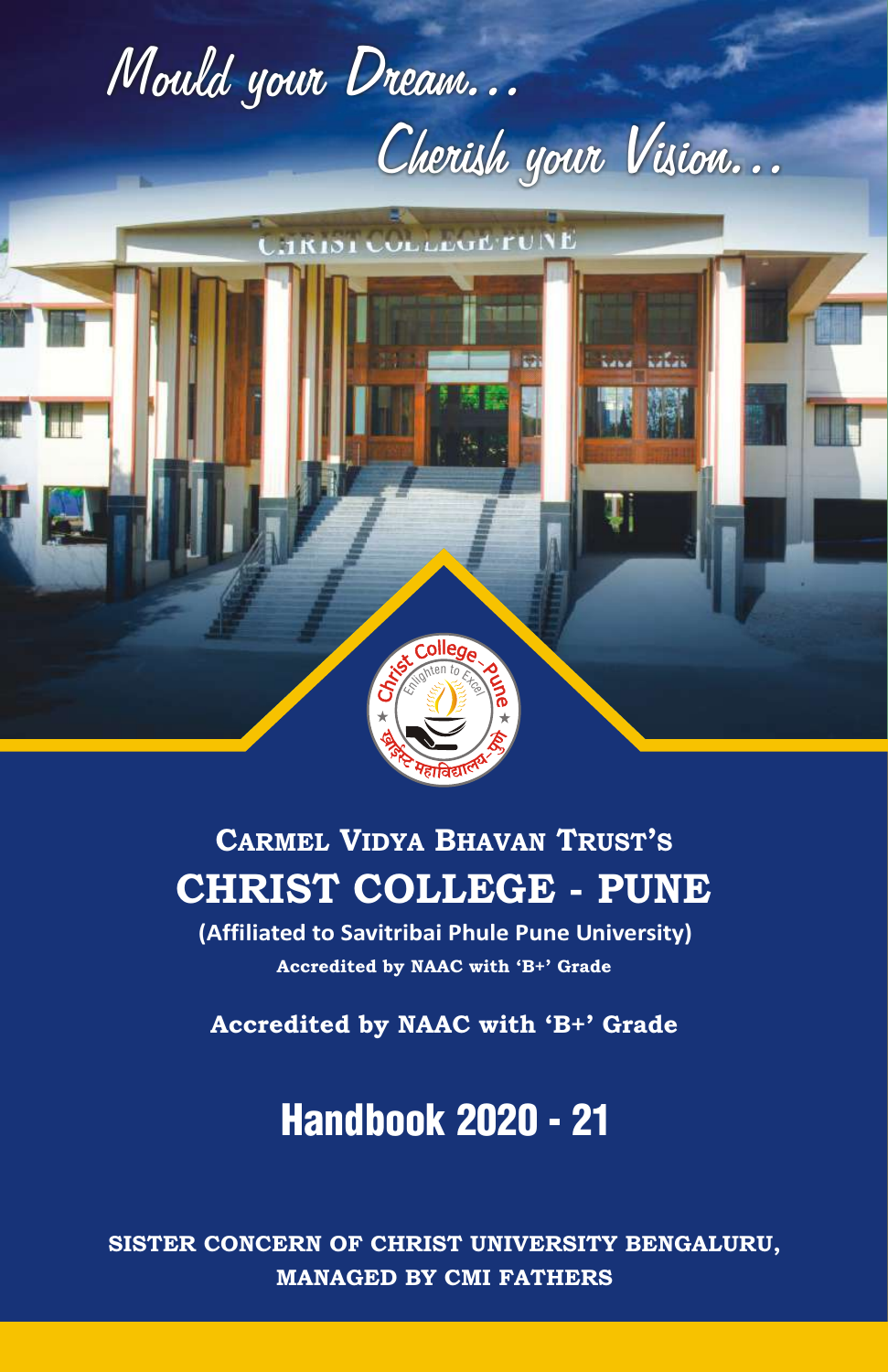



# CHRIST COLLEGE - PUNE CARMEL VIDYA BHAVAN TRUST'S

**(Affiliated to Savitribai Phule Pune University)** Accredited by NAAC with 'B+' Grade

Accredited by NAAC with 'B+' Grade

# Handbook 2020 - 21

SISTER CONCERN OF CHRIST UNIVERSITY BENGALURU, MANAGED BY CMI FATHERS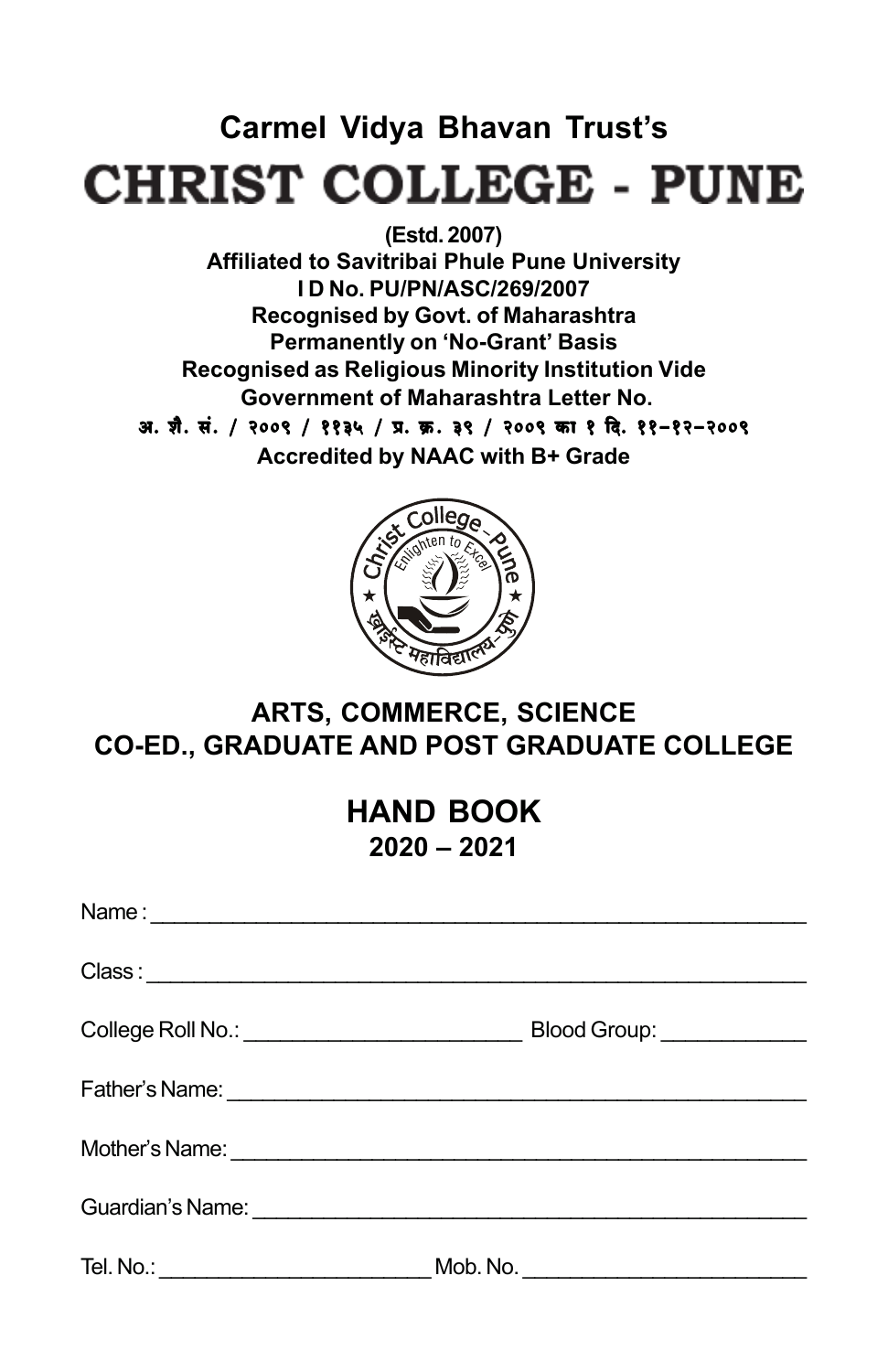# **Carmel Vidya Bhavan Trust's CHRIST COLLEGE - PUNE**

**(Estd. 2007) Affiliated to Savitribai Phule Pune University I D No. PU/PN/ASC/269/2007 Recognised by Govt. of Maharashtra Permanently on 'No-Grant' Basis Recognised as Religious Minority Institution Vide Government of Maharashtra Letter No.** 31. शै. सं. / २००९ / ११३५ / प्र. क्र. ३९ / २००९ का १ दि. ११-१२-२००९ **Accredited by NAAC with B+ Grade**



### **ARTS, COMMERCE, SCIENCE CO-ED., GRADUATE AND POST GRADUATE COLLEGE**

### **HAND BOOK 2020 – 2021**

| Blood Group: ______________ |
|-----------------------------|
|                             |
|                             |
|                             |
|                             |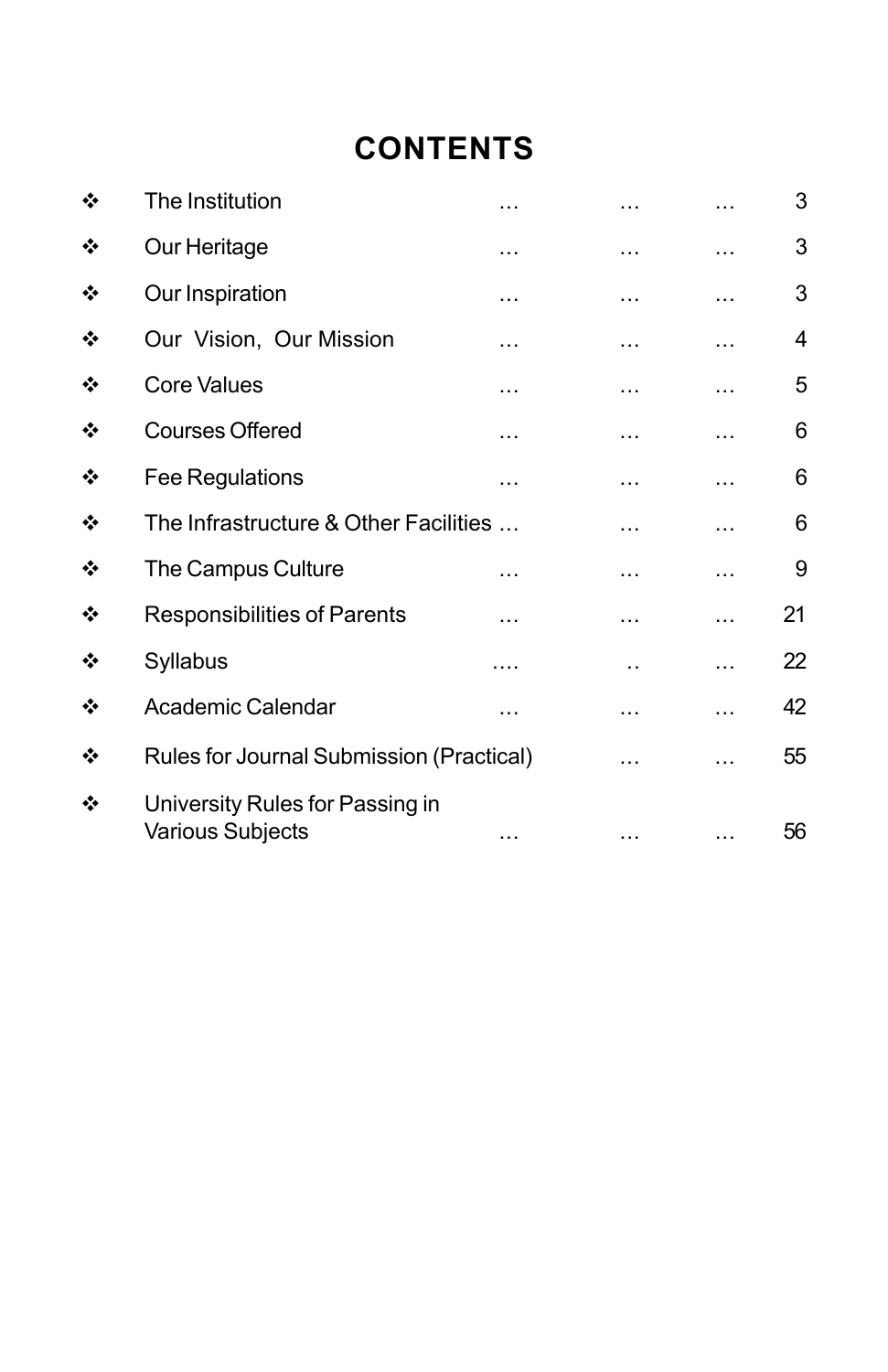# **CONTENTS**

| ❖ | The Institution                                     | .        | .        |   | 3  |
|---|-----------------------------------------------------|----------|----------|---|----|
| ❖ | Our Heritage                                        | $\cdots$ | .        | . | 3  |
| ❖ | Our Inspiration                                     | $\cdots$ | .        | . | 3  |
| ❖ | Our Vision, Our Mission                             |          | .        |   | 4  |
| ❖ | <b>Core Values</b>                                  | .        | .        | . | 5  |
| ❖ | <b>Courses Offered</b>                              | $\cdots$ | .        | . | 6  |
| ❖ | Fee Regulations                                     | .        | .        | . | 6  |
| ❖ | The Infrastructure & Other Facilities               |          | .        | . | 6  |
| ❖ | The Campus Culture                                  |          | .        |   | 9  |
| ❖ | <b>Responsibilities of Parents</b>                  |          | .        |   | 21 |
| ❖ | Syllabus                                            | .        | . .      | . | 22 |
| ❖ | Academic Calendar                                   | .        | $\cdots$ | . | 42 |
| ❖ | Rules for Journal Submission (Practical)            |          | .        |   | 55 |
| ❖ | University Rules for Passing in<br>Various Subjects |          |          |   | 56 |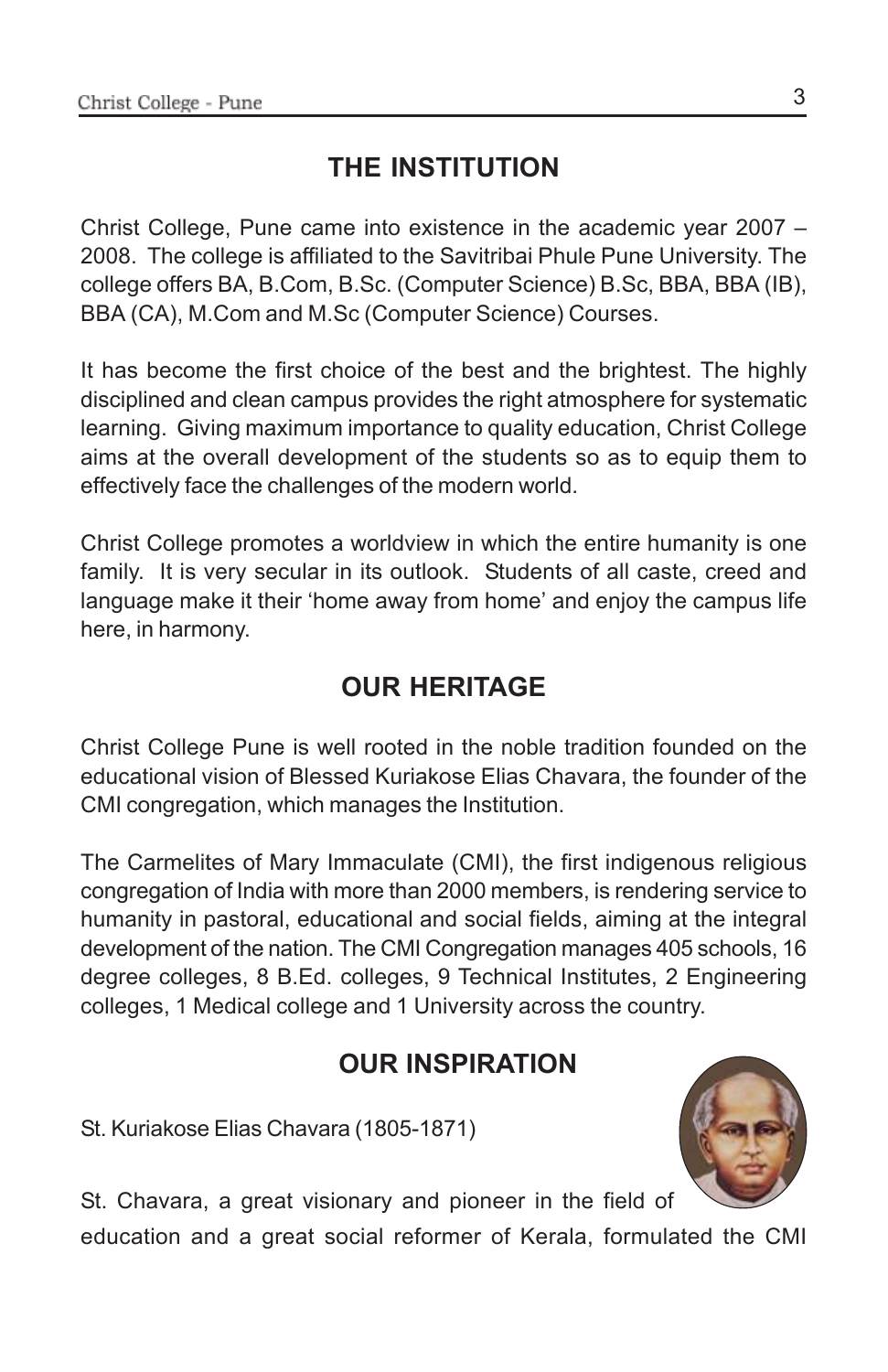### **THE INSTITUTION**

Christ College, Pune came into existence in the academic year 2007 – 2008. The college is affiliated to the Savitribai Phule Pune University. The college offers BA, B.Com, B.Sc. (Computer Science) B.Sc, BBA, BBA (IB), BBA (CA), M.Com and M.Sc (Computer Science) Courses.

It has become the first choice of the best and the brightest. The highly disciplined and clean campus provides the right atmosphere for systematic learning. Giving maximum importance to quality education, Christ College aims at the overall development of the students so as to equip them to effectively face the challenges of the modern world.

Christ College promotes a worldview in which the entire humanity is one family. It is very secular in its outlook. Students of all caste, creed and language make it their 'home away from home' and enjoy the campus life here, in harmony.

### **OUR HERITAGE**

Christ College Pune is well rooted in the noble tradition founded on the educational vision of Blessed Kuriakose Elias Chavara, the founder of the CMI congregation, which manages the Institution.

The Carmelites of Mary Immaculate (CMI), the first indigenous religious congregation of India with more than 2000 members, is rendering service to humanity in pastoral, educational and social fields, aiming at the integral development of the nation. The CMI Congregation manages 405 schools, 16 degree colleges, 8 B.Ed. colleges, 9 Technical Institutes, 2 Engineering colleges, 1 Medical college and 1 University across the country.

### **OUR INSPIRATION**

St. Kuriakose Elias Chavara (1805-1871)



St. Chavara, a great visionary and pioneer in the field of

education and a great social reformer of Kerala, formulated the CMI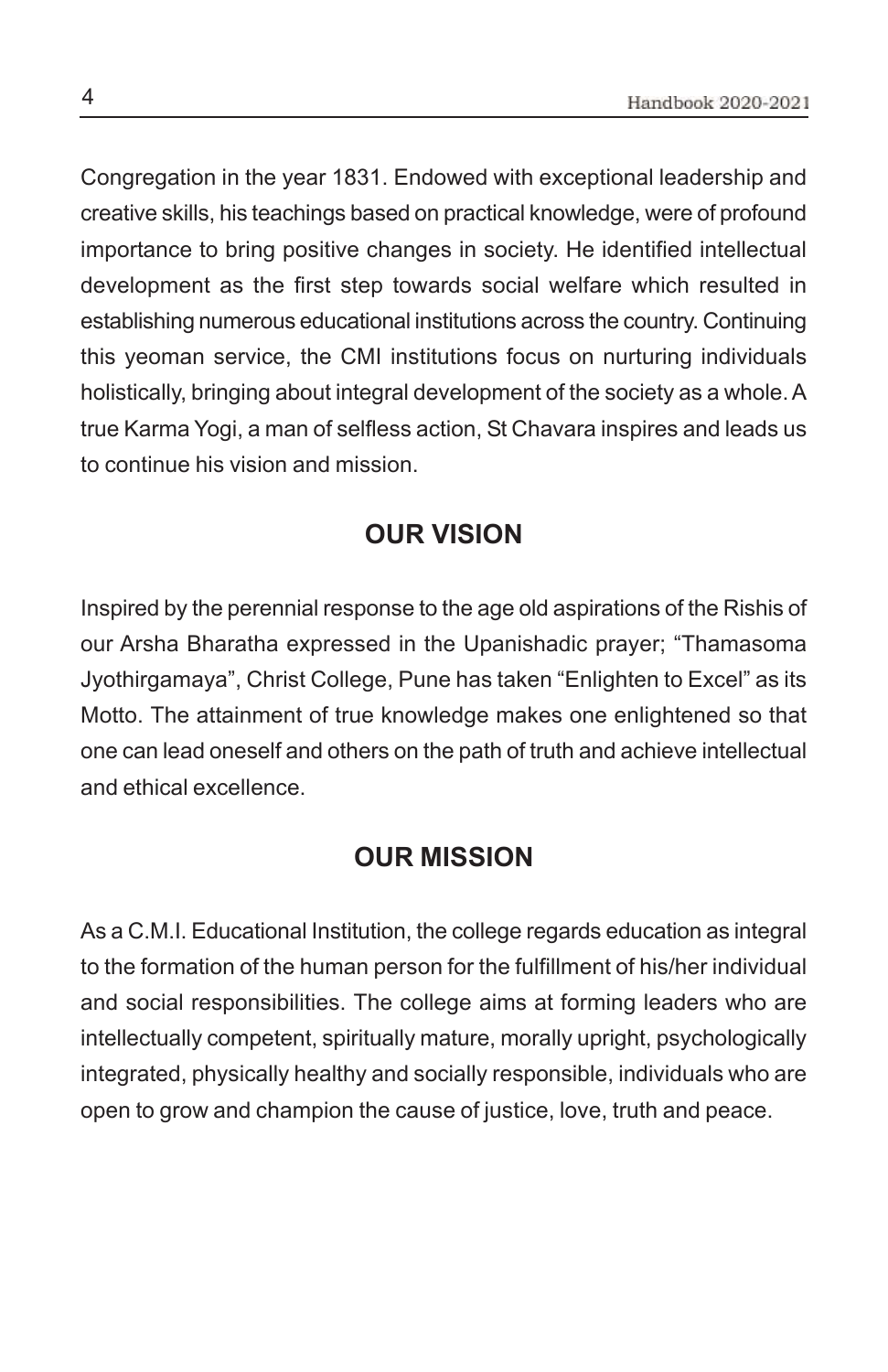Congregation in the year 1831. Endowed with exceptional leadership and creative skills, his teachings based on practical knowledge, were of profound importance to bring positive changes in society. He identified intellectual development as the first step towards social welfare which resulted in establishing numerous educational institutions across the country. Continuing this yeoman service, the CMI institutions focus on nurturing individuals holistically, bringing about integral development of the society as a whole. A true Karma Yogi, a man of selfless action, St Chavara inspires and leads us to continue his vision and mission.

### **OUR VISION**

Inspired by the perennial response to the age old aspirations of the Rishis of our Arsha Bharatha expressed in the Upanishadic prayer; "Thamasoma Jyothirgamaya", Christ College, Pune has taken "Enlighten to Excel" as its Motto. The attainment of true knowledge makes one enlightened so that one can lead oneself and others on the path of truth and achieve intellectual and ethical excellence.

### **OUR MISSION**

As a C.M.I. Educational Institution, the college regards education as integral to the formation of the human person for the fulfillment of his/her individual and social responsibilities. The college aims at forming leaders who are intellectually competent, spiritually mature, morally upright, psychologically integrated, physically healthy and socially responsible, individuals who are open to grow and champion the cause of justice, love, truth and peace.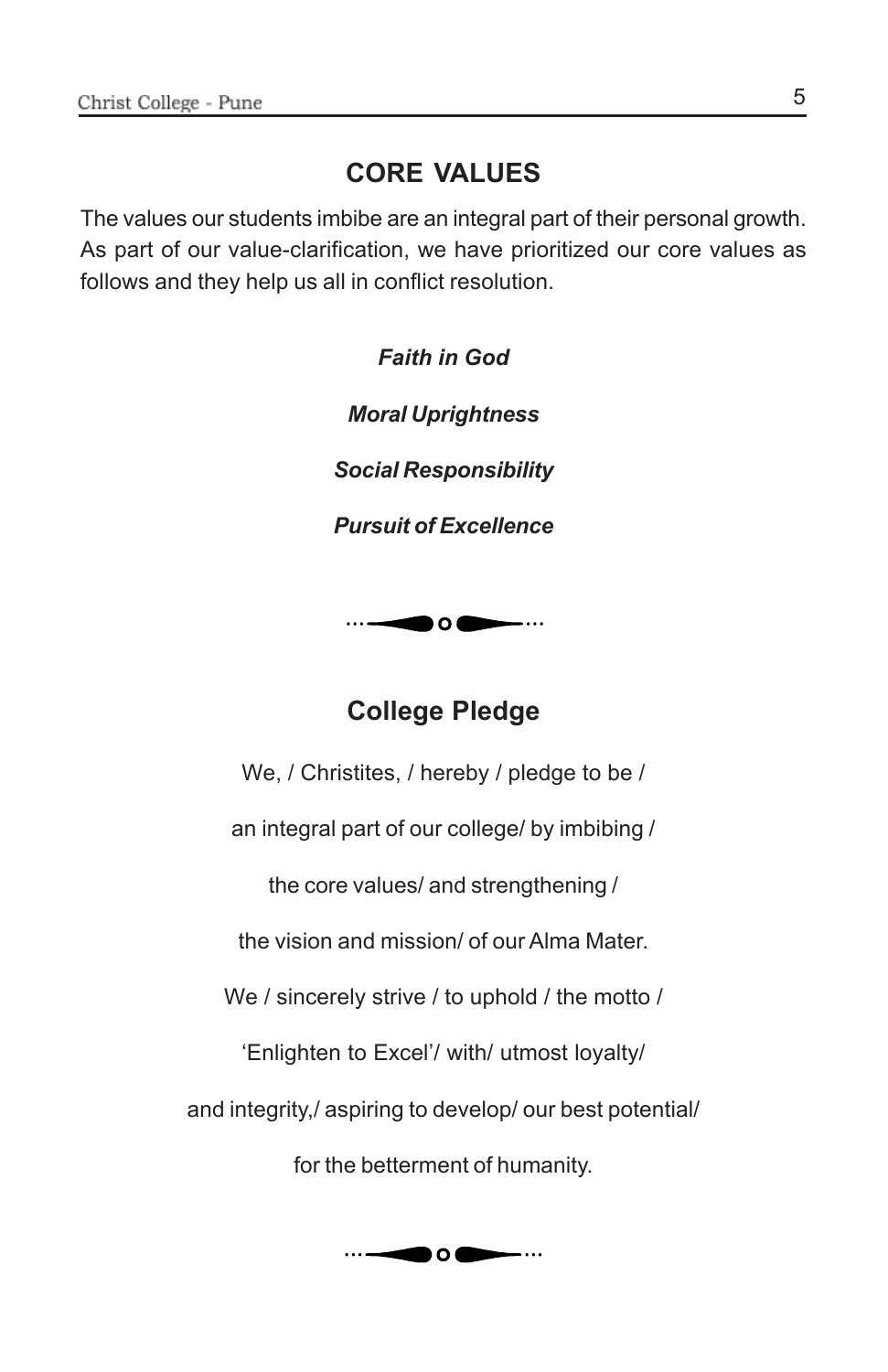### **CORE VALUES**

The values our students imbibe are an integral part of their personal growth. As part of our value-clarification, we have prioritized our core values as follows and they help us all in conflict resolution.

> *Faith in God Moral Uprightness Social Responsibility Pursuit of Excellence*



### **College Pledge**

We, / Christites, / hereby / pledge to be /

an integral part of our college/ by imbibing /

the core values/ and strengthening /

the vision and mission/ of our Alma Mater.

We / sincerely strive / to uphold / the motto /

'Enlighten to Excel'/ with/ utmost loyalty/

and integrity,/ aspiring to develop/ our best potential/

for the betterment of humanity.

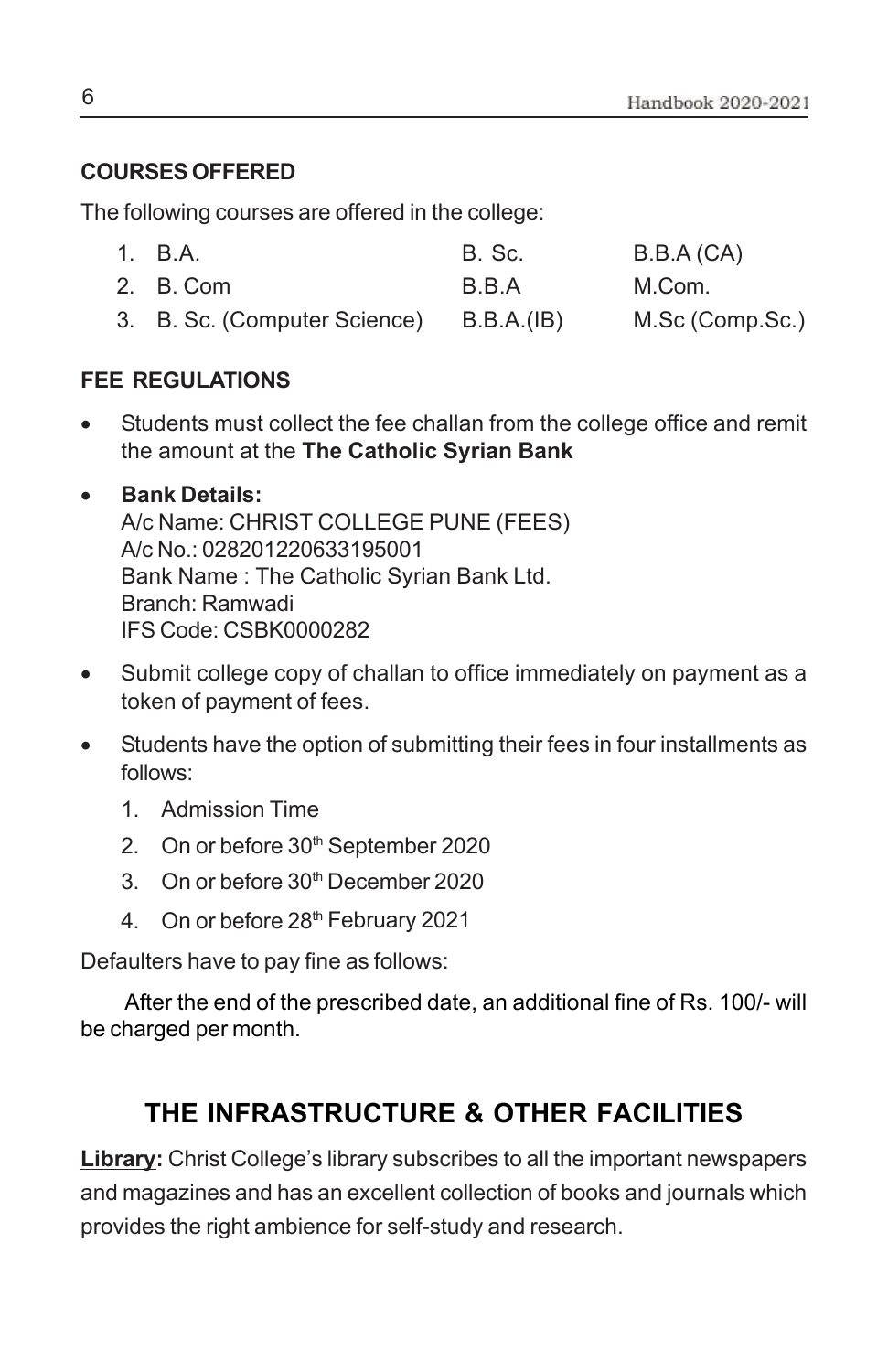### **COURSES OFFERED**

The following courses are offered in the college:

| 1. B.A.                                 | B. Sc. | B.B.A (CA)      |
|-----------------------------------------|--------|-----------------|
| 2. B. Com                               | B.B.A  | M.Com.          |
| 3. B. Sc. (Computer Science) B.B.A.(IB) |        | M.Sc (Comp.Sc.) |

### **FEE REGULATIONS**

• Students must collect the fee challan from the college office and remit the amount at the **The Catholic Syrian Bank**

### • **Bank Details:**

A/c Name: CHRIST COLLEGE PUNE (FEES) A/c No.: 028201220633195001 Bank Name : The Catholic Syrian Bank Ltd. Branch: Ramwadi IFS Code: CSBK0000282

- Submit college copy of challan to office immediately on payment as a token of payment of fees.
- Students have the option of submitting their fees in four installments as follows:
	- 1. Admission Time
	- 2. On or before 30<sup>th</sup> September 2020
	- 3. On or before 30th December 2020
	- 4. On or before 28<sup>th</sup> February 2021

Defaulters have to pay fine as follows:

 After the end of the prescribed date, an additional fine of Rs. 100/- will be charged per month.

### **THE INFRASTRUCTURE & OTHER FACILITIES**

**Library:** Christ College's library subscribes to all the important newspapers and magazines and has an excellent collection of books and journals which provides the right ambience for self-study and research.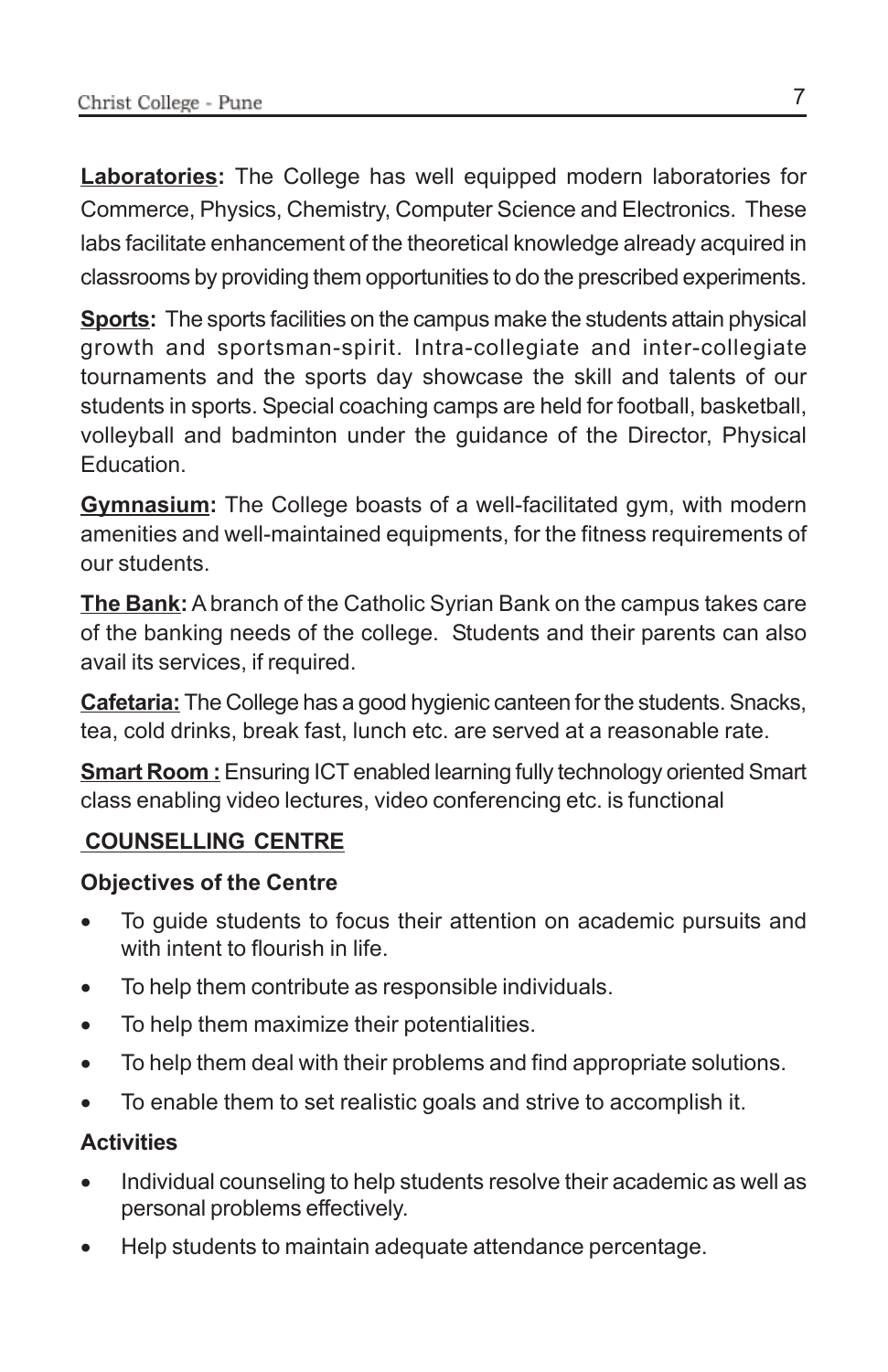**Laboratories:** The College has well equipped modern laboratories for Commerce, Physics, Chemistry, Computer Science and Electronics. These labs facilitate enhancement of the theoretical knowledge already acquired in classrooms by providing them opportunities to do the prescribed experiments.

**Sports:** The sports facilities on the campus make the students attain physical growth and sportsman-spirit. Intra-collegiate and inter-collegiate tournaments and the sports day showcase the skill and talents of our students in sports. Special coaching camps are held for football, basketball, volleyball and badminton under the guidance of the Director, Physical Education.

**Gymnasium:** The College boasts of a well-facilitated gym, with modern amenities and well-maintained equipments, for the fitness requirements of our students.

**The Bank:** A branch of the Catholic Syrian Bank on the campus takes care of the banking needs of the college. Students and their parents can also avail its services, if required.

**Cafetaria:** The College has a good hygienic canteen for the students. Snacks, tea, cold drinks, break fast, lunch etc. are served at a reasonable rate.

**Smart Room :** Ensuring ICT enabled learning fully technology oriented Smart class enabling video lectures, video conferencing etc. is functional

### **COUNSELLING CENTRE**

### **Objectives of the Centre**

- To guide students to focus their attention on academic pursuits and with intent to flourish in life.
- To help them contribute as responsible individuals.
- To help them maximize their potentialities.
- To help them deal with their problems and find appropriate solutions.
- To enable them to set realistic goals and strive to accomplish it.

### **Activities**

- Individual counseling to help students resolve their academic as well as personal problems effectively.
- Help students to maintain adequate attendance percentage.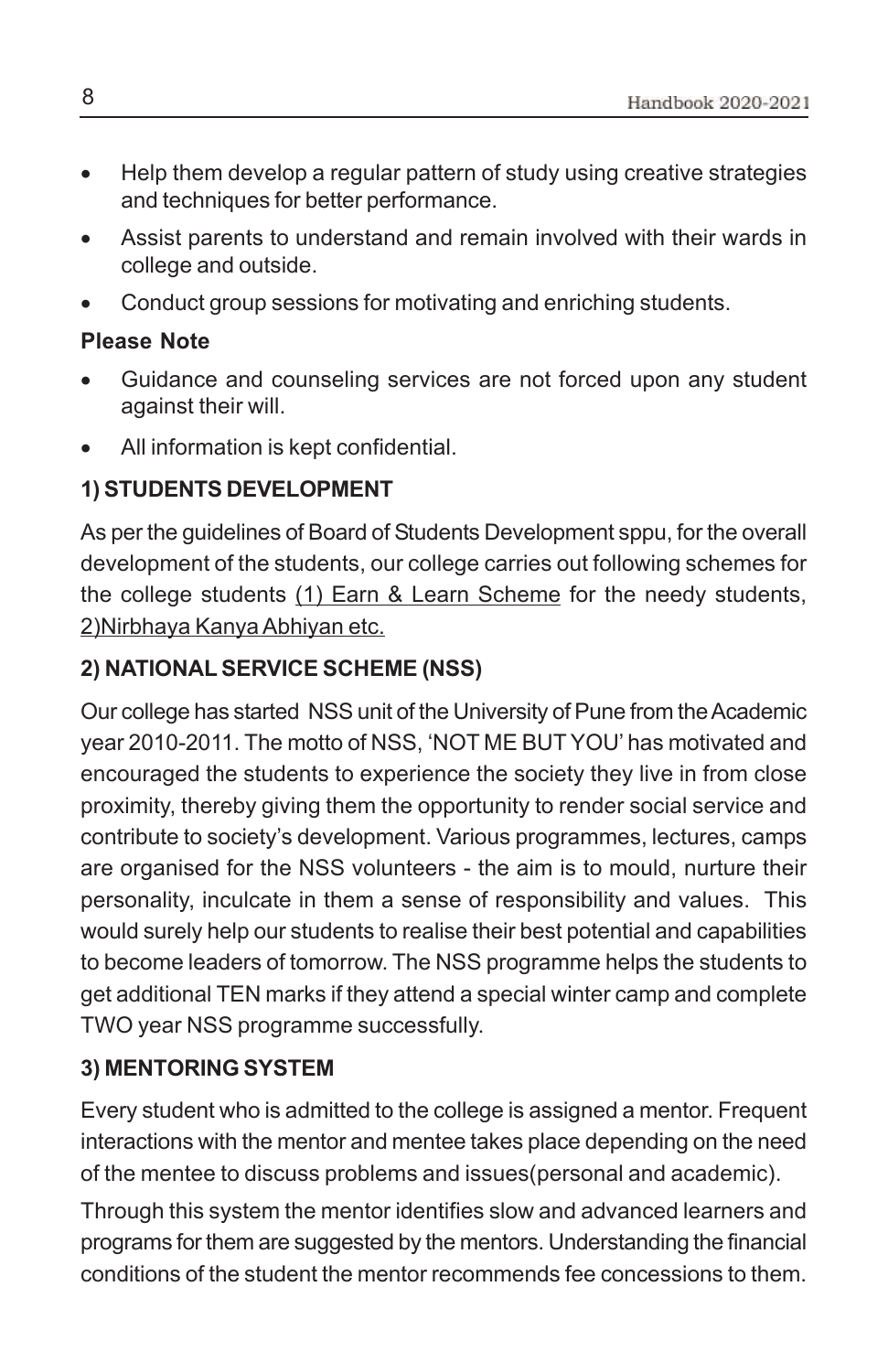- Help them develop a regular pattern of study using creative strategies and techniques for better performance.
- Assist parents to understand and remain involved with their wards in college and outside.
- Conduct group sessions for motivating and enriching students.

### **Please Note**

- Guidance and counseling services are not forced upon any student against their will.
- All information is kept confidential.

### **1) STUDENTS DEVELOPMENT**

As per the guidelines of Board of Students Development sppu, for the overall development of the students, our college carries out following schemes for the college students (1) Earn & Learn Scheme for the needy students, 2)Nirbhaya Kanya Abhiyan etc.

### **2) NATIONAL SERVICE SCHEME (NSS)**

Our college has started NSS unit of the University of Pune from the Academic year 2010-2011. The motto of NSS, 'NOT ME BUT YOU' has motivated and encouraged the students to experience the society they live in from close proximity, thereby giving them the opportunity to render social service and contribute to society's development. Various programmes, lectures, camps are organised for the NSS volunteers - the aim is to mould, nurture their personality, inculcate in them a sense of responsibility and values. This would surely help our students to realise their best potential and capabilities to become leaders of tomorrow. The NSS programme helps the students to get additional TEN marks if they attend a special winter camp and complete TWO year NSS programme successfully.

### **3) MENTORING SYSTEM**

Every student who is admitted to the college is assigned a mentor. Frequent interactions with the mentor and mentee takes place depending on the need of the mentee to discuss problems and issues(personal and academic).

Through this system the mentor identifies slow and advanced learners and programs for them are suggested by the mentors. Understanding the financial conditions of the student the mentor recommends fee concessions to them.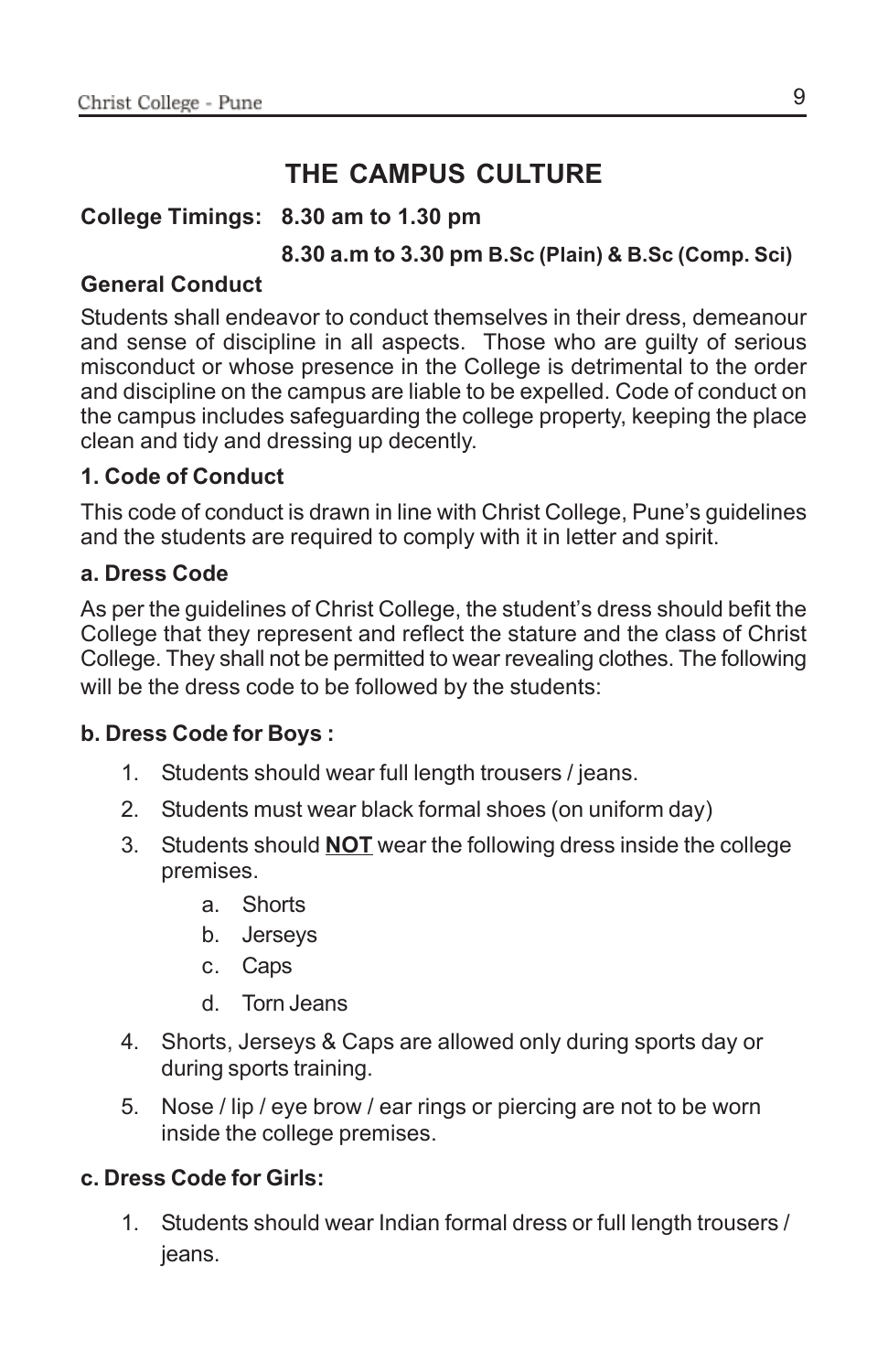### **THE CAMPUS CULTURE**

### **College Timings: 8.30 am to 1.30 pm**

### **8.30 a.m to 3.30 pm B.Sc (Plain) & B.Sc (Comp. Sci)**

### **General Conduct**

Students shall endeavor to conduct themselves in their dress, demeanour and sense of discipline in all aspects. Those who are guilty of serious misconduct or whose presence in the College is detrimental to the order and discipline on the campus are liable to be expelled. Code of conduct on the campus includes safeguarding the college property, keeping the place clean and tidy and dressing up decently.

### **1. Code of Conduct**

This code of conduct is drawn in line with Christ College, Pune's guidelines and the students are required to comply with it in letter and spirit.

### **a. Dress Code**

As per the guidelines of Christ College, the student's dress should befit the College that they represent and reflect the stature and the class of Christ College. They shall not be permitted to wear revealing clothes. The following will be the dress code to be followed by the students:

### **b. Dress Code for Boys :**

- 1. Students should wear full length trousers / jeans.
- 2. Students must wear black formal shoes (on uniform day)
- 3. Students should **NOT** wear the following dress inside the college premises.
	- a. Shorts
	- b. Jerseys
	- c. Caps
	- d. Torn Jeans
- 4. Shorts, Jerseys & Caps are allowed only during sports day or during sports training.
- 5. Nose / lip / eye brow / ear rings or piercing are not to be worn inside the college premises.

### **c. Dress Code for Girls:**

1. Students should wear Indian formal dress or full length trousers / jeans.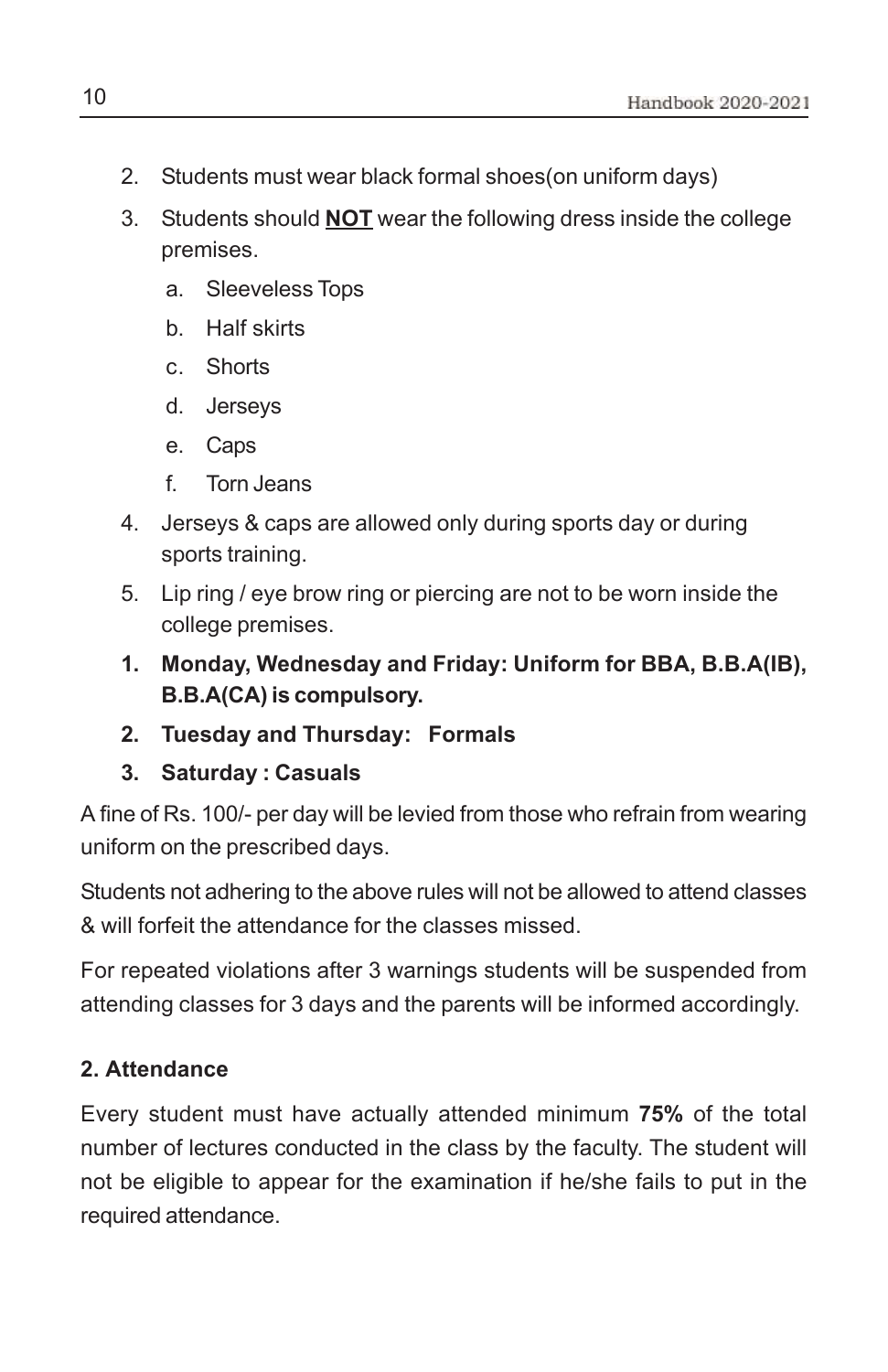- 2. Students must wear black formal shoes(on uniform days)
- 3. Students should **NOT** wear the following dress inside the college premises.
	- a. Sleeveless Tops
	- b. Half skirts
	- c. Shorts
	- d. Jerseys
	- e. Caps
	- f. Torn Jeans
- 4. Jerseys & caps are allowed only during sports day or during sports training.
- 5. Lip ring / eye brow ring or piercing are not to be worn inside the college premises.
- **1. Monday, Wednesday and Friday: Uniform for BBA, B.B.A(IB), B.B.A(CA) is compulsory.**
- **2. Tuesday and Thursday: Formals**
- **3. Saturday : Casuals**

A fine of Rs. 100/- per day will be levied from those who refrain from wearing uniform on the prescribed days.

Students not adhering to the above rules will not be allowed to attend classes & will forfeit the attendance for the classes missed.

For repeated violations after 3 warnings students will be suspended from attending classes for 3 days and the parents will be informed accordingly.

### **2. Attendance**

Every student must have actually attended minimum **75%** of the total number of lectures conducted in the class by the faculty. The student will not be eligible to appear for the examination if he/she fails to put in the required attendance.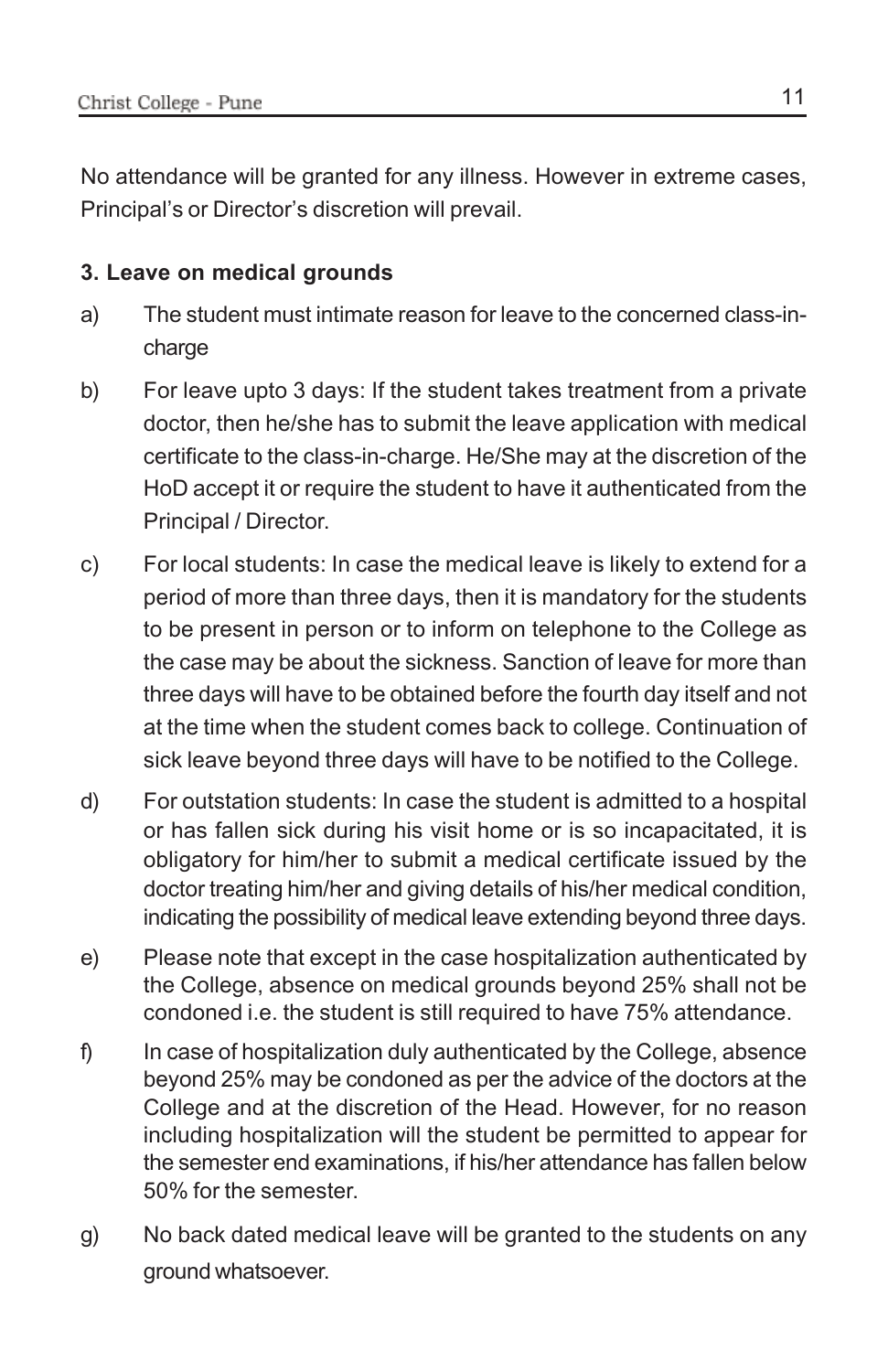No attendance will be granted for any illness. However in extreme cases, Principal's or Director's discretion will prevail.

### **3. Leave on medical grounds**

- a) The student must intimate reason for leave to the concerned class-incharge
- b) For leave upto 3 days: If the student takes treatment from a private doctor, then he/she has to submit the leave application with medical certificate to the class-in-charge. He/She may at the discretion of the HoD accept it or require the student to have it authenticated from the Principal / Director.
- c) For local students: In case the medical leave is likely to extend for a period of more than three days, then it is mandatory for the students to be present in person or to inform on telephone to the College as the case may be about the sickness. Sanction of leave for more than three days will have to be obtained before the fourth day itself and not at the time when the student comes back to college. Continuation of sick leave beyond three days will have to be notified to the College.
- d) For outstation students: In case the student is admitted to a hospital or has fallen sick during his visit home or is so incapacitated, it is obligatory for him/her to submit a medical certificate issued by the doctor treating him/her and giving details of his/her medical condition, indicating the possibility of medical leave extending beyond three days.
- e) Please note that except in the case hospitalization authenticated by the College, absence on medical grounds beyond 25% shall not be condoned i.e. the student is still required to have 75% attendance.
- f) In case of hospitalization duly authenticated by the College, absence beyond 25% may be condoned as per the advice of the doctors at the College and at the discretion of the Head. However, for no reason including hospitalization will the student be permitted to appear for the semester end examinations, if his/her attendance has fallen below 50% for the semester.
- g) No back dated medical leave will be granted to the students on any ground whatsoever.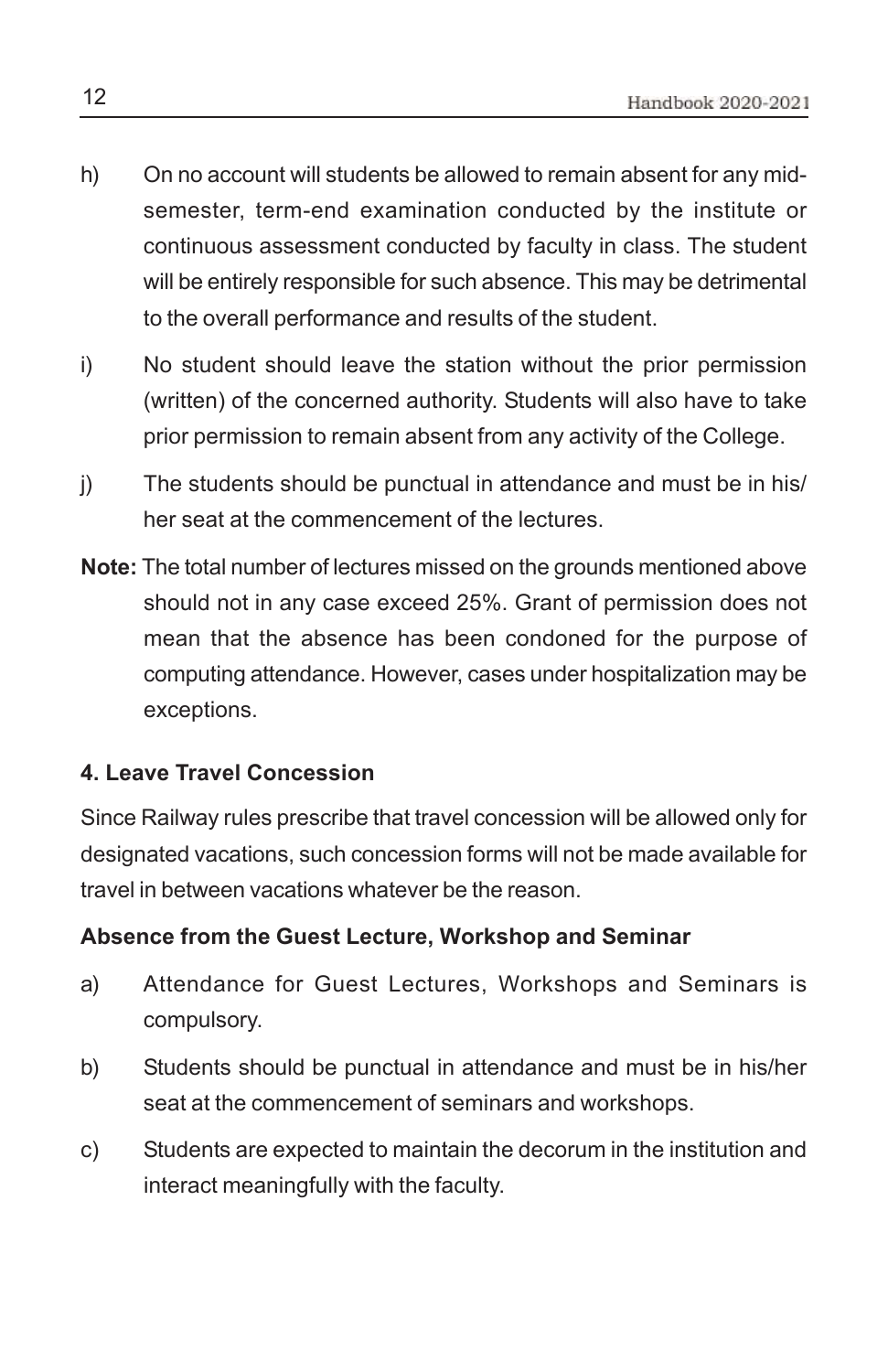- h) On no account will students be allowed to remain absent for any midsemester, term-end examination conducted by the institute or continuous assessment conducted by faculty in class. The student will be entirely responsible for such absence. This may be detrimental to the overall performance and results of the student.
- i) No student should leave the station without the prior permission (written) of the concerned authority. Students will also have to take prior permission to remain absent from any activity of the College.
- j) The students should be punctual in attendance and must be in his/ her seat at the commencement of the lectures.
- **Note:** The total number of lectures missed on the grounds mentioned above should not in any case exceed 25%. Grant of permission does not mean that the absence has been condoned for the purpose of computing attendance. However, cases under hospitalization may be exceptions.

### **4. Leave Travel Concession**

Since Railway rules prescribe that travel concession will be allowed only for designated vacations, such concession forms will not be made available for travel in between vacations whatever be the reason.

### **Absence from the Guest Lecture, Workshop and Seminar**

- a) Attendance for Guest Lectures, Workshops and Seminars is compulsory.
- b) Students should be punctual in attendance and must be in his/her seat at the commencement of seminars and workshops.
- c) Students are expected to maintain the decorum in the institution and interact meaningfully with the faculty.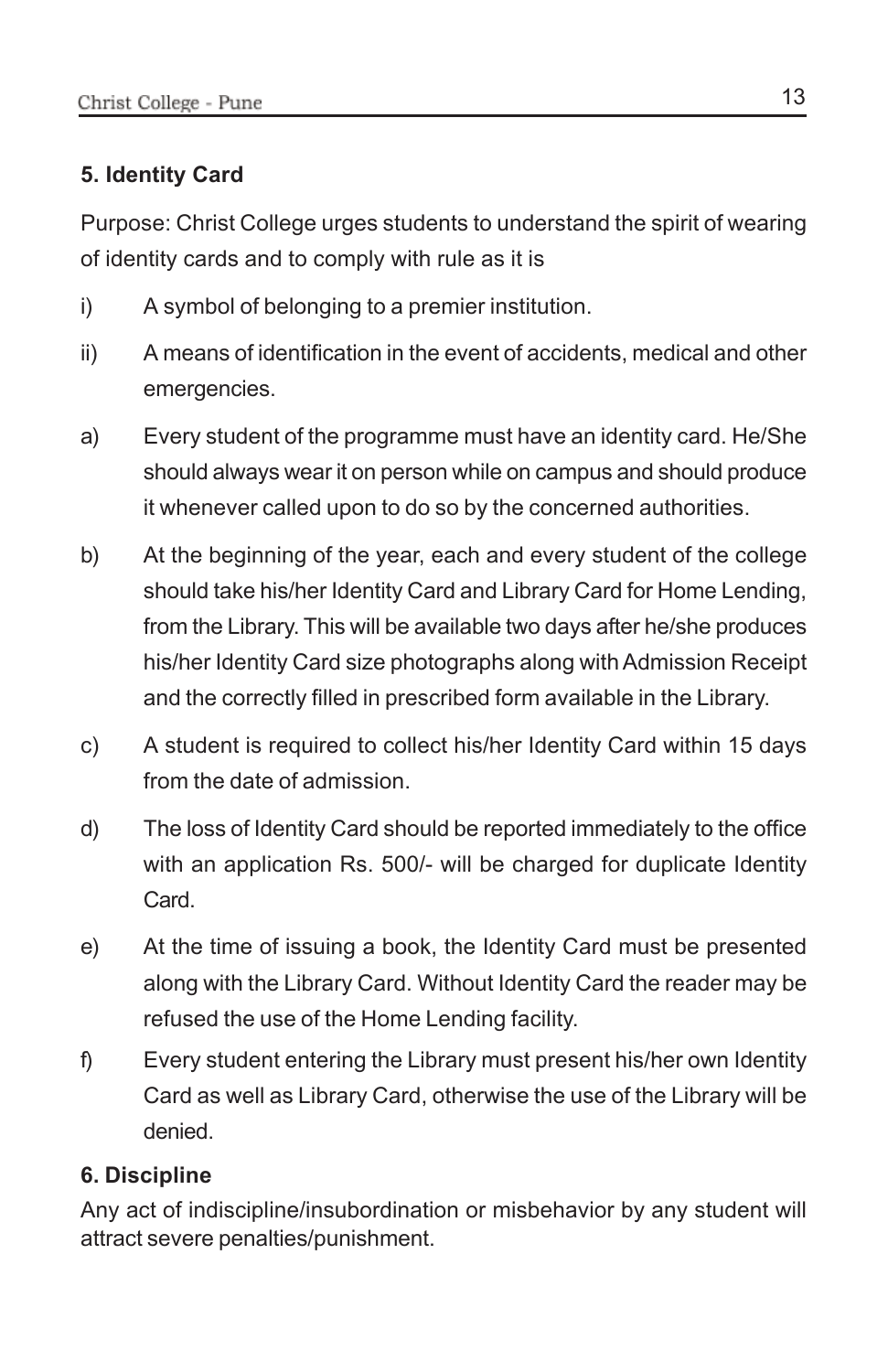### **5. Identity Card**

Purpose: Christ College urges students to understand the spirit of wearing of identity cards and to comply with rule as it is

- i) A symbol of belonging to a premier institution.
- ii) A means of identification in the event of accidents, medical and other emergencies.
- a) Every student of the programme must have an identity card. He/She should always wear it on person while on campus and should produce it whenever called upon to do so by the concerned authorities.
- b) At the beginning of the year, each and every student of the college should take his/her Identity Card and Library Card for Home Lending, from the Library. This will be available two days after he/she produces his/her Identity Card size photographs along with Admission Receipt and the correctly filled in prescribed form available in the Library.
- c) A student is required to collect his/her Identity Card within 15 days from the date of admission.
- d) The loss of Identity Card should be reported immediately to the office with an application Rs. 500/- will be charged for duplicate Identity Card.
- e) At the time of issuing a book, the Identity Card must be presented along with the Library Card. Without Identity Card the reader may be refused the use of the Home Lending facility.
- f) Every student entering the Library must present his/her own Identity Card as well as Library Card, otherwise the use of the Library will be denied.

### **6. Discipline**

Any act of indiscipline/insubordination or misbehavior by any student will attract severe penalties/punishment.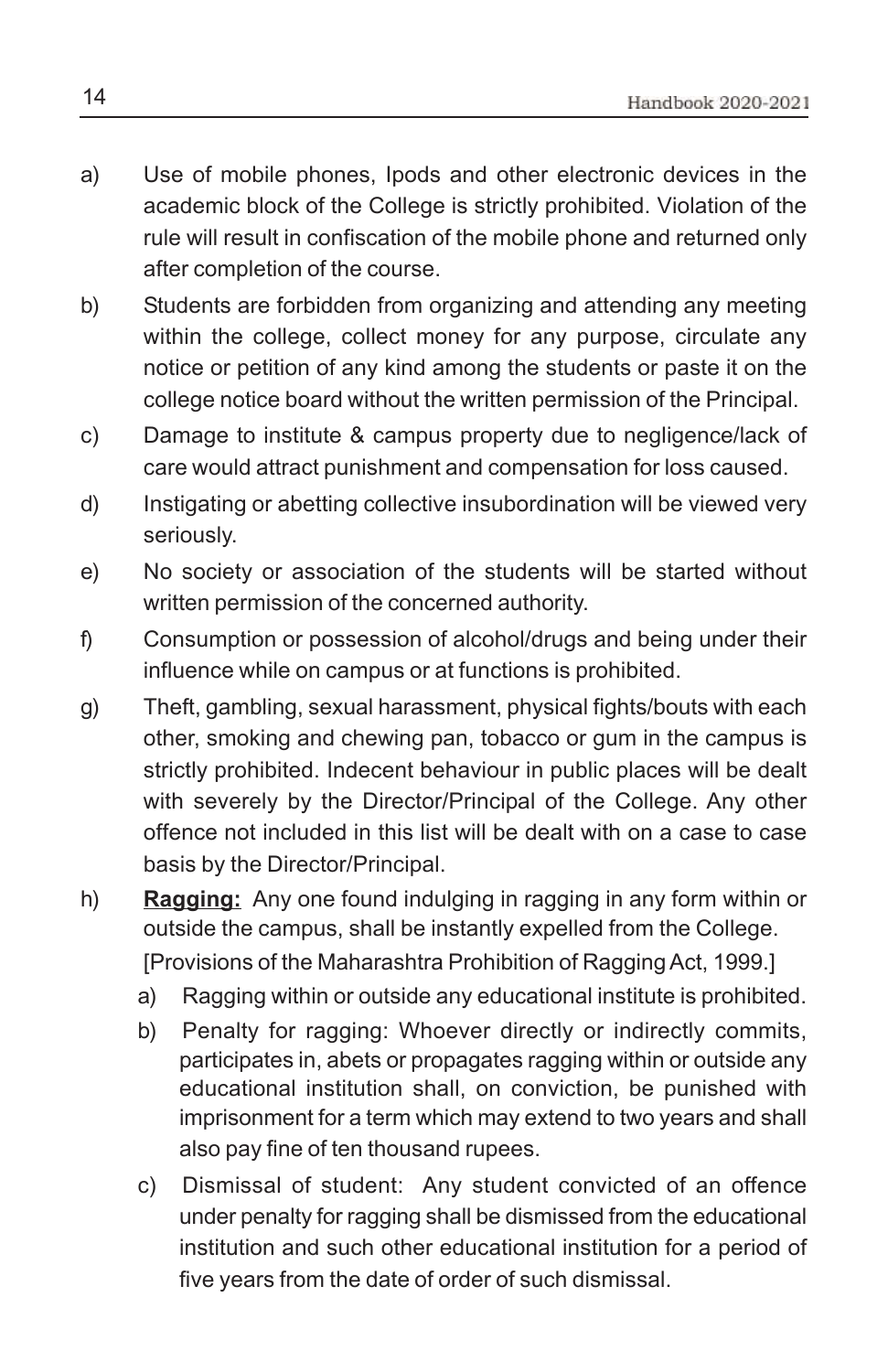- a) Use of mobile phones, Ipods and other electronic devices in the academic block of the College is strictly prohibited. Violation of the rule will result in confiscation of the mobile phone and returned only after completion of the course.
- b) Students are forbidden from organizing and attending any meeting within the college, collect money for any purpose, circulate any notice or petition of any kind among the students or paste it on the college notice board without the written permission of the Principal.
- c) Damage to institute & campus property due to negligence/lack of care would attract punishment and compensation for loss caused.
- d) Instigating or abetting collective insubordination will be viewed very seriously.
- e) No society or association of the students will be started without written permission of the concerned authority.
- f) Consumption or possession of alcohol/drugs and being under their influence while on campus or at functions is prohibited.
- g) Theft, gambling, sexual harassment, physical fights/bouts with each other, smoking and chewing pan, tobacco or gum in the campus is strictly prohibited. Indecent behaviour in public places will be dealt with severely by the Director/Principal of the College. Any other offence not included in this list will be dealt with on a case to case basis by the Director/Principal.
- h) **Ragging:** Any one found indulging in ragging in any form within or outside the campus, shall be instantly expelled from the College. [Provisions of the Maharashtra Prohibition of Ragging Act, 1999.]
	- a) Ragging within or outside any educational institute is prohibited.
	- b) Penalty for ragging: Whoever directly or indirectly commits, participates in, abets or propagates ragging within or outside any educational institution shall, on conviction, be punished with imprisonment for a term which may extend to two years and shall also pay fine of ten thousand rupees.
	- c) Dismissal of student: Any student convicted of an offence under penalty for ragging shall be dismissed from the educational institution and such other educational institution for a period of five years from the date of order of such dismissal.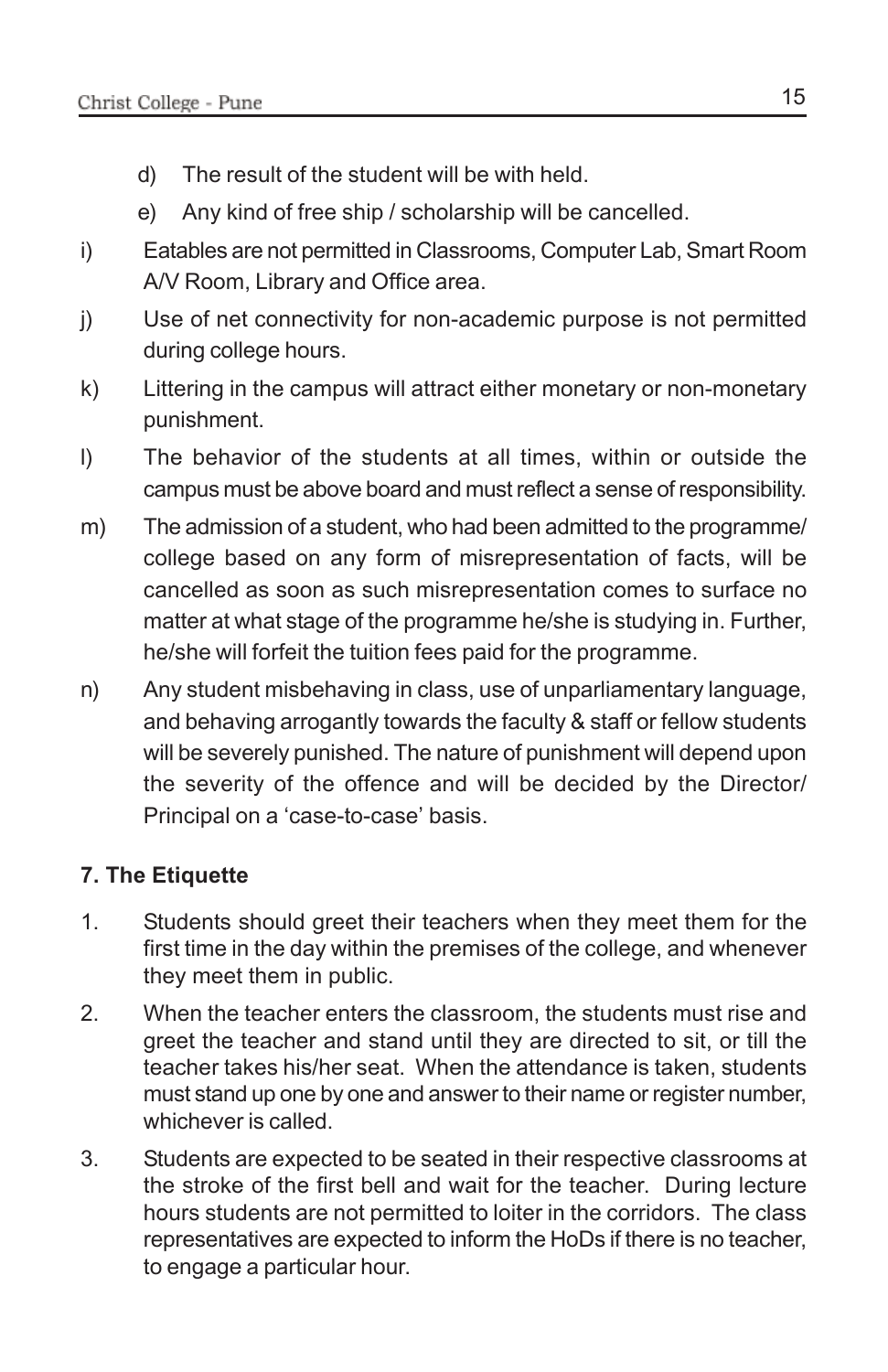- d) The result of the student will be with held.
- e) Any kind of free ship / scholarship will be cancelled.
- i) Eatables are not permitted in Classrooms, Computer Lab, Smart Room A/V Room, Library and Office area.
- j) Use of net connectivity for non-academic purpose is not permitted during college hours.
- k) Littering in the campus will attract either monetary or non-monetary punishment.
- l) The behavior of the students at all times, within or outside the campus must be above board and must reflect a sense of responsibility.
- m) The admission of a student, who had been admitted to the programme/ college based on any form of misrepresentation of facts, will be cancelled as soon as such misrepresentation comes to surface no matter at what stage of the programme he/she is studying in. Further, he/she will forfeit the tuition fees paid for the programme.
- n) Any student misbehaving in class, use of unparliamentary language, and behaving arrogantly towards the faculty & staff or fellow students will be severely punished. The nature of punishment will depend upon the severity of the offence and will be decided by the Director/ Principal on a 'case-to-case' basis.

### **7. The Etiquette**

- 1. Students should greet their teachers when they meet them for the first time in the day within the premises of the college, and whenever they meet them in public.
- 2. When the teacher enters the classroom, the students must rise and greet the teacher and stand until they are directed to sit, or till the teacher takes his/her seat. When the attendance is taken, students must stand up one by one and answer to their name or register number, whichever is called.
- 3. Students are expected to be seated in their respective classrooms at the stroke of the first bell and wait for the teacher. During lecture hours students are not permitted to loiter in the corridors. The class representatives are expected to inform the HoDs if there is no teacher, to engage a particular hour.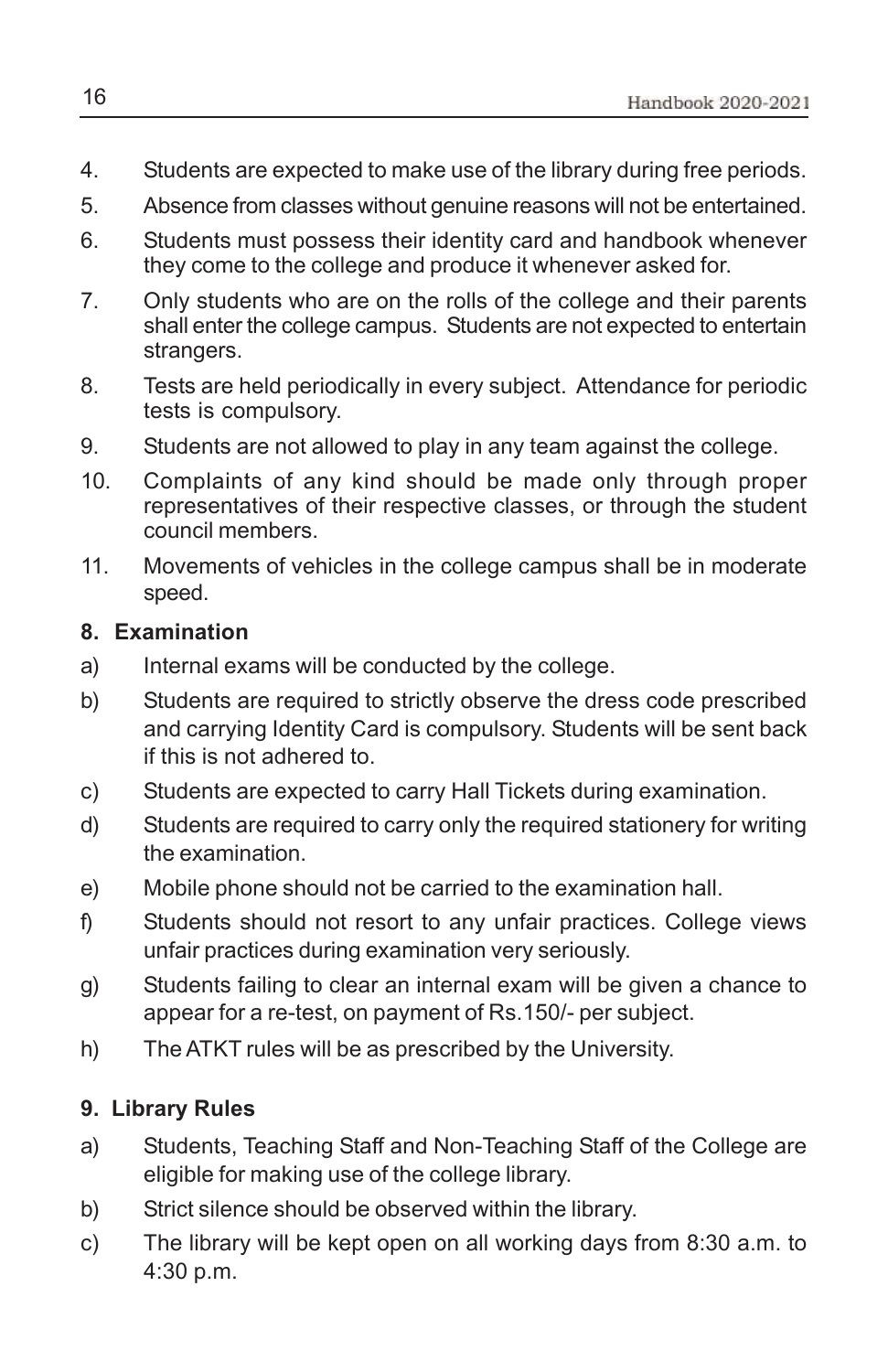- 4. Students are expected to make use of the library during free periods.
- 5. Absence from classes without genuine reasons will not be entertained.
- 6. Students must possess their identity card and handbook whenever they come to the college and produce it whenever asked for.
- 7. Only students who are on the rolls of the college and their parents shall enter the college campus. Students are not expected to entertain strangers.
- 8. Tests are held periodically in every subject. Attendance for periodic tests is compulsory.
- 9. Students are not allowed to play in any team against the college.
- 10. Complaints of any kind should be made only through proper representatives of their respective classes, or through the student council members.
- 11. Movements of vehicles in the college campus shall be in moderate speed.

### **8. Examination**

- a) Internal exams will be conducted by the college.
- b) Students are required to strictly observe the dress code prescribed and carrying Identity Card is compulsory. Students will be sent back if this is not adhered to.
- c) Students are expected to carry Hall Tickets during examination.
- d) Students are required to carry only the required stationery for writing the examination.
- e) Mobile phone should not be carried to the examination hall.
- f) Students should not resort to any unfair practices. College views unfair practices during examination very seriously.
- g) Students failing to clear an internal exam will be given a chance to appear for a re-test, on payment of Rs.150/- per subject.
- h) The ATKT rules will be as prescribed by the University.

### **9. Library Rules**

- a) Students, Teaching Staff and Non-Teaching Staff of the College are eligible for making use of the college library.
- b) Strict silence should be observed within the library.
- c) The library will be kept open on all working days from 8:30 a.m. to 4:30 p.m.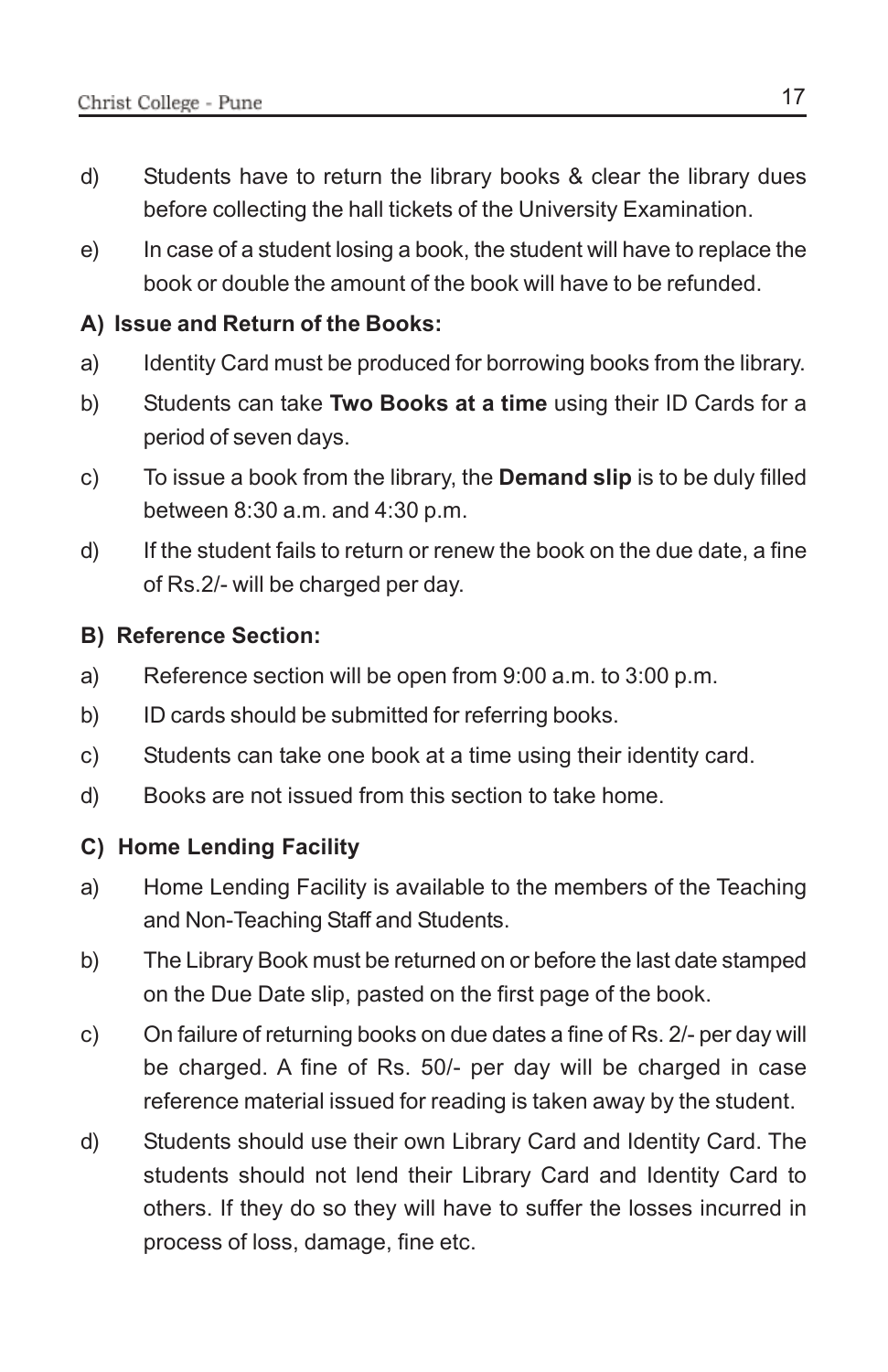- d) Students have to return the library books & clear the library dues before collecting the hall tickets of the University Examination.
- e) In case of a student losing a book, the student will have to replace the book or double the amount of the book will have to be refunded.

### **A) Issue and Return of the Books:**

- a) Identity Card must be produced for borrowing books from the library.
- b) Students can take **Two Books at a time** using their ID Cards for a period of seven days.
- c) To issue a book from the library, the **Demand slip** is to be duly filled between 8:30 a.m. and 4:30 p.m.
- d) If the student fails to return or renew the book on the due date, a fine of Rs.2/- will be charged per day.

### **B) Reference Section:**

- a) Reference section will be open from 9:00 a.m. to 3:00 p.m.
- b) ID cards should be submitted for referring books.
- c) Students can take one book at a time using their identity card.
- d) Books are not issued from this section to take home.

### **C) Home Lending Facility**

- a) Home Lending Facility is available to the members of the Teaching and Non-Teaching Staff and Students.
- b) The Library Book must be returned on or before the last date stamped on the Due Date slip, pasted on the first page of the book.
- c) On failure of returning books on due dates a fine of Rs. 2/- per day will be charged. A fine of Rs. 50/- per day will be charged in case reference material issued for reading is taken away by the student.
- d) Students should use their own Library Card and Identity Card. The students should not lend their Library Card and Identity Card to others. If they do so they will have to suffer the losses incurred in process of loss, damage, fine etc.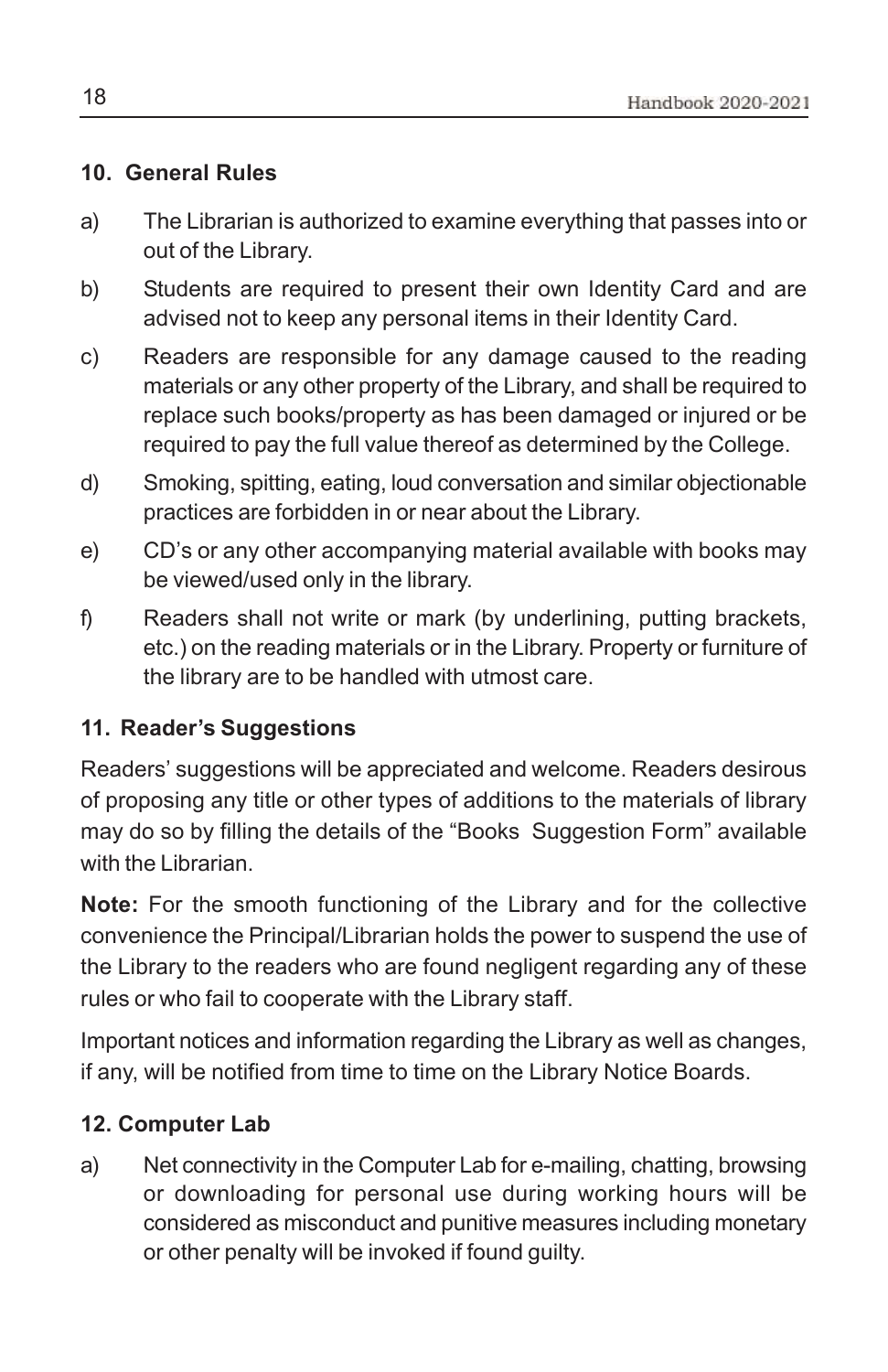### **10. General Rules**

- a) The Librarian is authorized to examine everything that passes into or out of the Library.
- b) Students are required to present their own Identity Card and are advised not to keep any personal items in their Identity Card.
- c) Readers are responsible for any damage caused to the reading materials or any other property of the Library, and shall be required to replace such books/property as has been damaged or injured or be required to pay the full value thereof as determined by the College.
- d) Smoking, spitting, eating, loud conversation and similar objectionable practices are forbidden in or near about the Library.
- e) CD's or any other accompanying material available with books may be viewed/used only in the library.
- f) Readers shall not write or mark (by underlining, putting brackets, etc.) on the reading materials or in the Library. Property or furniture of the library are to be handled with utmost care.

### **11. Reader's Suggestions**

Readers' suggestions will be appreciated and welcome. Readers desirous of proposing any title or other types of additions to the materials of library may do so by filling the details of the "Books Suggestion Form" available with the Librarian.

**Note:** For the smooth functioning of the Library and for the collective convenience the Principal/Librarian holds the power to suspend the use of the Library to the readers who are found negligent regarding any of these rules or who fail to cooperate with the Library staff.

Important notices and information regarding the Library as well as changes, if any, will be notified from time to time on the Library Notice Boards.

### **12. Computer Lab**

a) Net connectivity in the Computer Lab for e-mailing, chatting, browsing or downloading for personal use during working hours will be considered as misconduct and punitive measures including monetary or other penalty will be invoked if found guilty.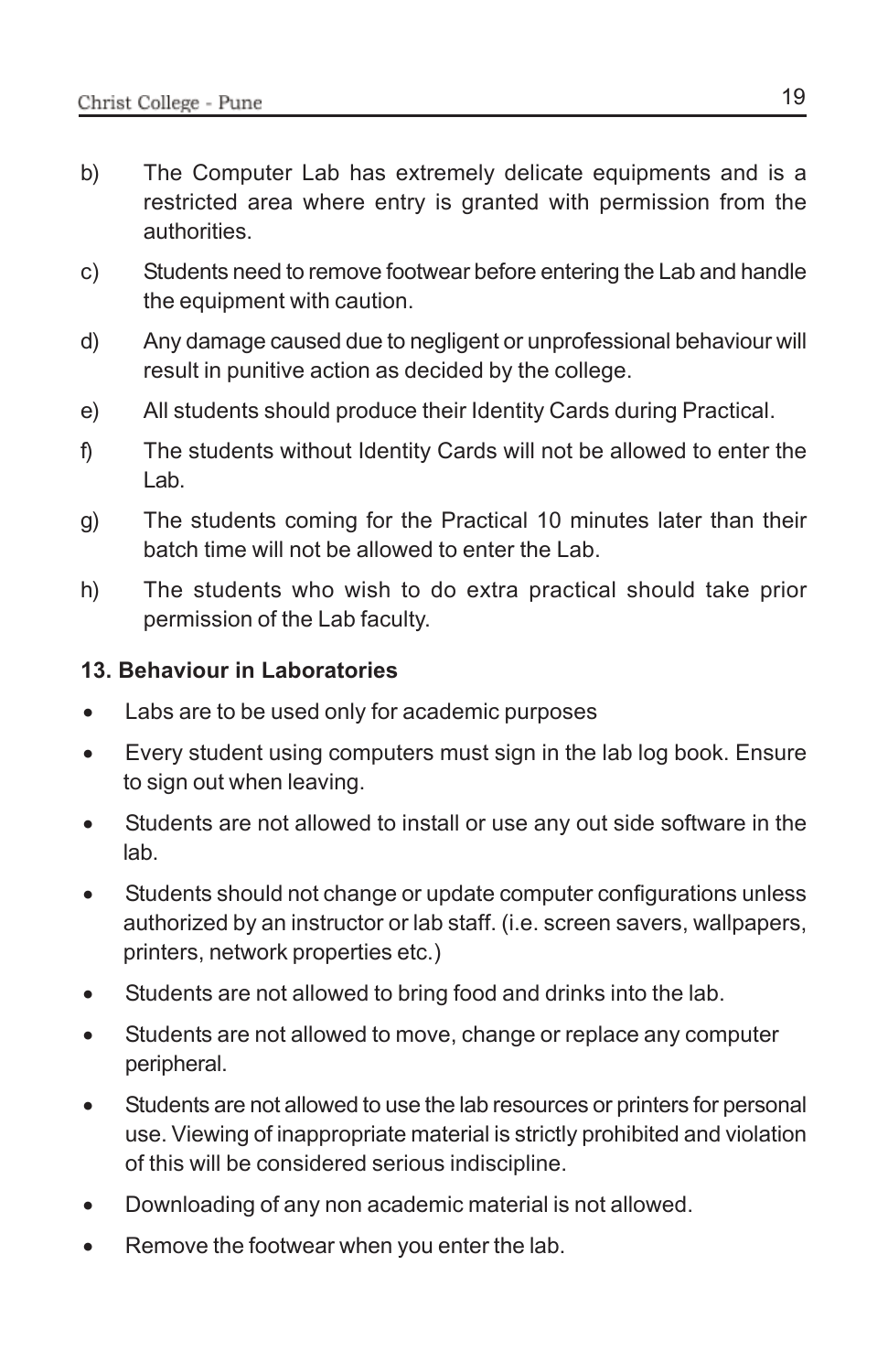- b) The Computer Lab has extremely delicate equipments and is a restricted area where entry is granted with permission from the authorities.
- c) Students need to remove footwear before entering the Lab and handle the equipment with caution.
- d) Any damage caused due to negligent or unprofessional behaviour will result in punitive action as decided by the college.
- e) All students should produce their Identity Cards during Practical.
- f) The students without Identity Cards will not be allowed to enter the Lab.
- g) The students coming for the Practical 10 minutes later than their batch time will not be allowed to enter the Lab.
- h) The students who wish to do extra practical should take prior permission of the Lab faculty.

### **13. Behaviour in Laboratories**

- Labs are to be used only for academic purposes
- Every student using computers must sign in the lab log book. Ensure to sign out when leaving.
- Students are not allowed to install or use any out side software in the lab.
- Students should not change or update computer configurations unless authorized by an instructor or lab staff. (i.e. screen savers, wallpapers, printers, network properties etc.)
- Students are not allowed to bring food and drinks into the lab.
- Students are not allowed to move, change or replace any computer peripheral.
- Students are not allowed to use the lab resources or printers for personal use. Viewing of inappropriate material is strictly prohibited and violation of this will be considered serious indiscipline.
- Downloading of any non academic material is not allowed.
- Remove the footwear when you enter the lab.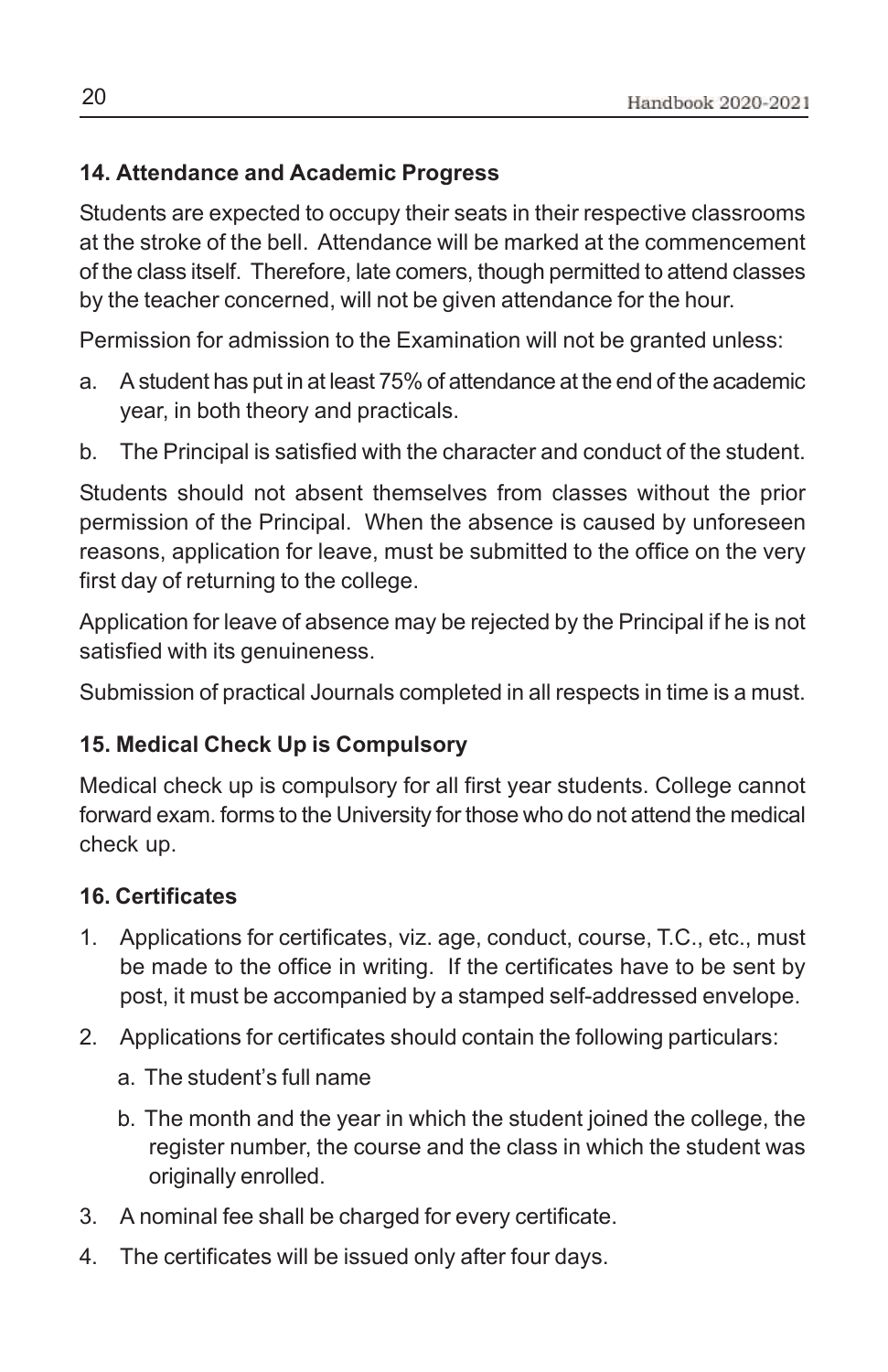### **14. Attendance and Academic Progress**

Students are expected to occupy their seats in their respective classrooms at the stroke of the bell. Attendance will be marked at the commencement of the class itself. Therefore, late comers, though permitted to attend classes by the teacher concerned, will not be given attendance for the hour.

Permission for admission to the Examination will not be granted unless:

- a. A student has put in at least 75% of attendance at the end of the academic year, in both theory and practicals.
- b. The Principal is satisfied with the character and conduct of the student.

Students should not absent themselves from classes without the prior permission of the Principal. When the absence is caused by unforeseen reasons, application for leave, must be submitted to the office on the very first day of returning to the college.

Application for leave of absence may be rejected by the Principal if he is not satisfied with its genuineness.

Submission of practical Journals completed in all respects in time is a must.

### **15. Medical Check Up is Compulsory**

Medical check up is compulsory for all first year students. College cannot forward exam. forms to the University for those who do not attend the medical check up.

### **16. Certificates**

- 1. Applications for certificates, viz. age, conduct, course, T.C., etc., must be made to the office in writing. If the certificates have to be sent by post, it must be accompanied by a stamped self-addressed envelope.
- 2. Applications for certificates should contain the following particulars:
	- a. The student's full name
	- b. The month and the year in which the student joined the college, the register number, the course and the class in which the student was originally enrolled.
- 3. A nominal fee shall be charged for every certificate.
- 4. The certificates will be issued only after four days.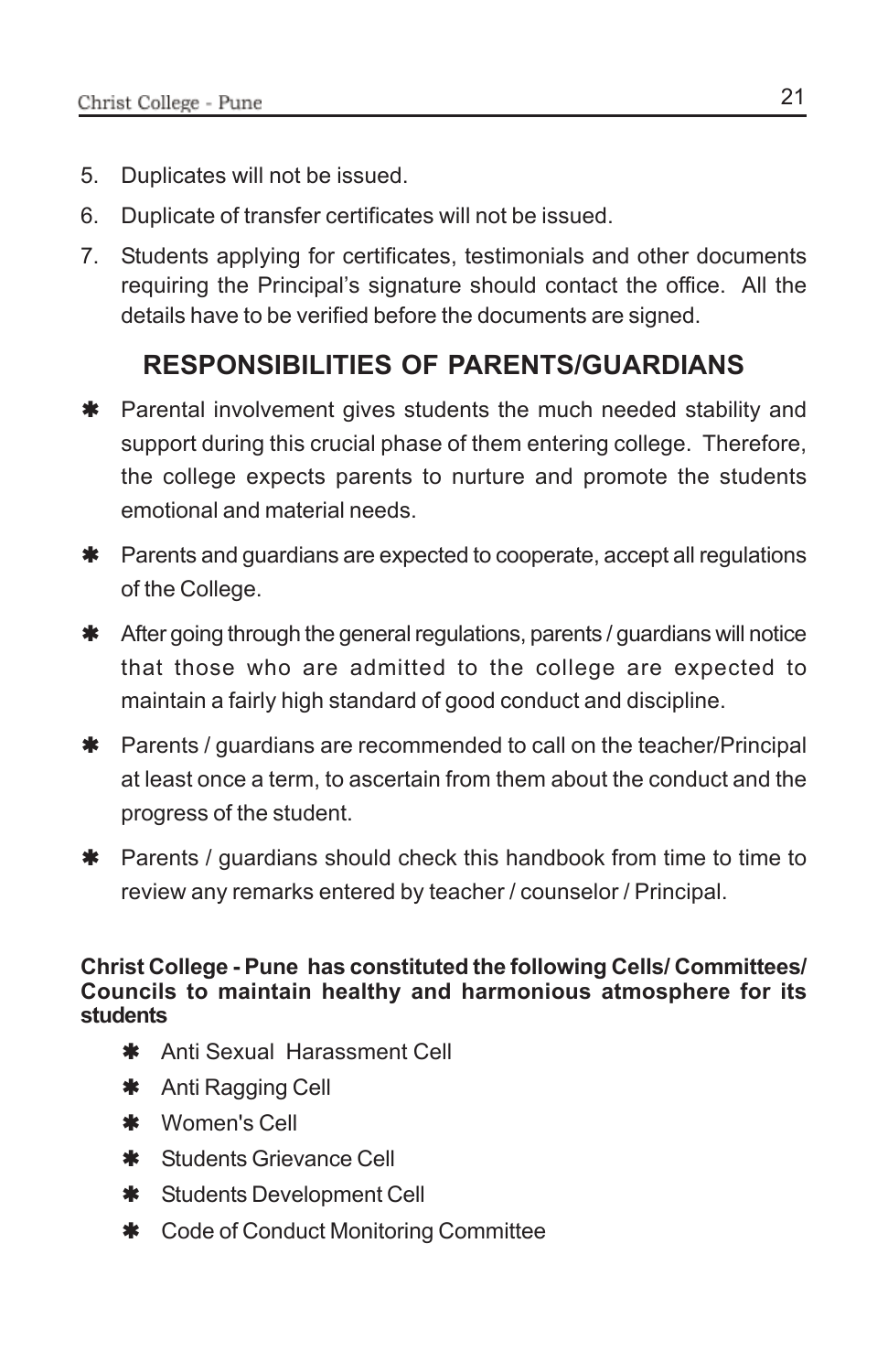- 5. Duplicates will not be issued.
- 6. Duplicate of transfer certificates will not be issued.
- 7. Students applying for certificates, testimonials and other documents requiring the Principal's signature should contact the office. All the details have to be verified before the documents are signed.

### **RESPONSIBILITIES OF PARENTS/GUARDIANS**

- **\*** Parental involvement gives students the much needed stability and support during this crucial phase of them entering college. Therefore, the college expects parents to nurture and promote the students emotional and material needs.
- **\*** Parents and guardians are expected to cooperate, accept all regulations of the College.
- $*$  After going through the general regulations, parents / guardians will notice that those who are admitted to the college are expected to maintain a fairly high standard of good conduct and discipline.
- **\*** Parents / guardians are recommended to call on the teacher/Principal at least once a term, to ascertain from them about the conduct and the progress of the student.
- $*$  Parents / guardians should check this handbook from time to time to review any remarks entered by teacher / counselor / Principal.

### **Christ College - Pune has constituted the following Cells/ Committees/ Councils to maintain healthy and harmonious atmosphere for its students**

- **\*** Anti Sexual Harassment Cell
- \* Anti Ragging Cell
- \* Women's Cell
- **\*** Students Grievance Cell
- **\*** Students Development Cell
- $\text{\textbullet}$  Code of Conduct Monitoring Committee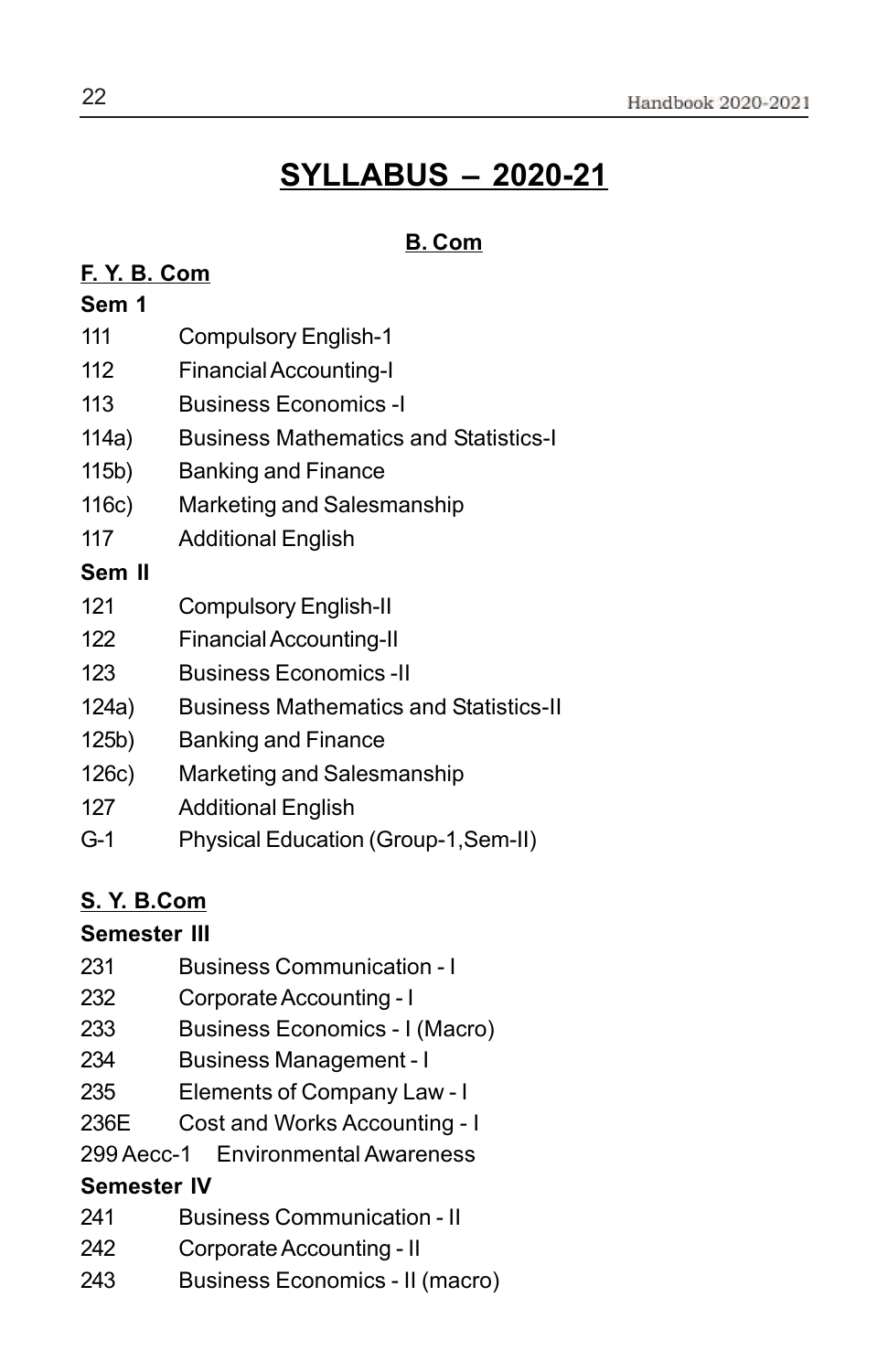# **SYLLABUS – 2020-21**

### **B. Com**

### **F. Y. B. Com**

### **Sem 1**

- 111 Compulsory English-1
- 112 Financial Accounting-I
- 113 Business Economics -I
- 114a) Business Mathematics and Statistics-I
- 115b) Banking and Finance
- 116c) Marketing and Salesmanship
- 117 Additional English

### **Sem II**

- 121 Compulsory English-II
- 122 Financial Accounting-II
- 123 Business Economics -II
- 124a) Business Mathematics and Statistics-II
- 125b) Banking and Finance
- 126c) Marketing and Salesmanship
- 127 Additional English
- G-1 Physical Education (Group-1,Sem-II)

### **S. Y. B.Com**

### **Semester III**

- 231 Business Communication I
- 232 Corporate Accounting I
- 233 Business Economics I (Macro)
- 234 Business Management I
- 235 Elements of Company Law I
- 236E Cost and Works Accounting I
- 299 Aecc-1 Environmental Awareness

### **Semester IV**

- 241 Business Communication II
- 242 Corporate Accounting II
- 243 Business Economics II (macro)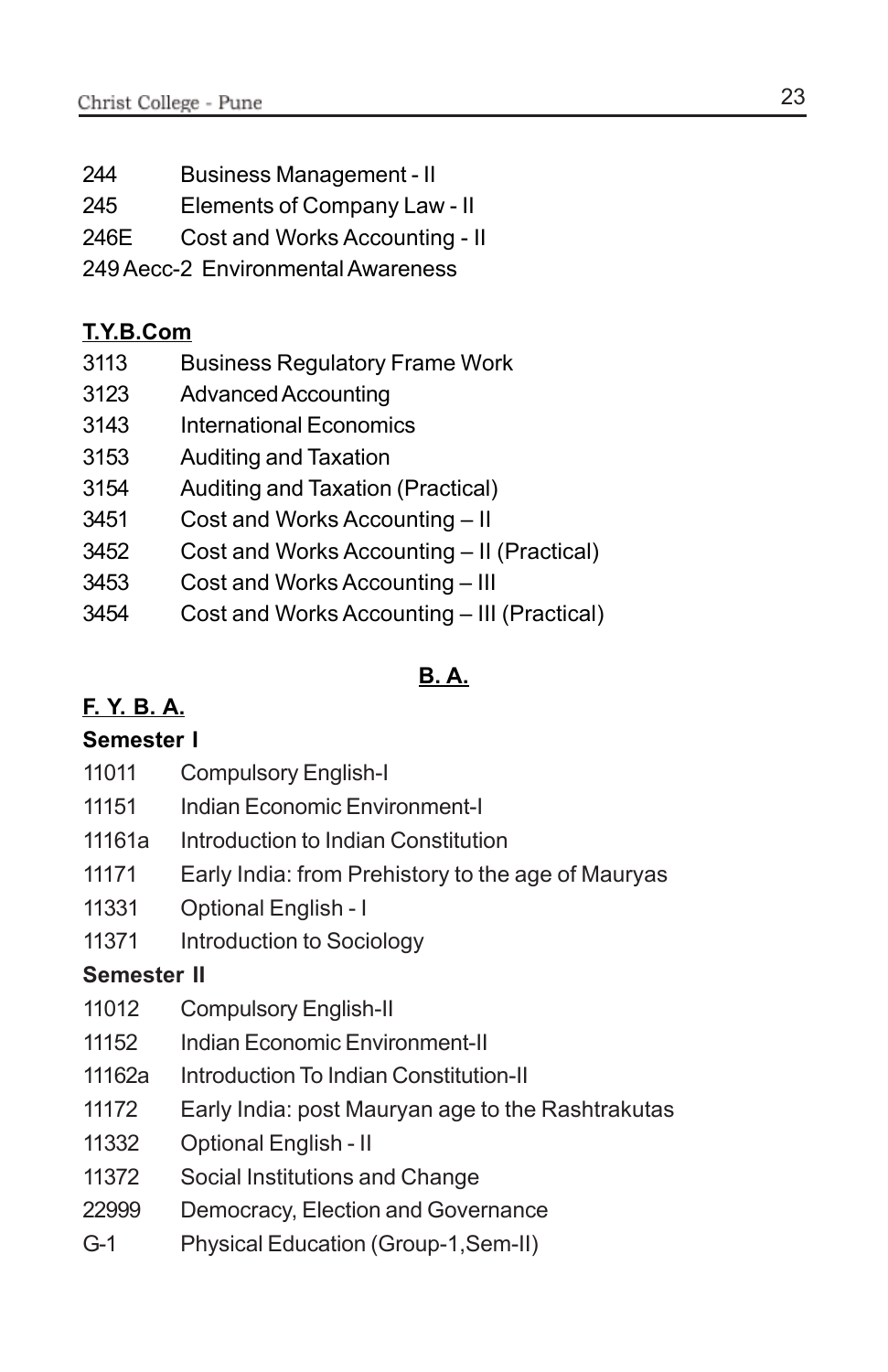- 244 Business Management II
- 245 Elements of Company Law II
- 246E Cost and Works Accounting II
- 249 Aecc-2 Environmental Awareness

### **T.Y.B.Com**

- 3113 Business Regulatory Frame Work
- 3123 Advanced Accounting
- 3143 International Economics
- 3153 Auditing and Taxation
- 3154 Auditing and Taxation (Practical)
- 3451 Cost and Works Accounting II
- 3452 Cost and Works Accounting II (Practical)
- 3453 Cost and Works Accounting III
- 3454 Cost and Works Accounting III (Practical)

### **B. A.**

### **F. Y. B. A.**

### **Semester I**

- 11011 Compulsory English-I
- 11151 Indian Economic Environment-I
- 11161a Introduction to Indian Constitution
- 11171 Early India: from Prehistory to the age of Mauryas
- 11331 Optional English I
- 11371 Introduction to Sociology

### **Semester II**

- 11012 Compulsory English-II
- 11152 Indian Economic Environment-II
- 11162a Introduction To Indian Constitution-II
- 11172 Early India: post Mauryan age to the Rashtrakutas
- 11332 Optional English II
- 11372 Social Institutions and Change
- 22999 Democracy, Election and Governance
- G-1 Physical Education (Group-1,Sem-II)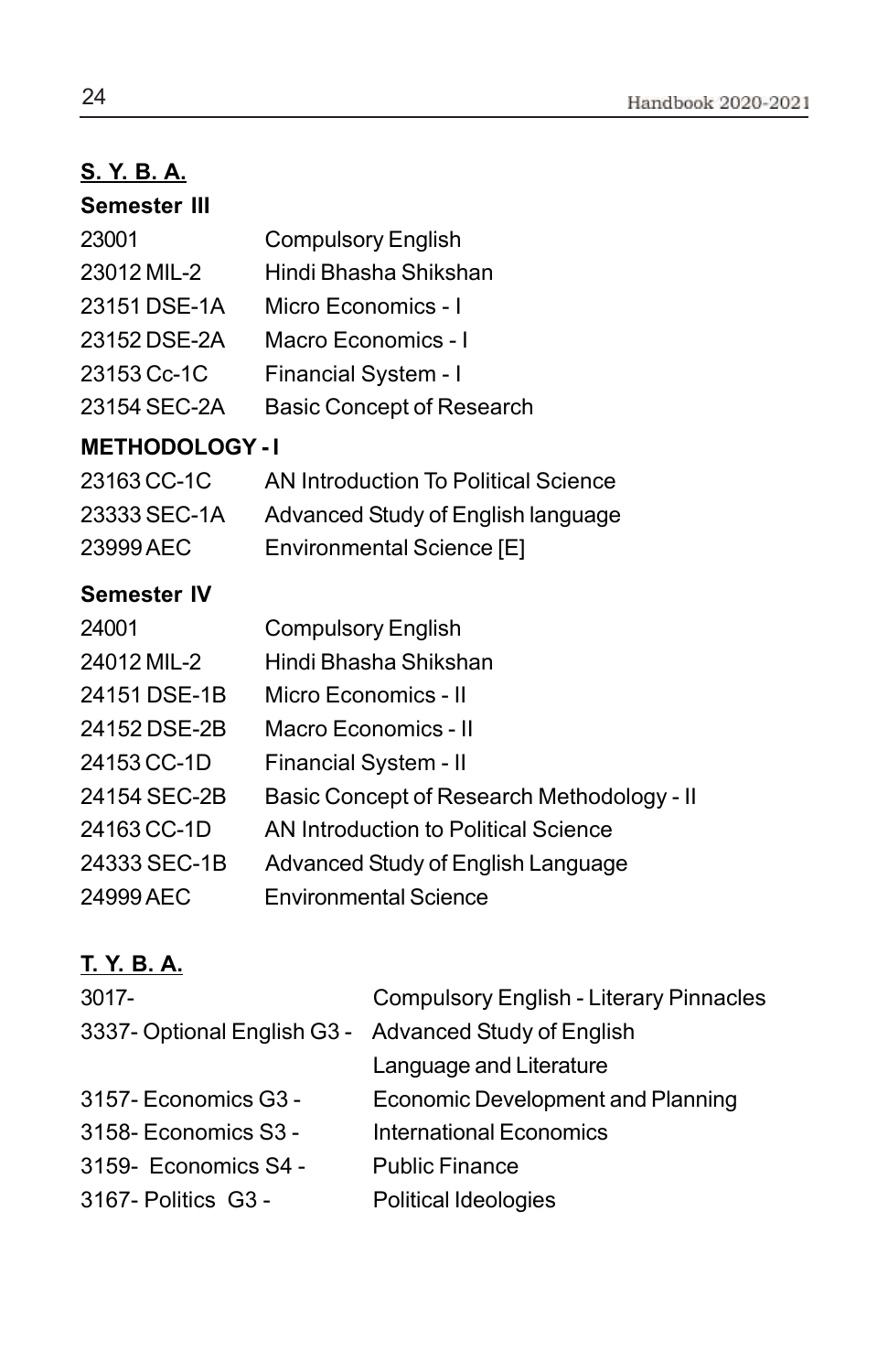# **S. Y. B. A.**

| <b>Semester III</b> |                                  |
|---------------------|----------------------------------|
| 23001               | <b>Compulsory English</b>        |
| 23012 MIL-2         | Hindi Bhasha Shikshan            |
| 23151 DSE-1A        | Micro Economics - I              |
| 23152 DSE-2A        | Macro Economics - I              |
| 23153 Cc-1C         | Financial System - I             |
| 23154 SEC-2A        | <b>Basic Concept of Research</b> |

### **METHODOLOGY - I**

| 23163 CC-1C  | AN Introduction To Political Science |
|--------------|--------------------------------------|
| 23333 SEC-1A | Advanced Study of English language   |
| 23999 AEC    | Environmental Science [E]            |

### **Semester IV**

| 24001        | <b>Compulsory English</b>                  |
|--------------|--------------------------------------------|
| 24012 MIL-2  | Hindi Bhasha Shikshan                      |
| 24151 DSE-1B | Micro Economics - II                       |
| 24152 DSE-2B | Macro Economics - II                       |
| 24153 CC-1D  | Financial System - II                      |
| 24154 SEC-2B | Basic Concept of Research Methodology - II |
| 24163 CC-1D  | AN Introduction to Political Science       |
| 24333 SEC-1B | Advanced Study of English Language         |
| 24999 AEC    | <b>Environmental Science</b>               |

### **T. Y. B. A.**

| 3017-                                                 | <b>Compulsory English - Literary Pinnacles</b> |
|-------------------------------------------------------|------------------------------------------------|
| 3337- Optional English G3 - Advanced Study of English |                                                |
|                                                       | Language and Literature                        |
| 3157- Economics G3 -                                  | <b>Economic Development and Planning</b>       |
| 3158- Economics S3 -                                  | <b>International Economics</b>                 |
| 3159- Economics S4 -                                  | <b>Public Finance</b>                          |
| 3167- Politics G3 -                                   | Political Ideologies                           |
|                                                       |                                                |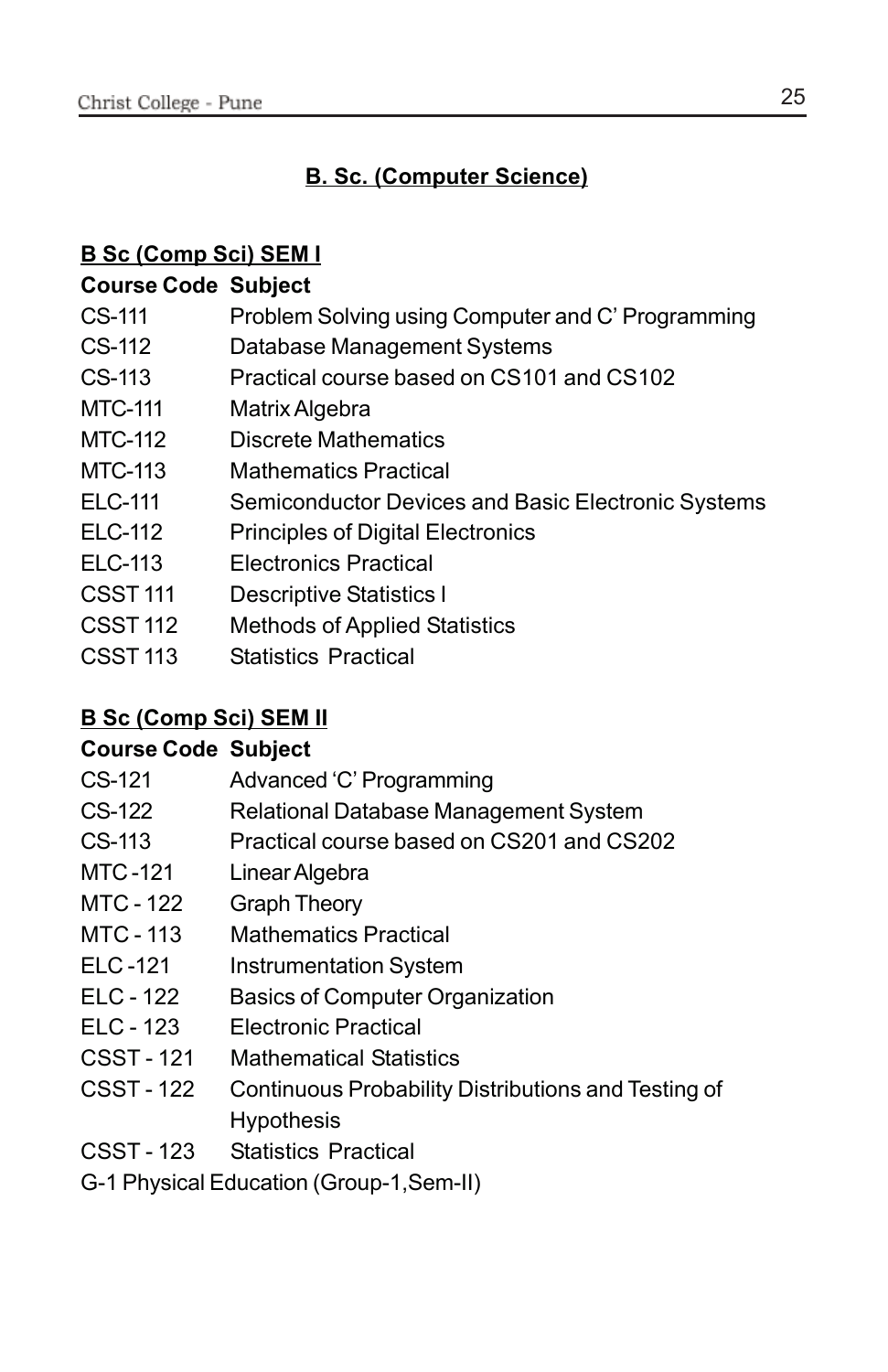### **B. Sc. (Computer Science)**

### **B Sc (Comp Sci) SEM I**

### **Course Code Subject**

- CS-111 Problem Solving using Computer and C' Programming
- CS-112 Database Management Systems
- CS-113 Practical course based on CS101 and CS102
- MTC-111 Matrix Algebra
- MTC-112 Discrete Mathematics
- MTC-113 Mathematics Practical
- ELC-111 Semiconductor Devices and Basic Electronic Systems
- ELC-112 Principles of Digital Electronics
- ELC-113 Electronics Practical
- CSST 111 Descriptive Statistics I
- CSST 112 Methods of Applied Statistics
- CSST 113 Statistics Practical

### **B Sc (Comp Sci) SEM II**

### **Course Code Subject**

| CS-121     | Advanced 'C' Programming                            |
|------------|-----------------------------------------------------|
| CS-122     | Relational Database Management System               |
| CS-113     | Practical course based on CS201 and CS202           |
| MTC-121    | Linear Algebra                                      |
| MTC - 122  | <b>Graph Theory</b>                                 |
| MTC - 113  | <b>Mathematics Practical</b>                        |
| ELC-121    | <b>Instrumentation System</b>                       |
| FLC - 122  | <b>Basics of Computer Organization</b>              |
| ELC - 123  | Electronic Practical                                |
| CSST - 121 | <b>Mathematical Statistics</b>                      |
| CSST - 122 | Continuous Probability Distributions and Testing of |
|            | <b>Hypothesis</b>                                   |

- CSST 123 Statistics Practical
- G-1 Physical Education (Group-1,Sem-II)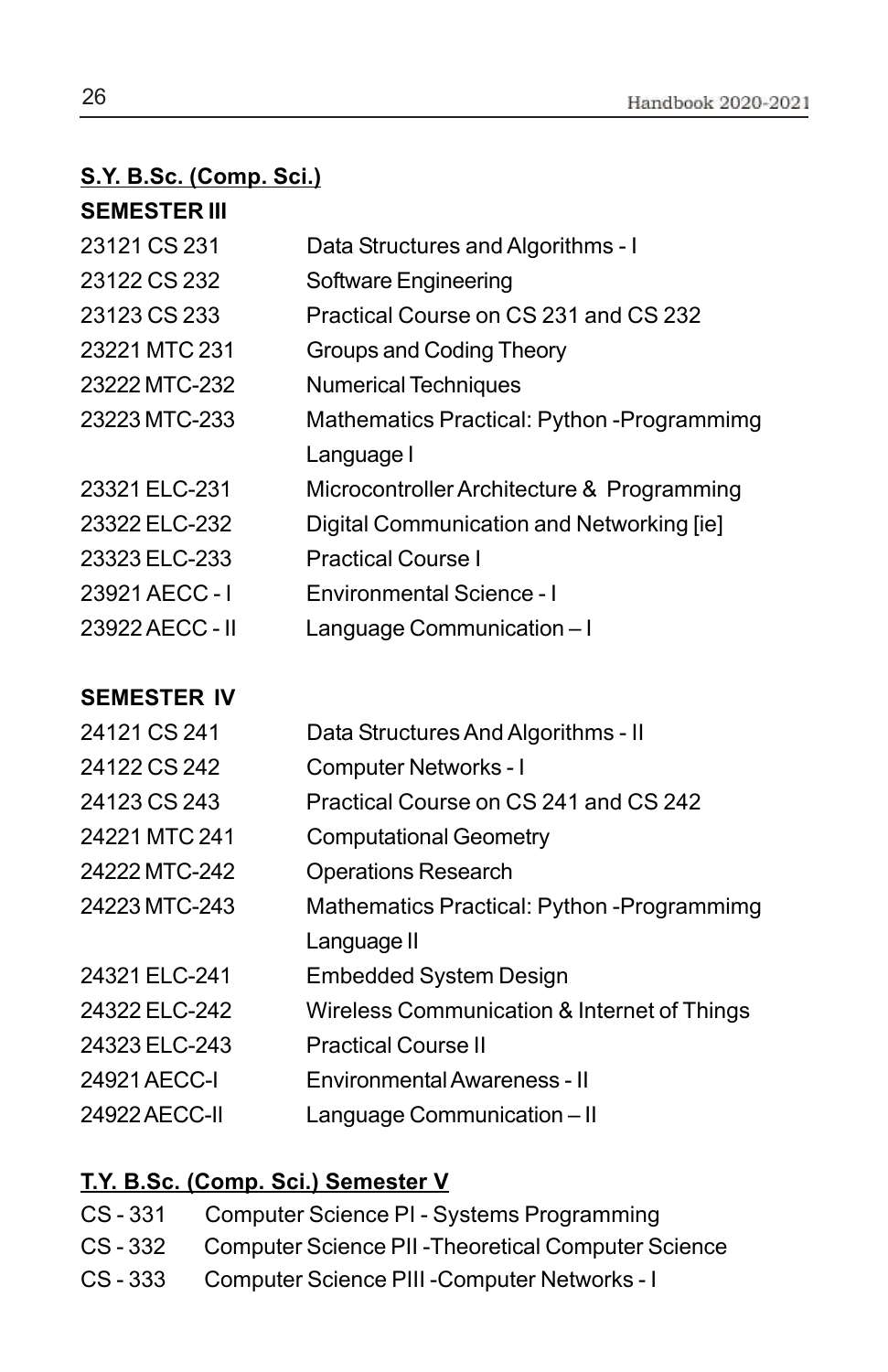### **S.Y. B.Sc. (Comp. Sci.)**

| <b>SEMESTER III</b> |                                             |
|---------------------|---------------------------------------------|
| 23121 CS 231        | Data Structures and Algorithms - I          |
| 23122 CS 232        | Software Engineering                        |
| 23123 CS 233        | Practical Course on CS 231 and CS 232       |
| 23221 MTC 231       | Groups and Coding Theory                    |
| 23222 MTC-232       | <b>Numerical Techniques</b>                 |
| 23223 MTC-233       | Mathematics Practical: Python - Programmimg |
|                     | Language I                                  |
| 23321 ELC-231       | Microcontroller Architecture & Programming  |
| 23322 ELC-232       | Digital Communication and Networking [ie]   |
| 23323 ELC-233       | <b>Practical Course I</b>                   |
| 23921 AECC - I      | Environmental Science - I                   |
| 23922 AECC - II     | Language Communication-I                    |
|                     |                                             |
| <b>SEMESTER IV</b>  |                                             |
| 24121 CS 241        | Data Structures And Algorithms - II         |

| 24121 CS 241  | Data Structures And Algorithms - II         |
|---------------|---------------------------------------------|
| 24122 CS 242  | <b>Computer Networks - I</b>                |
| 24123 CS 243  | Practical Course on CS 241 and CS 242       |
| 24221 MTC 241 | <b>Computational Geometry</b>               |
| 24222 MTC-242 | <b>Operations Research</b>                  |
| 24223 MTC-243 | Mathematics Practical: Python - Programmimg |
|               | Language II                                 |
| 24321 ELC-241 | Embedded System Design                      |
| 24322 ELC-242 | Wireless Communication & Internet of Things |
| 24323 ELC-243 | <b>Practical Course II</b>                  |
| 24921 AECC-I  | Environmental Awareness - II                |
| 24922 AECC-II | Language Communication - II                 |

### **T.Y. B.Sc. (Comp. Sci.) Semester V**

| Computer Science PI - Systems Programming |
|-------------------------------------------|
|                                           |

- CS 332 Computer Science PII -Theoretical Computer Science
- CS 333 Computer Science PIII -Computer Networks I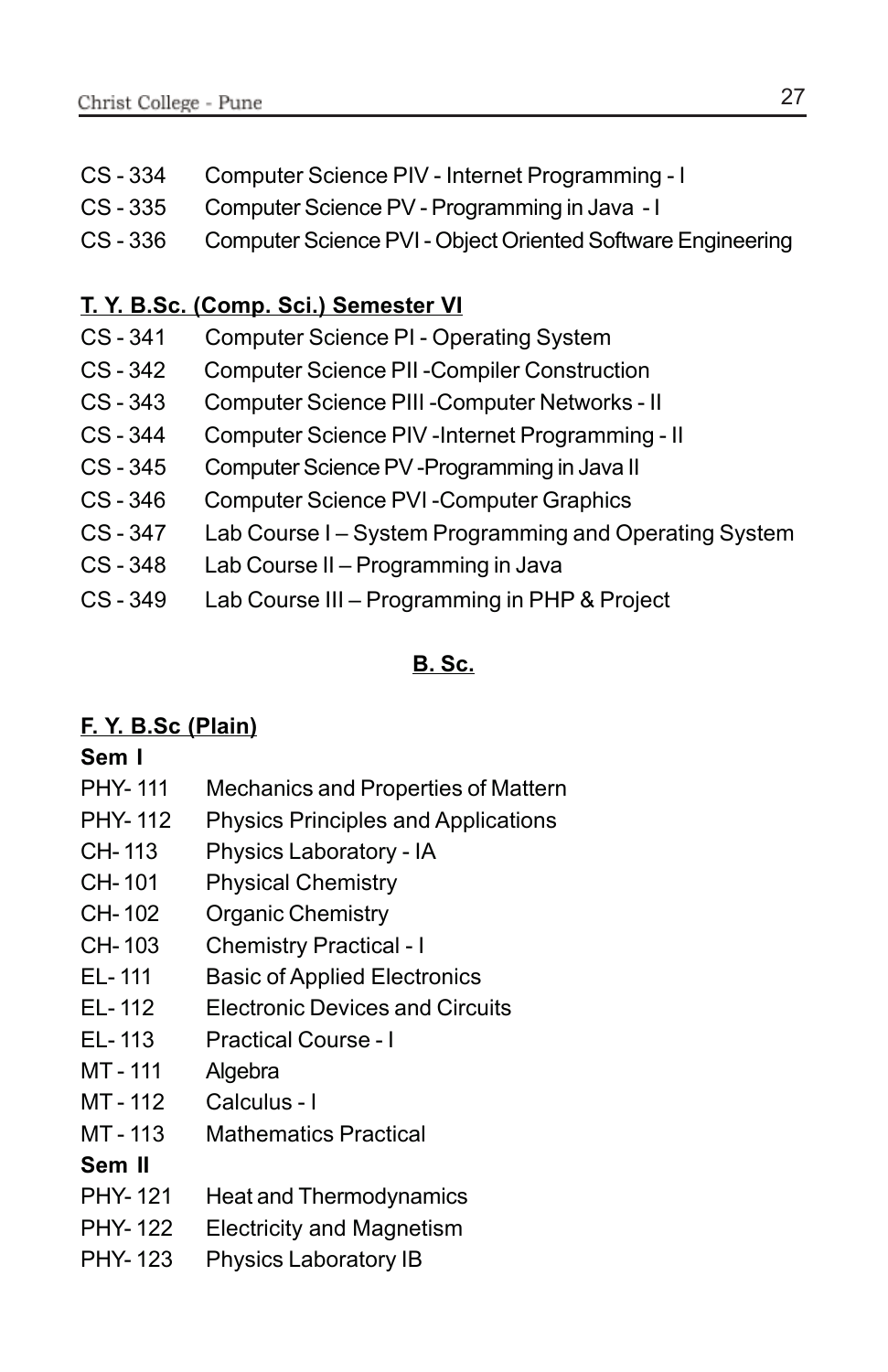- CS 334 Computer Science PIV Internet Programming I
- CS 335 Computer Science PV Programming in Java I
- CS 336 Computer Science PVI Object Oriented Software Engineering

### **T. Y. B.Sc. (Comp. Sci.) Semester VI**

- CS 341 Computer Science PI Operating System
- CS 342 Computer Science PII -Compiler Construction
- CS 343 Computer Science PIII -Computer Networks II
- CS 344 Computer Science PIV -Internet Programming II
- CS 345 Computer Science PV -Programming in Java II
- CS 346 Computer Science PVI -Computer Graphics
- CS 347 Lab Course I System Programming and Operating System
- CS 348 Lab Course II Programming in Java
- CS 349 Lab Course III Programming in PHP & Project

### **B. Sc.**

### **F. Y. B.Sc (Plain)**

### **Sem I**

- PHY- 111 Mechanics and Properties of Mattern
- PHY- 112 Physics Principles and Applications
- CH- 113 Physics Laboratory IA
- CH- 101 Physical Chemistry
- CH- 102 Organic Chemistry
- CH- 103 Chemistry Practical I
- EL- 111 Basic of Applied Electronics
- EL- 112 Electronic Devices and Circuits
- EL- 113 Practical Course I
- MT-111 Algebra
- MT 112 Calculus I
- MT 113 Mathematics Practical

### **Sem II**

- PHY-121 Heat and Thermodynamics
- PHY- 122 Electricity and Magnetism
- PHY-123 Physics Laboratory IB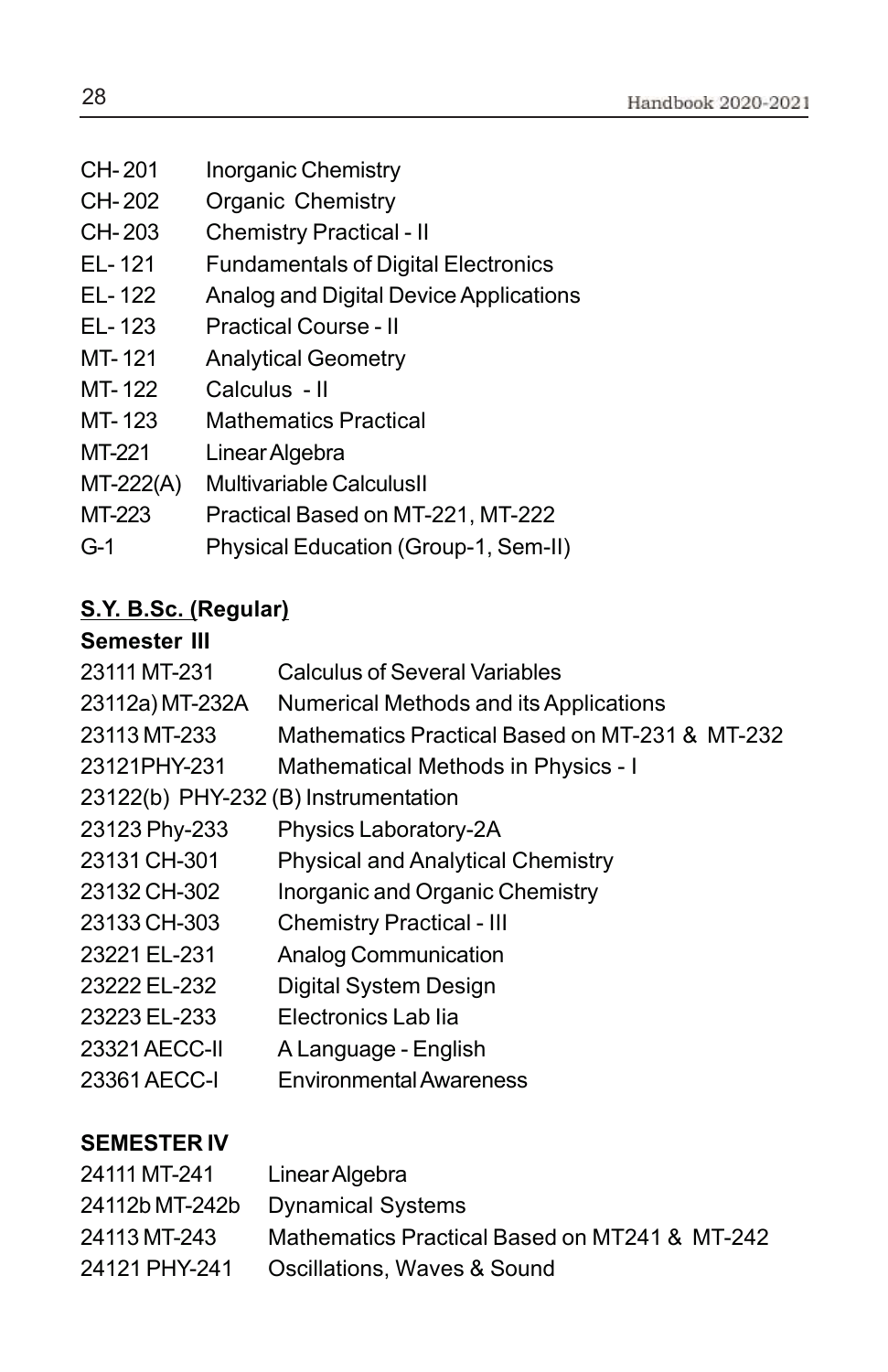- CH-201 Inorganic Chemistry
- CH- 202 Organic Chemistry
- CH- 203 Chemistry Practical II
- EL- 121 Fundamentals of Digital Electronics
- EL- 122 Analog and Digital Device Applications
- EL- 123 Practical Course II
- MT-121 Analytical Geometry
- MT- 122 Calculus II
- MT- 123 Mathematics Practical
- MT-221 Linear Algebra
- MT-222(A) Multivariable CalculusII
- MT-223 Practical Based on MT-221, MT-222
- G-1 Physical Education (Group-1, Sem-II)

### **S.Y. B.Sc. (Regular)**

### **Semester III**

| UGIIIGƏLGI III                       |                                                |
|--------------------------------------|------------------------------------------------|
| 23111 MT-231                         | <b>Calculus of Several Variables</b>           |
| 23112a) MT-232A                      | Numerical Methods and its Applications         |
| 23113 MT-233                         | Mathematics Practical Based on MT-231 & MT-232 |
| 23121PHY-231                         | Mathematical Methods in Physics - I            |
| 23122(b) PHY-232 (B) Instrumentation |                                                |
| 23123 Phy-233                        | Physics Laboratory-2A                          |
| 23131 CH-301                         | <b>Physical and Analytical Chemistry</b>       |
| 23132 CH-302                         | Inorganic and Organic Chemistry                |
| 23133 CH-303                         | <b>Chemistry Practical - III</b>               |
| 23221 EL-231                         | <b>Analog Communication</b>                    |
| 23222 EL-232                         | Digital System Design                          |
| 23223 EL-233                         | Electronics Lab lia                            |
| 23321 AECC-II                        | A Language - English                           |
| 23361 AECC-I                         | <b>Environmental Awareness</b>                 |

### **SEMESTER IV**

| 24111 MT-241  | Linear Algebra                                |
|---------------|-----------------------------------------------|
|               | 24112b MT-242b Dynamical Systems              |
| 24113 MT-243  | Mathematics Practical Based on MT241 & MT-242 |
| 24121 PHY-241 | Oscillations, Waves & Sound                   |
|               |                                               |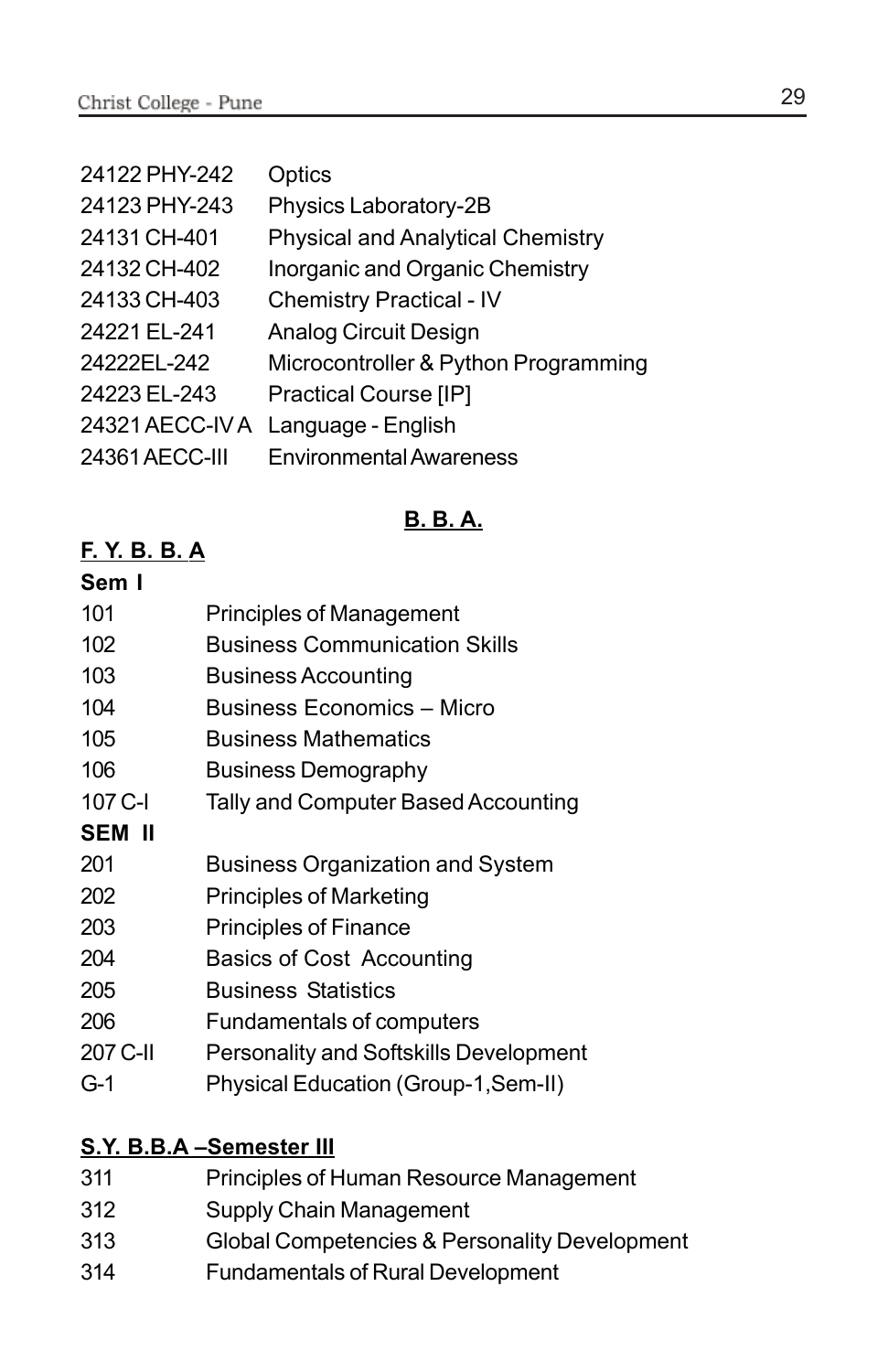| 24122 PHY-242   | Optics                                   |
|-----------------|------------------------------------------|
| 24123 PHY-243   | Physics Laboratory-2B                    |
| 24131 CH-401    | <b>Physical and Analytical Chemistry</b> |
| 24132 CH-402    | Inorganic and Organic Chemistry          |
| 24133 CH-403    | <b>Chemistry Practical - IV</b>          |
| 24221 FL-241    | Analog Circuit Design                    |
| 24222EL-242     | Microcontroller & Python Programming     |
| 24223 EL-243    | Practical Course [IP]                    |
| 24321 AECC-IV A | Language - English                       |
| 24361 AECC-III  | <b>Environmental Awareness</b>           |

### **B. B. A.**

### **F. Y. B. B. A**

### **Sem I**

| 101      | <b>Principles of Management</b>               |
|----------|-----------------------------------------------|
| 102      | <b>Business Communication Skills</b>          |
| 103      | <b>Business Accounting</b>                    |
| 104      | Business Economics - Micro                    |
| 105      | <b>Business Mathematics</b>                   |
| 106      | <b>Business Demography</b>                    |
| 107 C-I  | Tally and Computer Based Accounting           |
| SEM II   |                                               |
| 201      | <b>Business Organization and System</b>       |
| 202      | <b>Principles of Marketing</b>                |
| 203      | <b>Principles of Finance</b>                  |
| 204      | <b>Basics of Cost Accounting</b>              |
| 205      | <b>Business Statistics</b>                    |
| 206      | <b>Fundamentals of computers</b>              |
| 207 C-II | <b>Personality and Softskills Development</b> |
| G-1      | Physical Education (Group-1, Sem-II)          |
|          |                                               |
|          |                                               |

### **S.Y. B.B.A –Semester III**

- 311 Principles of Human Resource Management
- 312 Supply Chain Management
- 313 Global Competencies & Personality Development
- 314 Fundamentals of Rural Development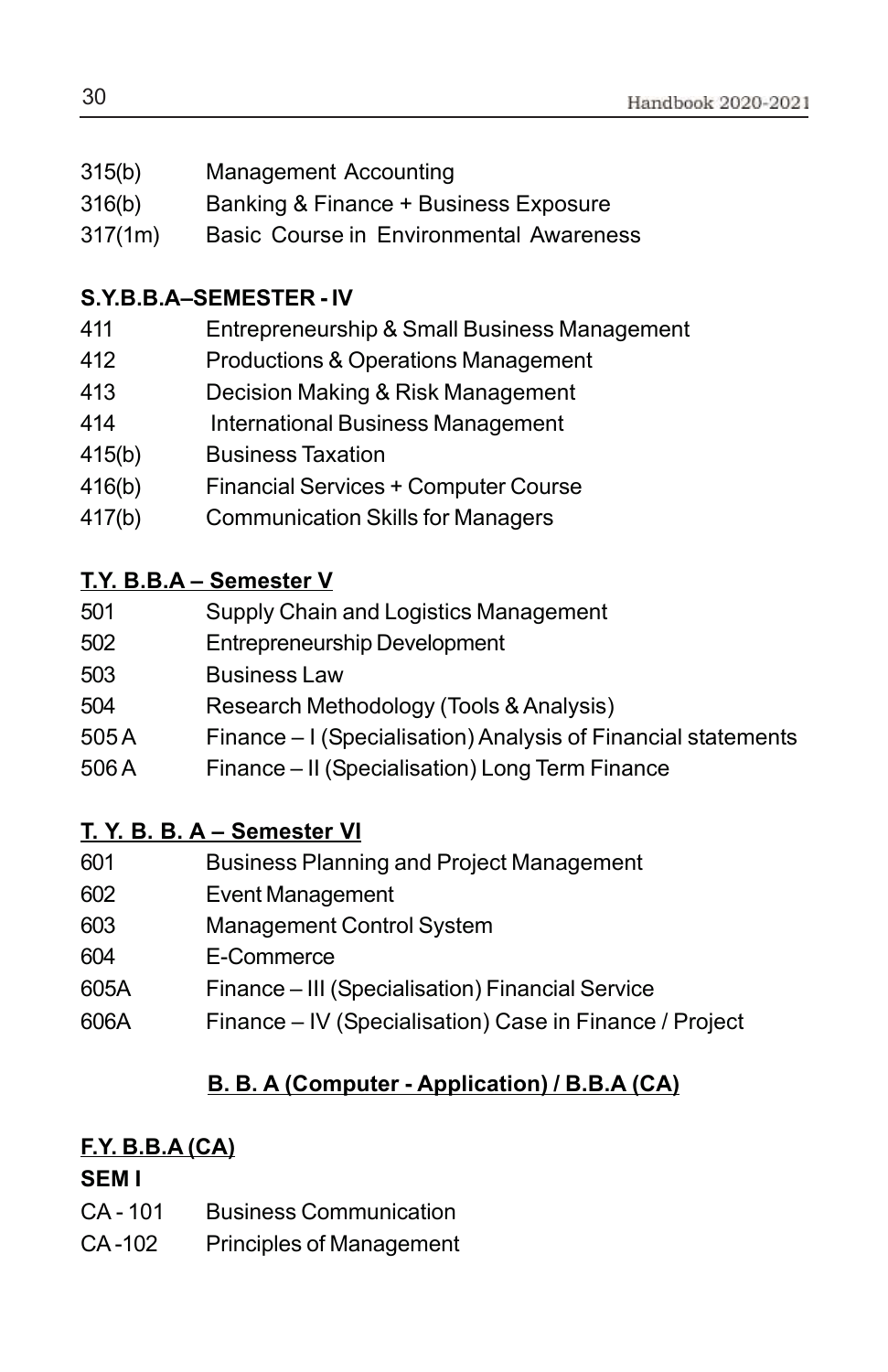- 315(b) Management Accounting
- 316(b) Banking & Finance + Business Exposure
- 317(1m) Basic Course in Environmental Awareness

### **S.Y.B.B.A–SEMESTER - IV**

- 411 Entrepreneurship & Small Business Management
- 412 Productions & Operations Management
- 413 Decision Making & Risk Management
- 414 International Business Management
- 415(b) Business Taxation
- 416(b) Financial Services + Computer Course
- 417(b) Communication Skills for Managers

### **T.Y. B.B.A – Semester V**

| 501 | Supply Chain and Logistics Management |  |
|-----|---------------------------------------|--|
|     |                                       |  |

- 502 Entrepreneurship Development
- 503 Business Law
- 504 Research Methodology (Tools & Analysis)
- 505 A Finance I (Specialisation) Analysis of Financial statements
- 506 A Finance II (Specialisation) Long Term Finance

### **T. Y. B. B. A – Semester VI**

- 601 Business Planning and Project Management
- 602 Event Management
- 603 Management Control System
- 604 E-Commerce
- 605A Finance III (Specialisation) Financial Service
- 606A Finance IV (Specialisation) Case in Finance / Project

### **B. B. A (Computer - Application) / B.B.A (CA)**

### **F.Y. B.B.A (CA)**

### **SEM I**

- CA 101 Business Communication
- CA -102 Principles of Management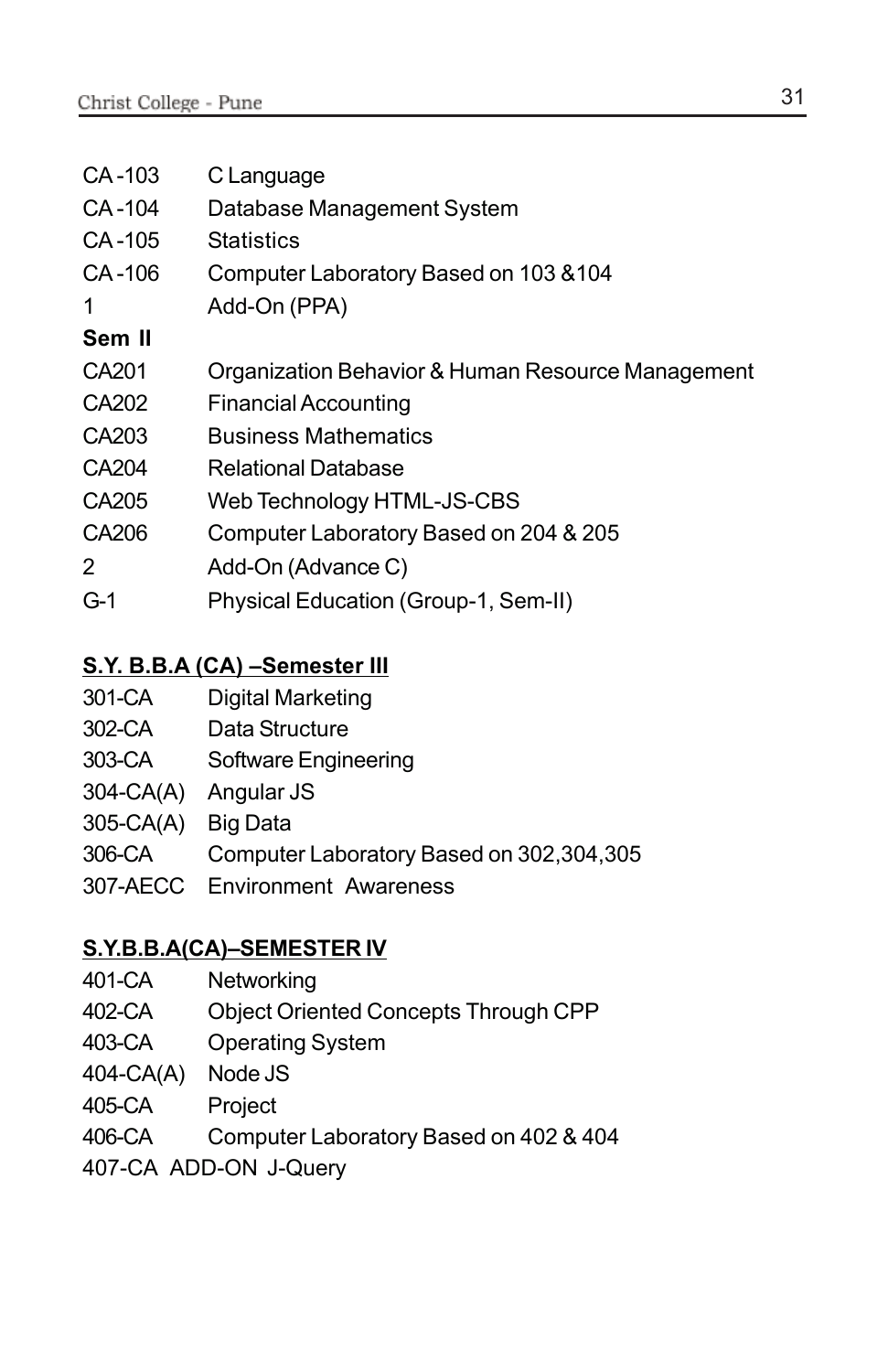| CA-103 | C Language                                        |
|--------|---------------------------------------------------|
| CA-104 | Database Management System                        |
| CA-105 | Statistics                                        |
| CA-106 | Computer Laboratory Based on 103 & 104            |
| 1      | Add-On (PPA)                                      |
| Sem II |                                                   |
| CA201  | Organization Behavior & Human Resource Management |
| CA202  | <b>Financial Accounting</b>                       |
| CA203  | <b>Business Mathematics</b>                       |
| CA204  | <b>Relational Database</b>                        |
| CA205  | Web Technology HTML-JS-CBS                        |
| CA206  | Computer Laboratory Based on 204 & 205            |
| 2      | Add-On (Advance C)                                |
| $G-1$  | Physical Education (Group-1, Sem-II)              |

### **S.Y. B.B.A (CA) –Semester III**

- 301-CA Digital Marketing
- 302-CA Data Structure
- 303-CA Software Engineering
- 304-CA(A) Angular JS
- 305-CA(A) Big Data
- 306-CA Computer Laboratory Based on 302,304,305
- 307-AECC Environment Awareness

### **S.Y.B.B.A(CA)–SEMESTER IV**

- 401-CA Networking
- 402-CA Object Oriented Concepts Through CPP
- 403-CA Operating System
- 404-CA(A) Node JS
- 405-CA Project
- 406-CA Computer Laboratory Based on 402 & 404
- 407-CA ADD-ON J-Query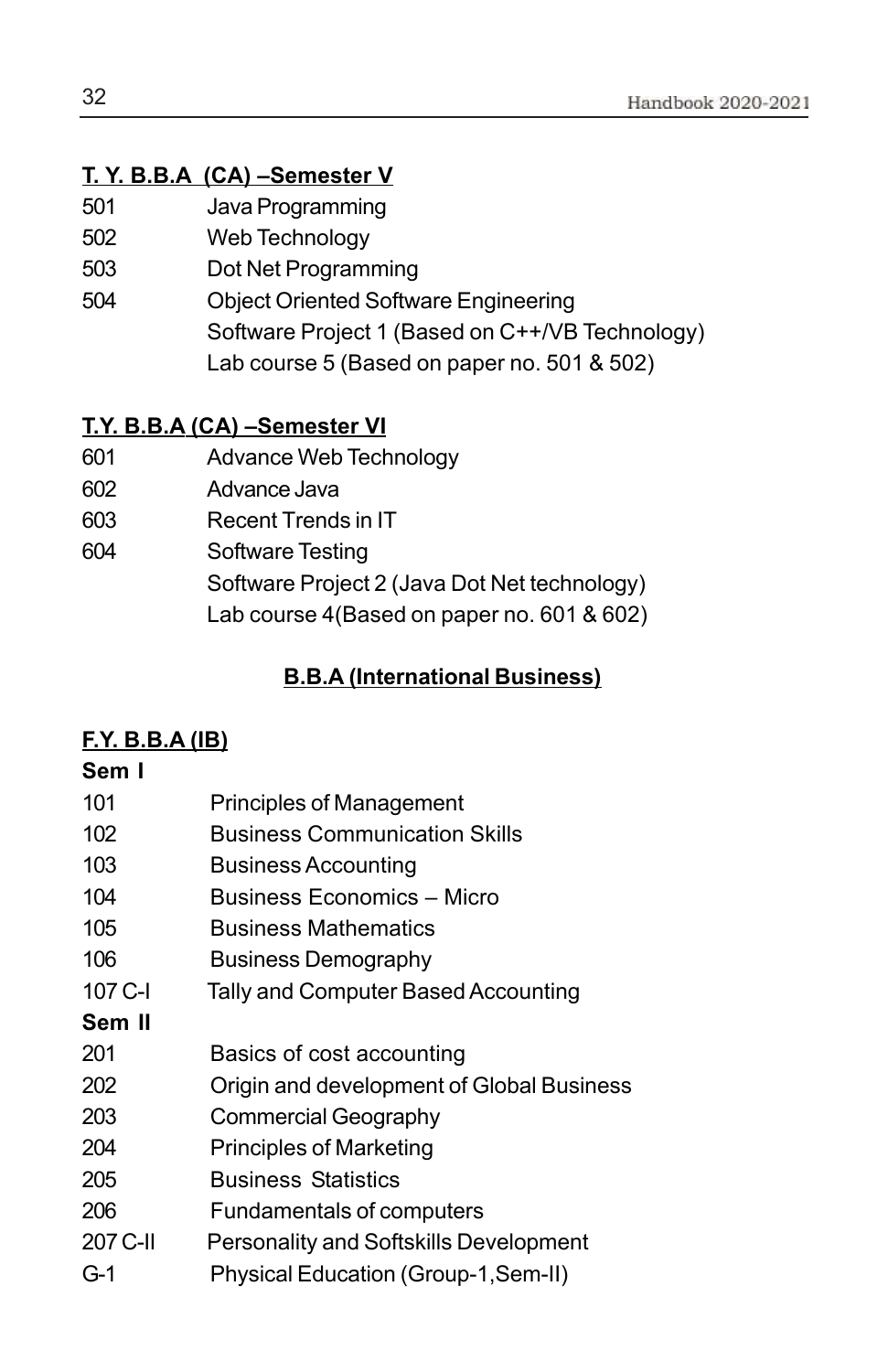### **T. Y. B.B.A (CA) –Semester V**

- 501 Java Programming
- 502 Web Technology
- 503 Dot Net Programming
- 504 Object Oriented Software Engineering Software Project 1 (Based on C++/VB Technology) Lab course 5 (Based on paper no. 501 & 502)

### **T.Y. B.B.A (CA) –Semester VI**

- 601 Advance Web Technology
- 602 Advance Java
- 603 Recent Trends in IT
- 604 Software Testing Software Project 2 (Java Dot Net technology) Lab course 4(Based on paper no. 601 & 602)

### **B.B.A (International Business)**

### **F.Y. B.B.A (IB)**

### **Sem I**

| 101      | <b>Principles of Management</b>               |
|----------|-----------------------------------------------|
| 102      | <b>Business Communication Skills</b>          |
| 103      | <b>Business Accounting</b>                    |
| 104      | Business Economics - Micro                    |
| 105      | <b>Business Mathematics</b>                   |
| 106      | <b>Business Demography</b>                    |
| 107 C-I  | Tally and Computer Based Accounting           |
| Sem II   |                                               |
| 201      | Basics of cost accounting                     |
| 202      | Origin and development of Global Business     |
| 203      | <b>Commercial Geography</b>                   |
| 204      | <b>Principles of Marketing</b>                |
| 205      | <b>Business Statistics</b>                    |
| 206      | Fundamentals of computers                     |
| 207 C-II | <b>Personality and Softskills Development</b> |
| G-1      | Physical Education (Group-1, Sem-II)          |
|          |                                               |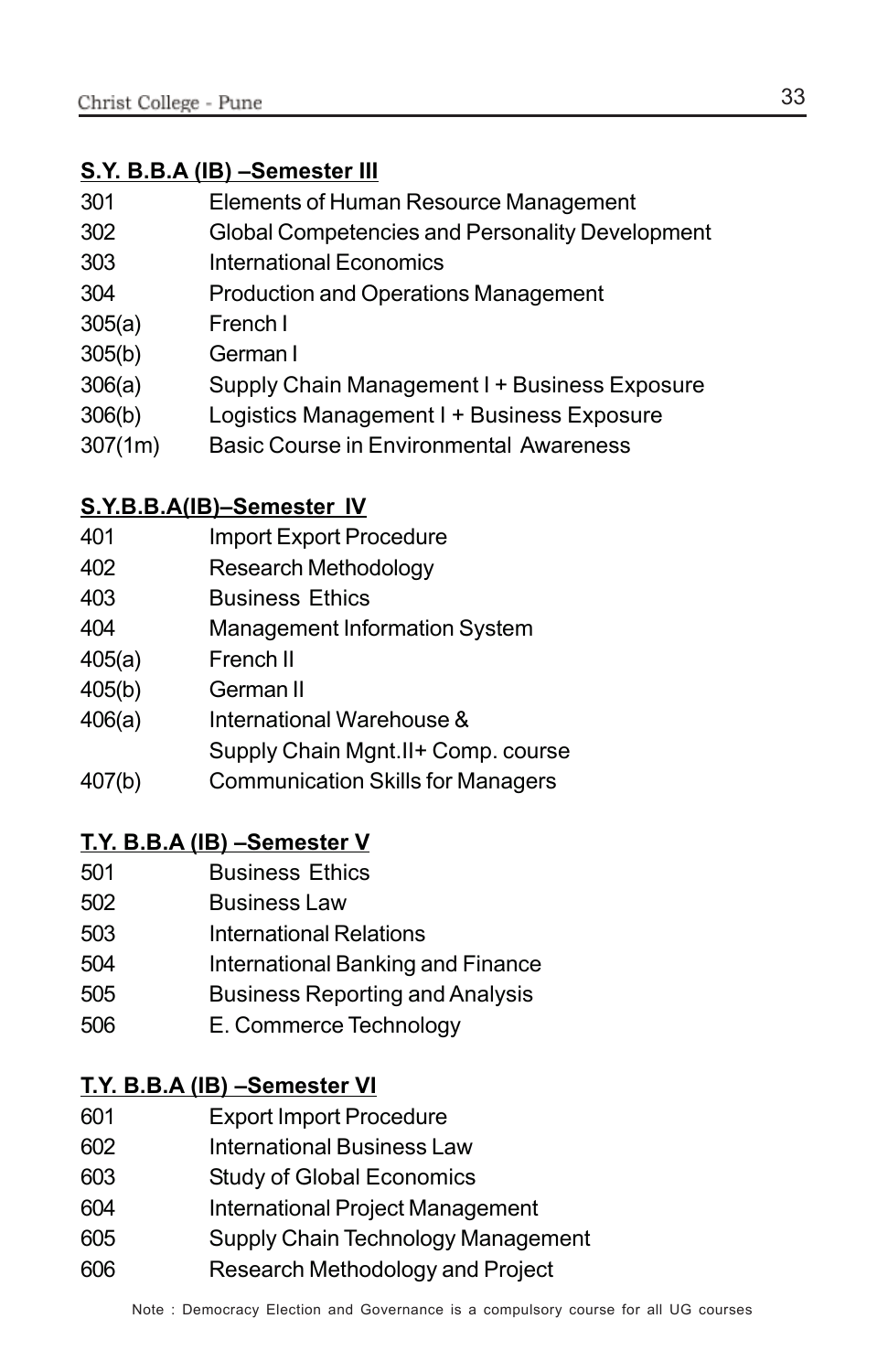### **S.Y. B.B.A (IB) –Semester III**

| 301 | Elements of Human Resource Management       |
|-----|---------------------------------------------|
| ∩∩ח | Clebel Compatencies and Dessensity Develops |

- 302 Global Competencies and Personality Development
- 303 International Economics
- 304 Production and Operations Management
- 305(a) French I
- 305(b) German I
- 306(a) Supply Chain Management I + Business Exposure
- 306(b) Logistics Management I + Business Exposure
- 307(1m) Basic Course in Environmental Awareness

### **S.Y.B.B.A(IB)–Semester IV**

- 401 Import Export Procedure
- 402 Research Methodology
- 403 Business Ethics
- 404 Management Information System
- 405(a) French II
- 405(b) German II
- 406(a) International Warehouse &
- Supply Chain Mgnt.II+ Comp. course
- 407(b) Communication Skills for Managers

### **T.Y. B.B.A (IB) –Semester V**

- 501 Business Ethics
- 502 Business Law
- 503 International Relations
- 504 International Banking and Finance
- 505 Business Reporting and Analysis
- 506 E. Commerce Technology

### **T.Y. B.B.A (IB) –Semester VI**

- 601 Export Import Procedure
- 602 International Business Law
- 603 Study of Global Economics
- 604 International Project Management
- 605 Supply Chain Technology Management
- 606 Research Methodology and Project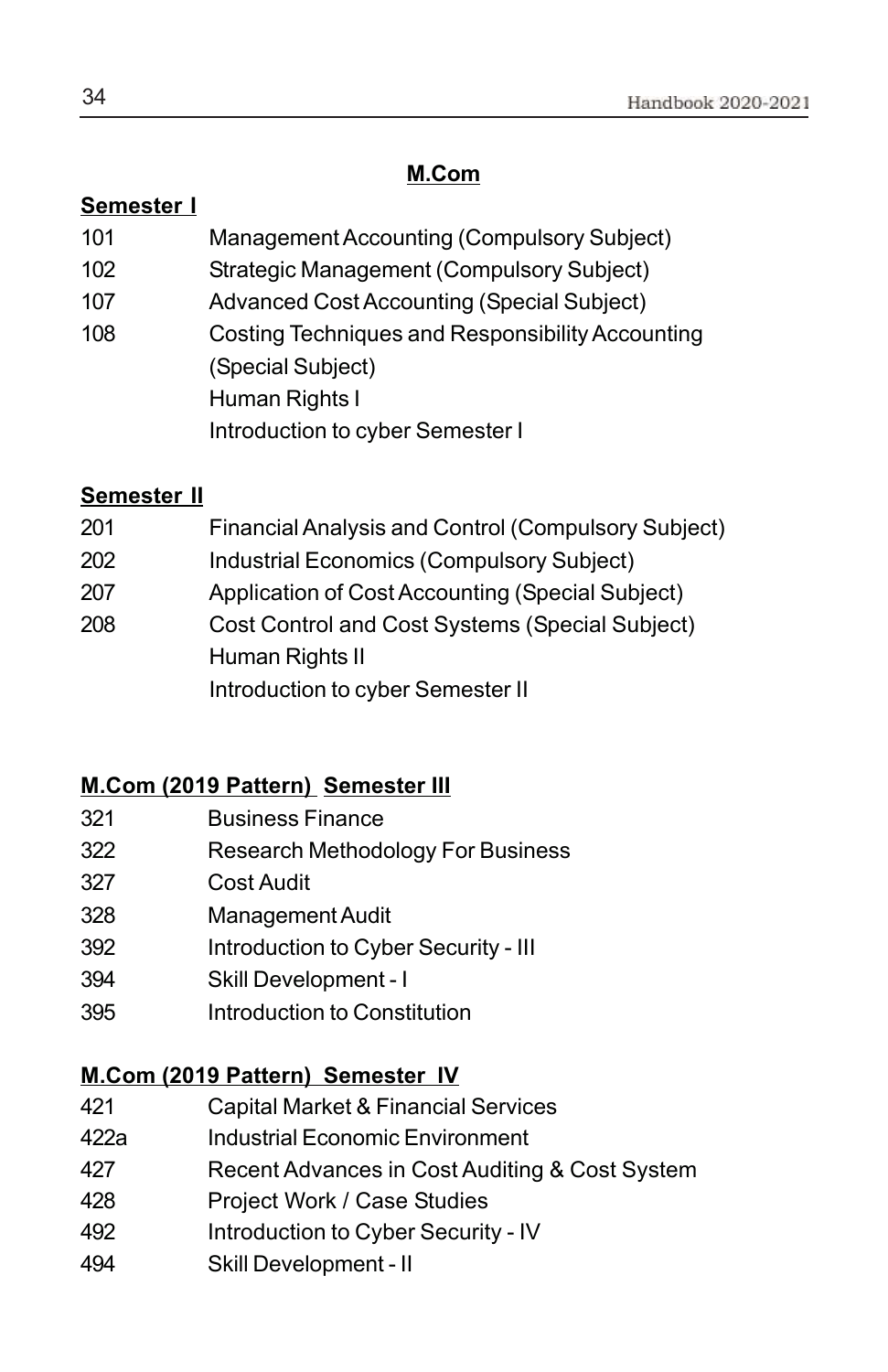### **M.Com**

### **Semester I**

- 101 Management Accounting (Compulsory Subject)
- 102 Strategic Management (Compulsory Subject)
- 107 Advanced Cost Accounting (Special Subject)
- 108 Costing Techniques and Responsibility Accounting (Special Subject) Human Rights I Introduction to cyber Semester I

### **Semester II**

| 201 | <b>Financial Analysis and Control (Compulsory Subject)</b> |
|-----|------------------------------------------------------------|
| 202 | <b>Industrial Economics (Compulsory Subject)</b>           |
| 207 | Application of Cost Accounting (Special Subject)           |
| 208 | Cost Control and Cost Systems (Special Subject)            |
|     | Human Rights II                                            |
|     | Introduction to cyber Semester II                          |

**Business** 

### **M.Com (2019 Pattern) Semester III**

| 321 | <b>Business Finance</b>  |
|-----|--------------------------|
| 322 | Research Methodology For |
| 327 | Cost Audit               |

- 328 Management Audit
- 392 Introduction to Cyber Security III
- 394 Skill Development I
- 395 Introduction to Constitution

### **M.Com (2019 Pattern) Semester IV**

- 421 Capital Market & Financial Services
- 422a Industrial Economic Environment
- 427 Recent Advances in Cost Auditing & Cost System
- 428 Project Work / Case Studies
- 492 Introduction to Cyber Security IV
- 494 Skill Development II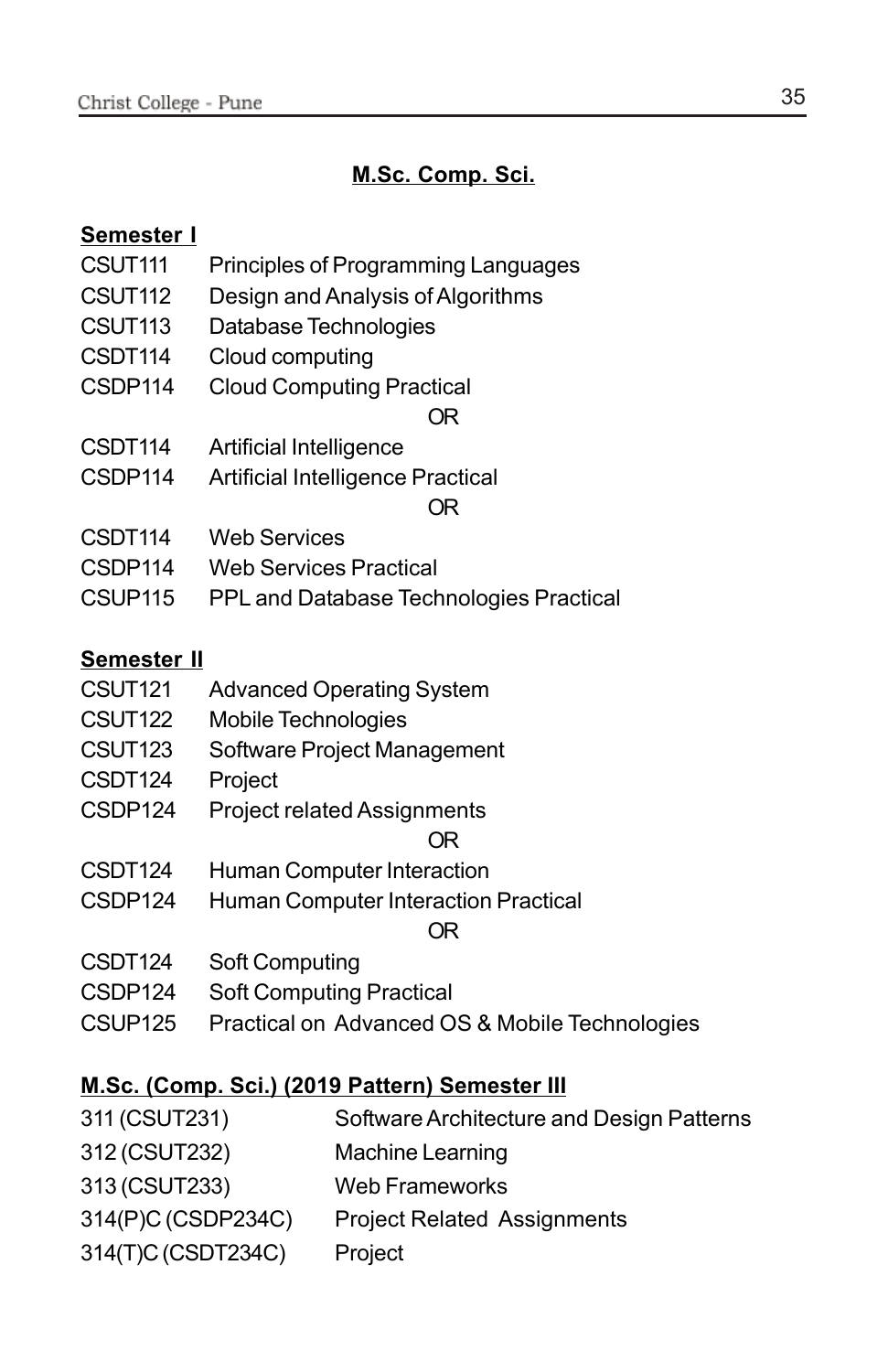### **M.Sc. Comp. Sci.**

### **Semester I**

- CSUT111 Principles of Programming Languages
- CSUT112 Design and Analysis of Algorithms
- CSUT113 Database Technologies
- CSDT114 Cloud computing
- CSDP114 Cloud Computing Practical

OR

- CSDT114 Artificial Intelligence
- CSDP114 Artificial Intelligence Practical

### OR

- CSDT114 Web Services
- CSDP114 Web Services Practical
- CSUP115 PPL and Database Technologies Practical

### **Semester II**

- CSUT121 Advanced Operating System
- CSUT122 Mobile Technologies
- CSUT123 Software Project Management
- CSDT124 Project
- CSDP124 Project related Assignments

### OR

- CSDT124 Human Computer Interaction
- CSDP124 Human Computer Interaction Practical

### OR

- CSDT124 Soft Computing
- CSDP124 Soft Computing Practical
- CSUP125 Practical on Advanced OS & Mobile Technologies

### **M.Sc. (Comp. Sci.) (2019 Pattern) Semester III**

- 311 (CSUT231) Software Architecture and Design Patterns
- 312 (CSUT232) Machine Learning
- 313 (CSUT233) Web Frameworks
- 314(P)C (CSDP234C) Project Related Assignments
- 314(T)C (CSDT234C) Project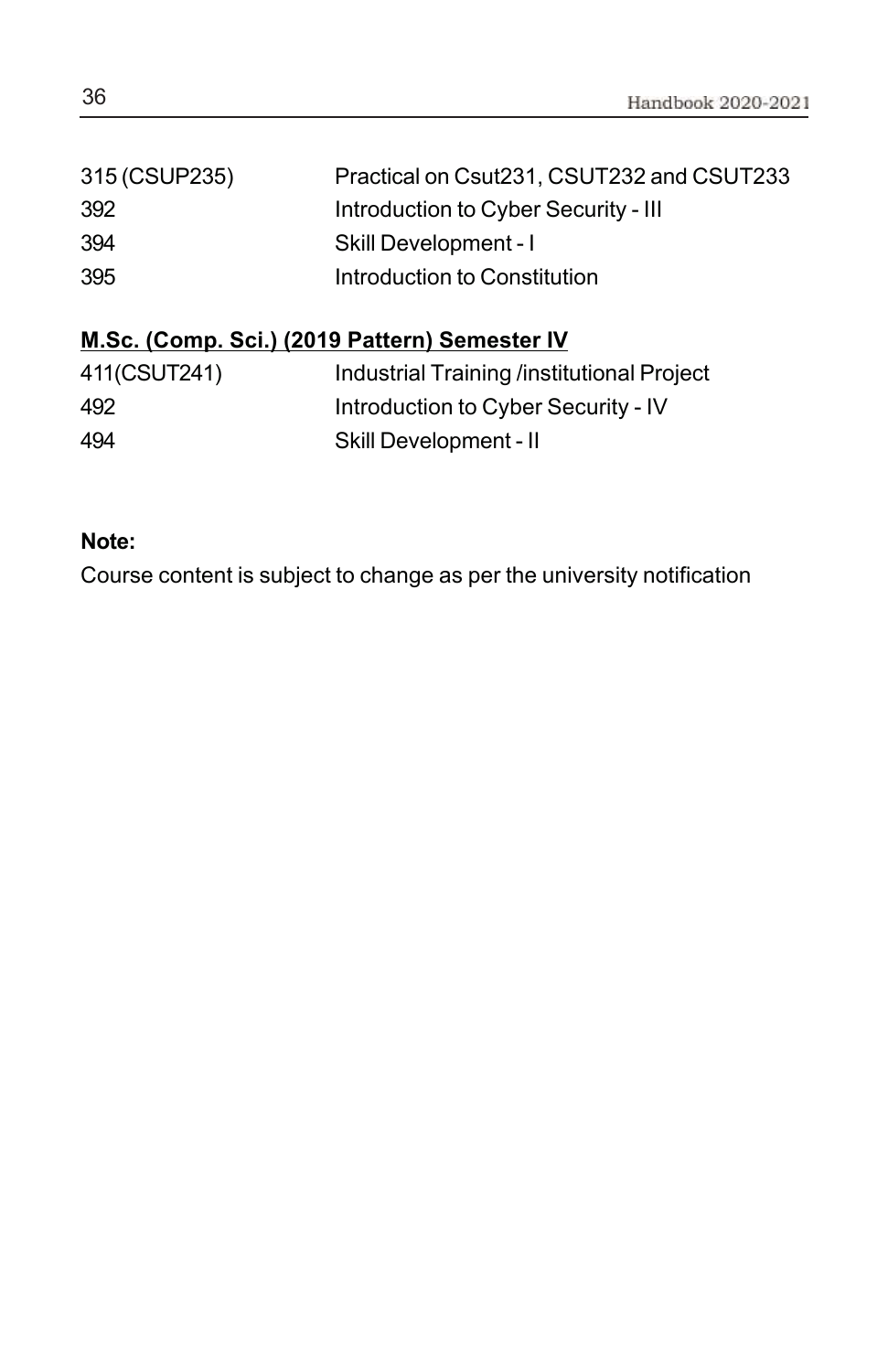| 315 (CSUP235) | Practical on Csut231, CSUT232 and CSUT233 |
|---------------|-------------------------------------------|
| 392           | Introduction to Cyber Security - III      |
| 394           | Skill Development - I                     |
| 395           | Introduction to Constitution              |

### **M.Sc. (Comp. Sci.) (2019 Pattern) Semester IV**

| 411(CSUT241) | Industrial Training /institutional Project |
|--------------|--------------------------------------------|
| 492          | Introduction to Cyber Security - IV        |
| 494          | Skill Development - II                     |

### **Note:**

Course content is subject to change as per the university notification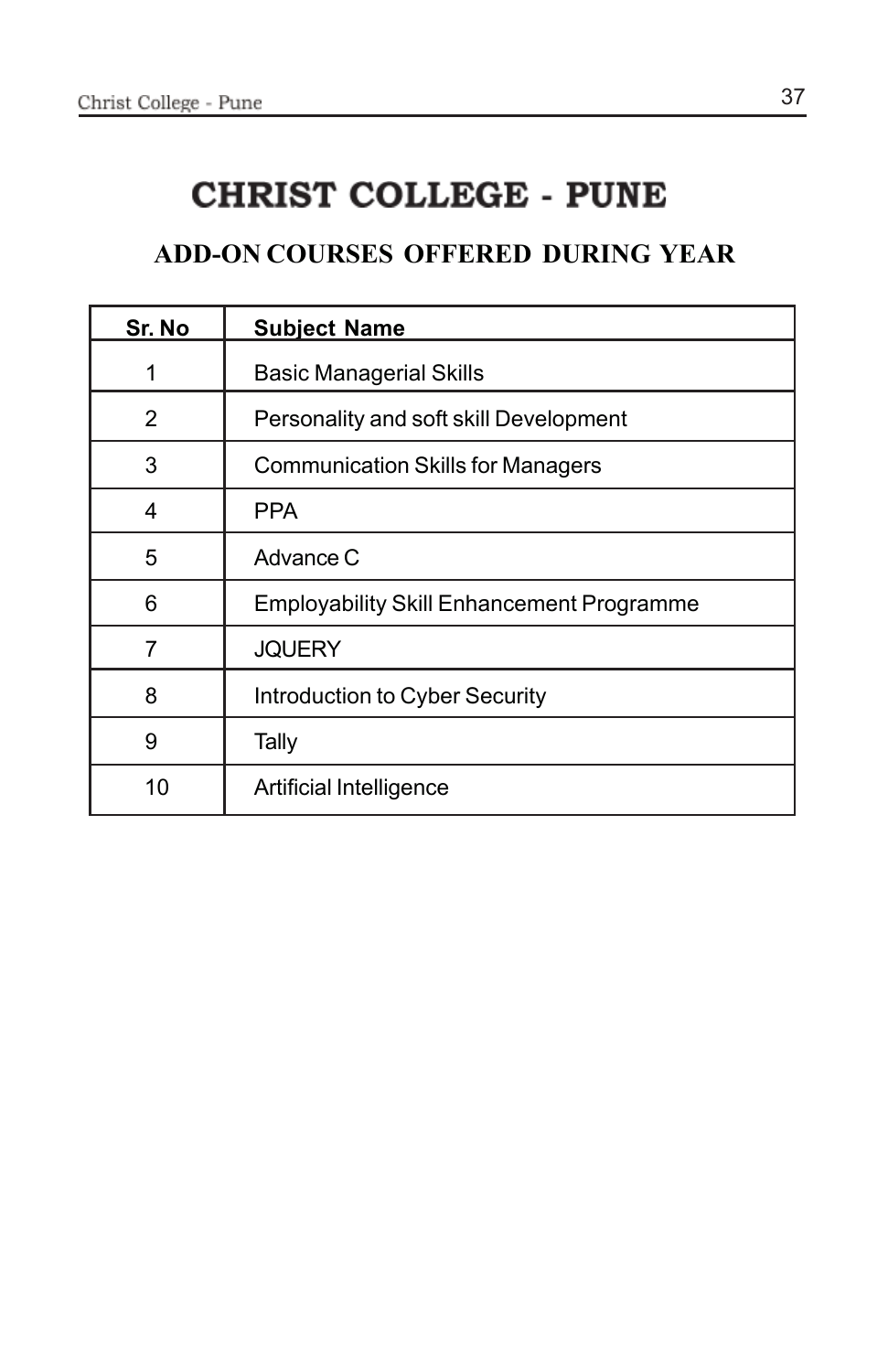# **CHRIST COLLEGE - PUNE**

### **ADD-ON COURSES OFFERED DURING YEAR**

| Sr. No | <b>Subject Name</b>                              |
|--------|--------------------------------------------------|
| 1      | <b>Basic Managerial Skills</b>                   |
| 2      | Personality and soft skill Development           |
| 3      | <b>Communication Skills for Managers</b>         |
| 4      | <b>PPA</b>                                       |
| 5      | Advance C                                        |
| 6      | <b>Employability Skill Enhancement Programme</b> |
| 7      | <b>JQUERY</b>                                    |
| 8      | Introduction to Cyber Security                   |
| 9      | Tally                                            |
| 10     | Artificial Intelligence                          |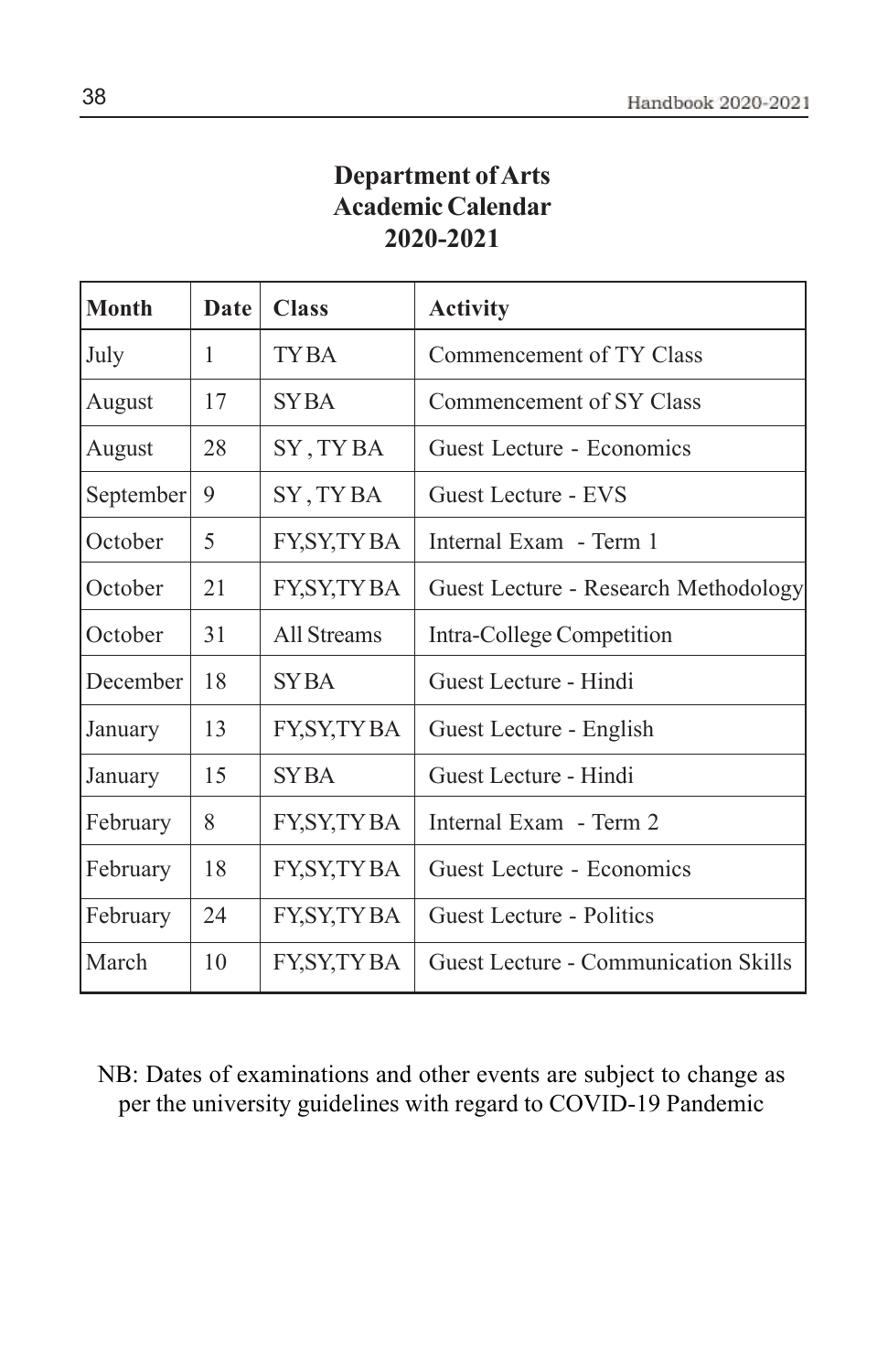### **Department of Arts Academic Calendar 2020-2021**

| <b>Month</b> | <b>Date</b> | <b>Class</b> | <b>Activity</b>                             |
|--------------|-------------|--------------|---------------------------------------------|
| July         | 1           | <b>TYBA</b>  | Commencement of TY Class                    |
| August       | 17          | <b>SYBA</b>  | Commencement of SY Class                    |
| August       | 28          | SY, TYBA     | Guest Lecture - Economics                   |
| September    | 9           | SY, TYBA     | Guest Lecture - EVS                         |
| October      | 5           | FY, SY, TYBA | Internal Exam - Term 1                      |
| October      | 21          | FY, SY, TYBA | Guest Lecture - Research Methodology        |
| October      | 31          | All Streams  | Intra-College Competition                   |
| December     | 18          | <b>SYBA</b>  | Guest Lecture - Hindi                       |
| January      | 13          | FY, SY, TYBA | Guest Lecture - English                     |
| January      | 15          | <b>SYBA</b>  | Guest Lecture - Hindi                       |
| February     | 8           | FY, SY, TYBA | Internal Exam - Term 2                      |
| February     | 18          | FY, SY, TYBA | Guest Lecture - Economics                   |
| February     | 24          | FY, SY, TYBA | Guest Lecture - Politics                    |
| March        | 10          | FY, SY, TYBA | <b>Guest Lecture - Communication Skills</b> |

NB: Dates of examinations and other events are subject to change as per the university guidelines with regard to COVID-19 Pandemic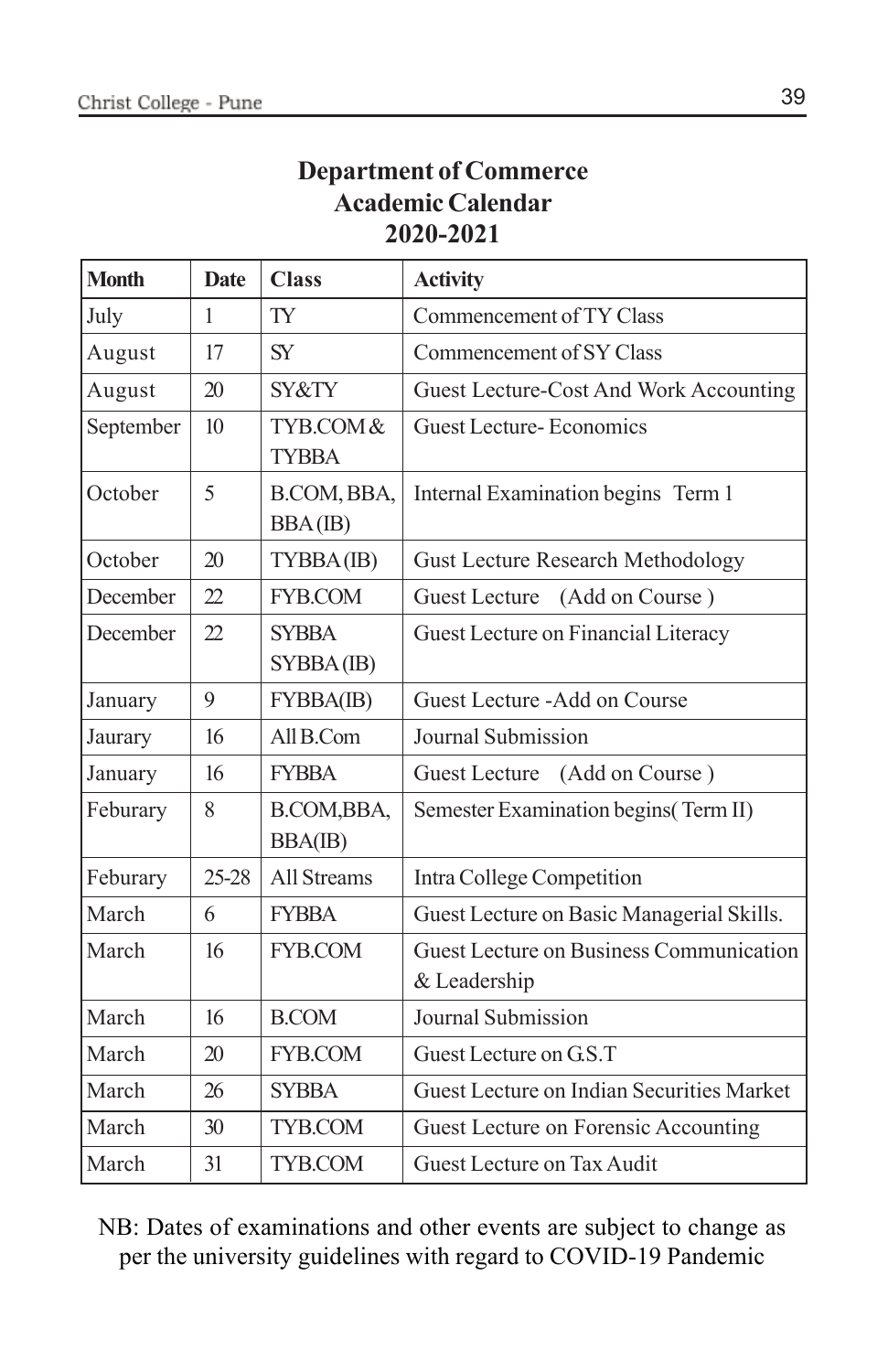### **Department of Commerce Academic Calendar 2020-2021**

| <b>Month</b> | <b>Date</b>  | <b>Class</b>              | <b>Activity</b>                                                |
|--------------|--------------|---------------------------|----------------------------------------------------------------|
| July         | $\mathbf{1}$ | <b>TY</b>                 | Commencement of TY Class                                       |
| August       | 17           | <b>SY</b>                 | Commencement of SY Class                                       |
| August       | 20           | SY&TY                     | Guest Lecture-Cost And Work Accounting                         |
| September    | 10           | TYB.COM&<br><b>TYBBA</b>  | Guest Lecture-Economics                                        |
| October      | 5            | B.COM, BBA,<br>BBA(IB)    | Internal Examination begins Term 1                             |
| October      | 20           | TYBBA(IB)                 | <b>Gust Lecture Research Methodology</b>                       |
| December     | 22           | FYB.COM                   | (Add on Course)<br>Guest Lecture                               |
| December     | 22           | <b>SYBBA</b><br>SYBBA(IB) | Guest Lecture on Financial Literacy                            |
| January      | 9            | FYBBA(IB)                 | Guest Lecture - Add on Course                                  |
| Jaurary      | 16           | All B.Com                 | Journal Submission                                             |
| January      | 16           | <b>FYBBA</b>              | Guest Lecture (Add on Course)                                  |
| Feburary     | 8            | B.COM, BBA,<br>BBA(IB)    | Semester Examination begins (Term II)                          |
| Feburary     | 25-28        | <b>All Streams</b>        | Intra College Competition                                      |
| March        | 6            | <b>FYBBA</b>              | Guest Lecture on Basic Managerial Skills.                      |
| March        | 16           | FYB.COM                   | <b>Guest Lecture on Business Communication</b><br>& Leadership |
| March        | 16           | <b>B.COM</b>              | Journal Submission                                             |
| March        | 20           | FYB.COM                   | Guest Lecture on G.S.T                                         |
| March        | 26           | <b>SYBBA</b>              | Guest Lecture on Indian Securities Market                      |
| March        | 30           | TYB.COM                   | Guest Lecture on Forensic Accounting                           |
| March        | 31           | TYB.COM                   | Guest Lecture on Tax Audit                                     |

NB: Dates of examinations and other events are subject to change as per the university guidelines with regard to COVID-19 Pandemic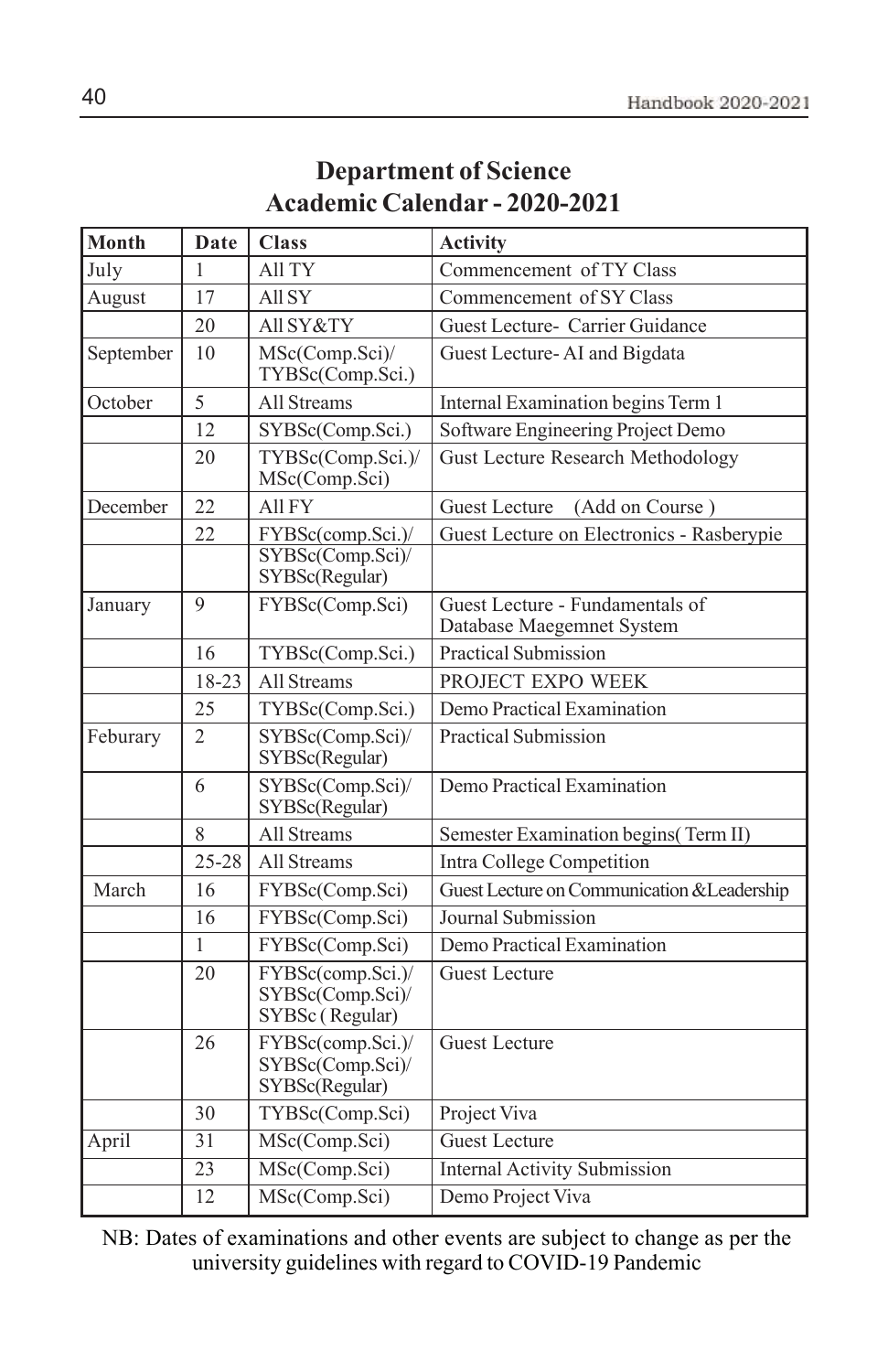| <b>Department of Science</b>         |  |
|--------------------------------------|--|
| <b>Academic Calendar - 2020-2021</b> |  |

| Month     | Date            | <b>Class</b>                                             | <b>Activity</b>                                              |
|-----------|-----------------|----------------------------------------------------------|--------------------------------------------------------------|
| July      | 1               | All TY                                                   | Commencement of TY Class                                     |
| August    | 17              | All SY                                                   | Commencement of SY Class                                     |
|           | 20              | All SY&TY                                                | Guest Lecture- Carrier Guidance                              |
| September | 10              | MSc(Comp.Sci)/<br>TYBSc(Comp.Sci.)                       | Guest Lecture-AI and Bigdata                                 |
| October   | 5               | All Streams                                              | Internal Examination begins Term 1                           |
|           | 12.             | SYBSc(Comp.Sci.)                                         | Software Engineering Project Demo                            |
|           | 20              | TYBSc(Comp.Sci.)/<br>MSc(Comp.Sci)                       | <b>Gust Lecture Research Methodology</b>                     |
| December  | 22              | All FY                                                   | <b>Guest Lecture</b><br>(Add on Course)                      |
|           | 22              | FYBSc(comp.Sci.)/                                        | Guest Lecture on Electronics - Rasberypie                    |
|           |                 | SYBSc(Comp.Sci)/<br>SYBSc(Regular)                       |                                                              |
| January   | 9               | FYBSc(Comp.Sci)                                          | Guest Lecture - Fundamentals of<br>Database Maegemnet System |
|           | 16              | TYBSc(Comp.Sci.)                                         | <b>Practical Submission</b>                                  |
|           | 18-23           | All Streams                                              | PROJECT EXPO WEEK                                            |
|           | 25              | TYBSc(Comp.Sci.)                                         | Demo Practical Examination                                   |
| Feburary  | $\overline{2}$  | SYBSc(Comp.Sci)/<br>SYBSc(Regular)                       | <b>Practical Submission</b>                                  |
|           | 6               | SYBSc(Comp.Sci)/<br>SYBSc(Regular)                       | Demo Practical Examination                                   |
|           | 8               | All Streams                                              | Semester Examination begins(Term II)                         |
|           | $25 - 28$       | All Streams                                              | Intra College Competition                                    |
| March     | 16              | FYBSc(Comp.Sci)                                          | Guest Lecture on Communication & Leadership                  |
|           | 16              | FYBSc(Comp.Sci)                                          | Journal Submission                                           |
|           | 1               | FYBSc(Comp.Sci)                                          | Demo Practical Examination                                   |
|           | 20              | FYBSc(comp.Sci.)/<br>SYBSc(Comp.Sci)/<br>SYBSc (Regular) | <b>Guest Lecture</b>                                         |
|           | 26              | FYBSc(comp.Sci.)/<br>SYBSc(Comp.Sci)/<br>SYBSc(Regular)  | <b>Guest Lecture</b>                                         |
|           | 30              | TYBSc(Comp.Sci)                                          | Project Viva                                                 |
| April     | $\overline{31}$ | MSc(Comp.Sci)                                            | <b>Guest Lecture</b>                                         |
|           | $\overline{23}$ | MSc(Comp.Sci)                                            | <b>Internal Activity Submission</b>                          |
|           | $\overline{12}$ | MSc(Comp.Sci)                                            | Demo Project Viva                                            |

NB: Dates of examinations and other events are subject to change as per the university guidelines with regard to COVID-19 Pandemic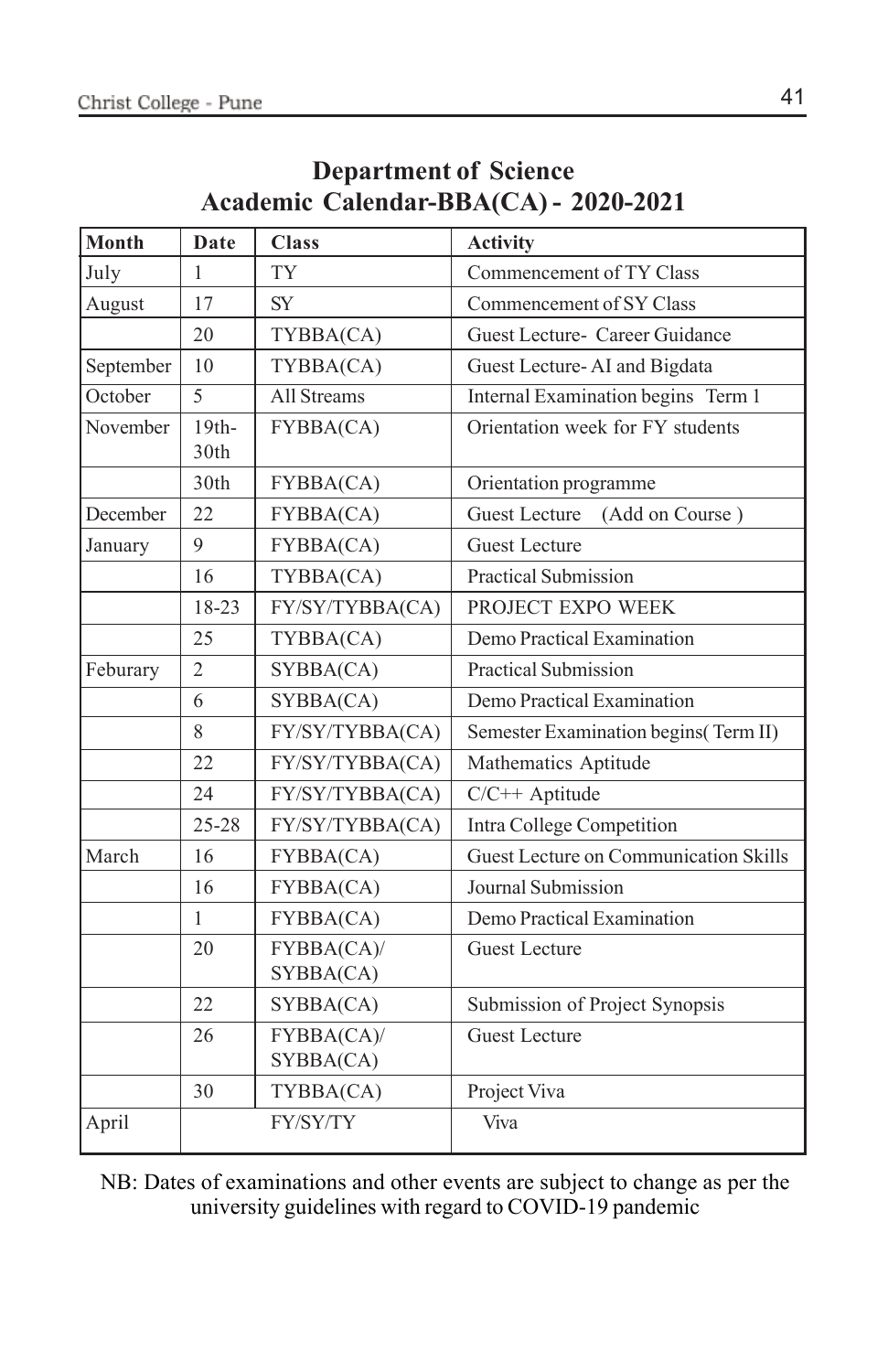| Month     | Date                        | <b>Class</b>            | <b>Activity</b>                       |  |  |
|-----------|-----------------------------|-------------------------|---------------------------------------|--|--|
| July      | 1                           | <b>TY</b>               | Commencement of TY Class              |  |  |
| August    | 17                          | <b>SY</b>               | Commencement of SY Class              |  |  |
|           | 20                          | TYBBA(CA)               | Guest Lecture- Career Guidance        |  |  |
| September | 10                          | TYBBA(CA)               | Guest Lecture-AI and Bigdata          |  |  |
| October   | 5                           | <b>All Streams</b>      | Internal Examination begins Term 1    |  |  |
| November  | $19th-$<br>30 <sub>th</sub> | FYBBA(CA)               | Orientation week for FY students      |  |  |
|           | 30th                        | FYBBA(CA)               | Orientation programme                 |  |  |
| December  | 22                          | FYBBA(CA)               | Guest Lecture<br>(Add on Course)      |  |  |
| January   | 9                           | FYBBA(CA)               | <b>Guest Lecture</b>                  |  |  |
|           | 16                          | TYBBA(CA)               | <b>Practical Submission</b>           |  |  |
|           | 18-23                       | FY/SY/TYBBA(CA)         | PROJECT EXPO WEEK                     |  |  |
|           | 25                          | TYBBA(CA)               | Demo Practical Examination            |  |  |
| Feburary  | $\overline{2}$              | SYBBA(CA)               | <b>Practical Submission</b>           |  |  |
|           | 6                           | SYBBA(CA)               | Demo Practical Examination            |  |  |
|           | 8                           | FY/SY/TYBBA(CA)         | Semester Examination begins (Term II) |  |  |
|           | 22                          | FY/SY/TYBBA(CA)         | Mathematics Aptitude                  |  |  |
|           | 24                          | FY/SY/TYBBA(CA)         | C/C++ Aptitude                        |  |  |
|           | 25-28                       | FY/SY/TYBBA(CA)         | Intra College Competition             |  |  |
| March     | 16                          | <b>FYBBA(CA)</b>        | Guest Lecture on Communication Skills |  |  |
|           | 16                          | FYBBA(CA)               | Journal Submission                    |  |  |
|           | 1                           | FYBBA(CA)               | Demo Practical Examination            |  |  |
|           | 20                          | FYBBA(CA)/<br>SYBBA(CA) | <b>Guest Lecture</b>                  |  |  |
|           | 22                          | SYBBA(CA)               | Submission of Project Synopsis        |  |  |
|           | 26                          | FYBBA(CA)/<br>SYBBA(CA) | <b>Guest Lecture</b>                  |  |  |
|           | 30                          | TYBBA(CA)               | Project Viva                          |  |  |
| April     |                             | FY/SY/TY                | Viva                                  |  |  |

### **Department of Science Academic Calendar-BBA(CA) - 2020-2021**

NB: Dates of examinations and other events are subject to change as per the university guidelines with regard to COVID-19 pandemic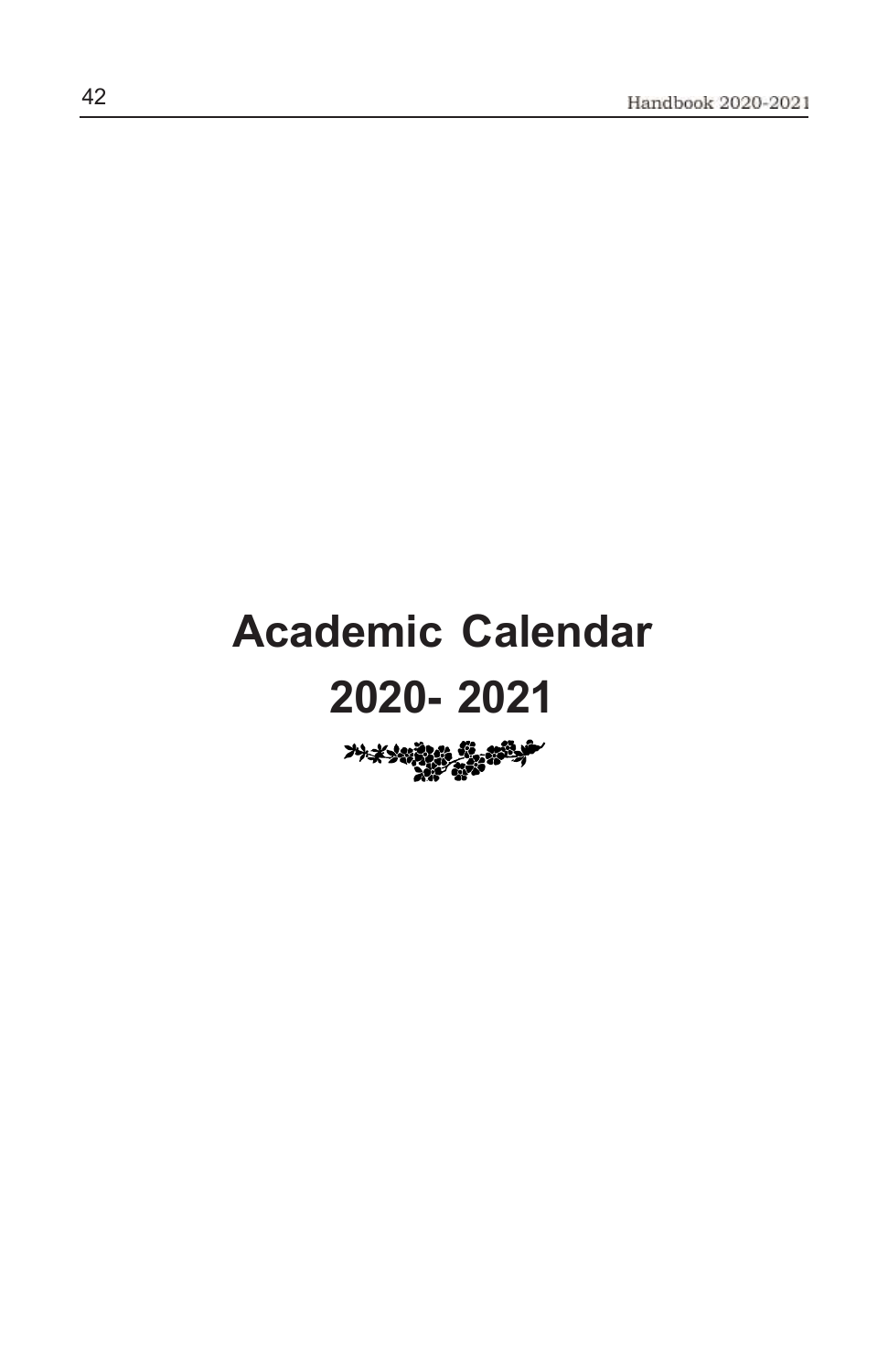# **Academic Calendar 2020- 2021**

**가**メンのまた 第一部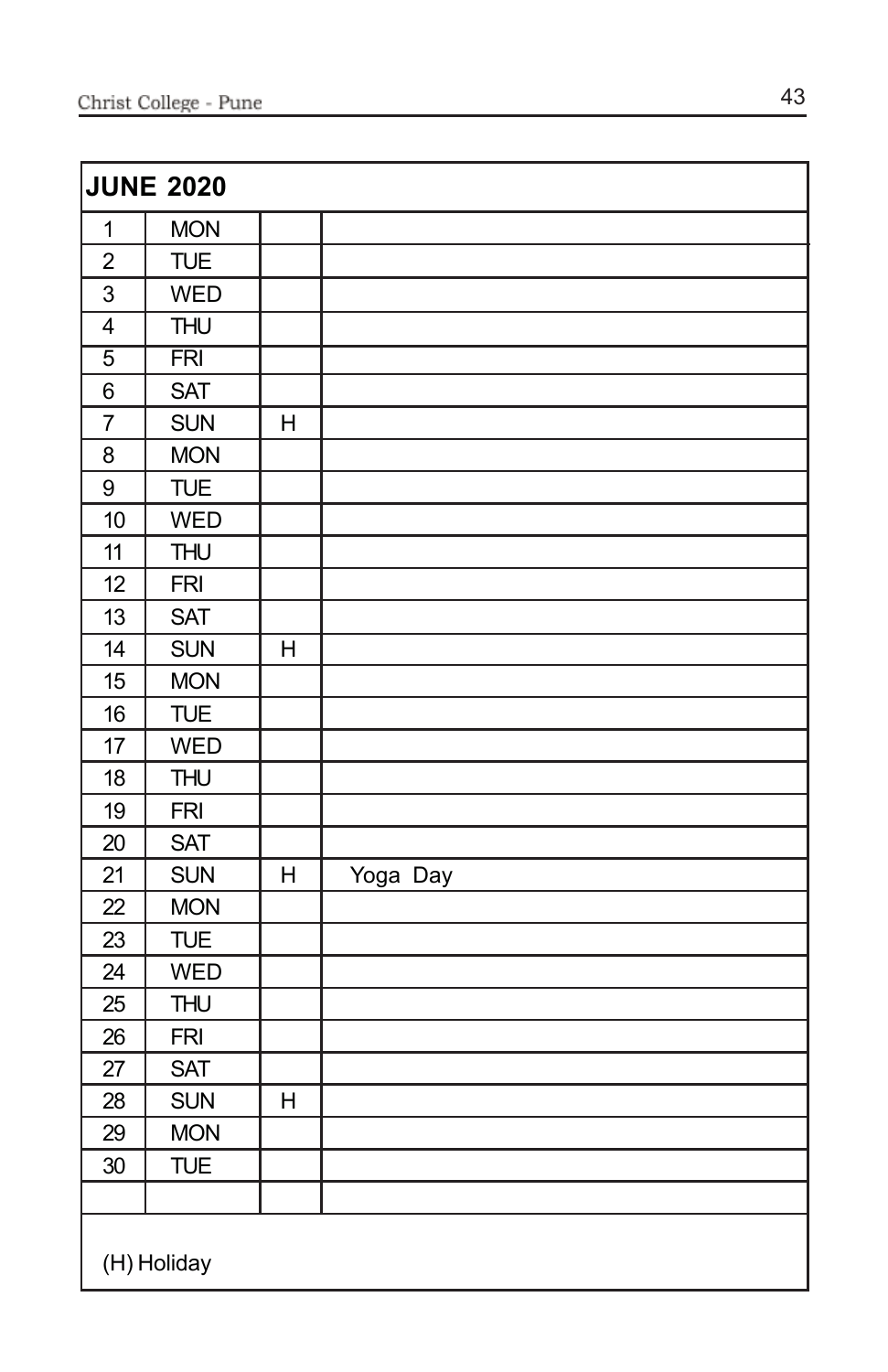| <b>JUNE 2020</b> |                 |                |          |  |
|------------------|-----------------|----------------|----------|--|
| $\mathbf 1$      | <b>MON</b>      |                |          |  |
| $\overline{2}$   | <b>TUE</b>      |                |          |  |
| 3                | <b>WED</b>      |                |          |  |
| $\overline{4}$   | <b>THU</b>      |                |          |  |
| $\overline{5}$   | $\overline{FR}$ |                |          |  |
| 6                | <b>SAT</b>      |                |          |  |
| $\overline{7}$   | <b>SUN</b>      | Η              |          |  |
| 8                | <b>MON</b>      |                |          |  |
| 9                | <b>TUE</b>      |                |          |  |
| 10               | <b>WED</b>      |                |          |  |
| 11               | <b>THU</b>      |                |          |  |
| 12               | <b>FRI</b>      |                |          |  |
| 13               | <b>SAT</b>      |                |          |  |
| 14               | <b>SUN</b>      | H              |          |  |
| 15               | <b>MON</b>      |                |          |  |
| 16               | <b>TUE</b>      |                |          |  |
| 17               | <b>WED</b>      |                |          |  |
| 18               | <b>THU</b>      |                |          |  |
| 19               | <b>FRI</b>      |                |          |  |
| 20               | <b>SAT</b>      |                |          |  |
| 21               | <b>SUN</b>      | Η              | Yoga Day |  |
| 22               | <b>MON</b>      |                |          |  |
| 23               | <b>TUE</b>      |                |          |  |
| 24               | <b>WED</b>      |                |          |  |
| 25               | <b>THU</b>      |                |          |  |
| 26               | <b>FRI</b>      |                |          |  |
| 27               | <b>SAT</b>      |                |          |  |
| 28               | <b>SUN</b>      | $\overline{H}$ |          |  |
| 29               | <b>MON</b>      |                |          |  |
| 30               | <b>TUE</b>      |                |          |  |
|                  |                 |                |          |  |
| (H) Holiday      |                 |                |          |  |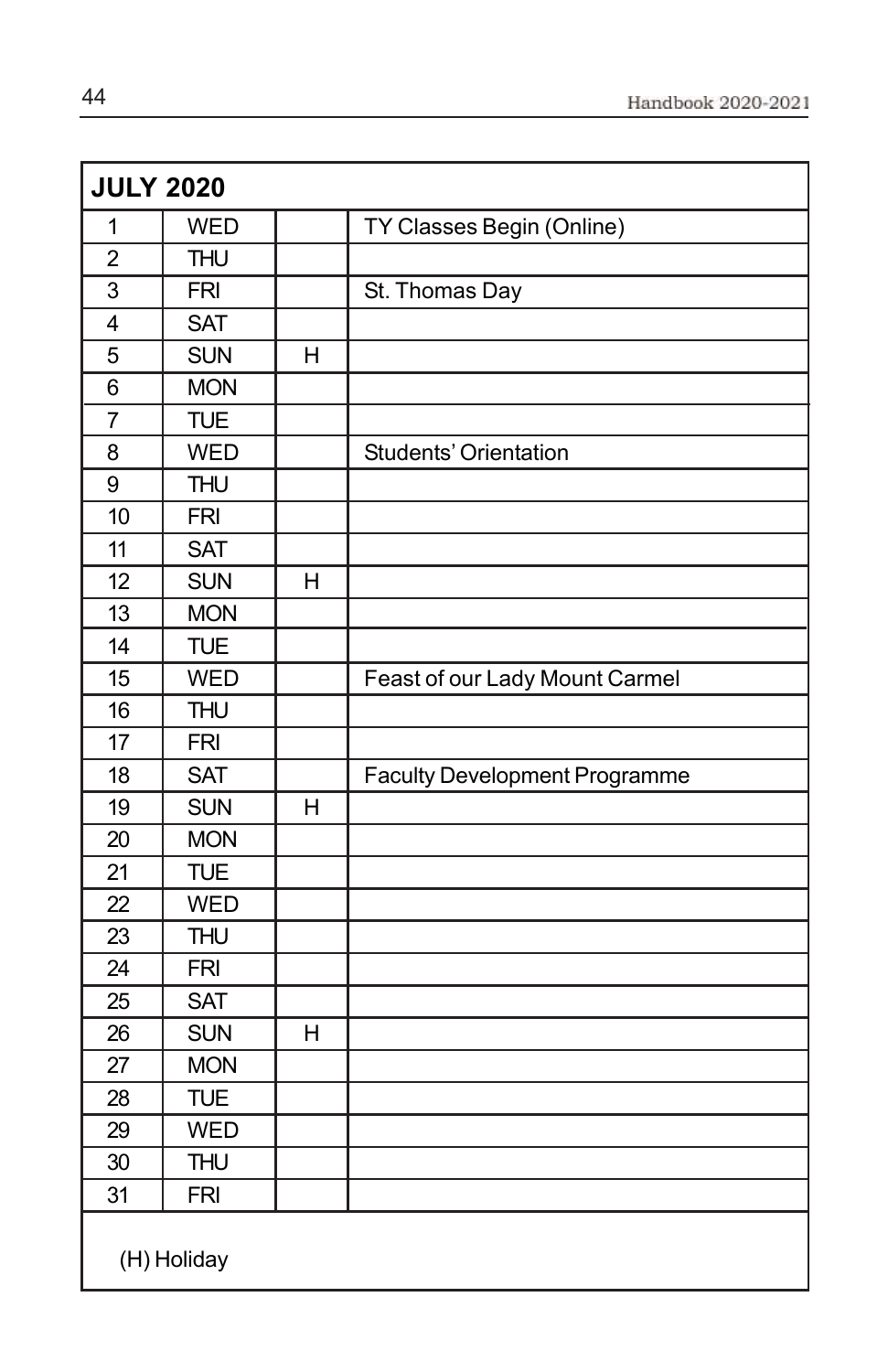| <b>JULY 2020</b> |                           |   |                                      |  |
|------------------|---------------------------|---|--------------------------------------|--|
| 1                | <b>WED</b>                |   | TY Classes Begin (Online)            |  |
| $\overline{2}$   | $\overline{\mathsf{THU}}$ |   |                                      |  |
| 3                | <b>FRI</b>                |   | St. Thomas Day                       |  |
| 4                | <b>SAT</b>                |   |                                      |  |
| 5                | <b>SUN</b>                | H |                                      |  |
| 6                | <b>MON</b>                |   |                                      |  |
| $\overline{7}$   | <b>TUE</b>                |   |                                      |  |
| 8                | <b>WED</b>                |   | Students' Orientation                |  |
| 9                | <b>THU</b>                |   |                                      |  |
| 10               | <b>FRI</b>                |   |                                      |  |
| 11               | <b>SAT</b>                |   |                                      |  |
| 12               | <b>SUN</b>                | Η |                                      |  |
| 13               | <b>MON</b>                |   |                                      |  |
| 14               | <b>TUE</b>                |   |                                      |  |
| 15               | <b>WED</b>                |   | Feast of our Lady Mount Carmel       |  |
| 16               | <b>THU</b>                |   |                                      |  |
| 17               | <b>FRI</b>                |   |                                      |  |
| 18               | <b>SAT</b>                |   | <b>Faculty Development Programme</b> |  |
| 19               | <b>SUN</b>                | H |                                      |  |
| 20               | <b>MON</b>                |   |                                      |  |
| 21               | <b>TUE</b>                |   |                                      |  |
| 22               | <b>WED</b>                |   |                                      |  |
| 23               | <b>THU</b>                |   |                                      |  |
| 24               | <b>FRI</b>                |   |                                      |  |
| 25               | <b>SAT</b>                |   |                                      |  |
| 26               | <b>SUN</b>                | H |                                      |  |
| 27               | <b>MON</b>                |   |                                      |  |
| 28               | <b>TUE</b>                |   |                                      |  |
| 29               | <b>WED</b>                |   |                                      |  |
| 30               | <b>THU</b>                |   |                                      |  |
| 31               | <b>FRI</b>                |   |                                      |  |
| (H) Holiday      |                           |   |                                      |  |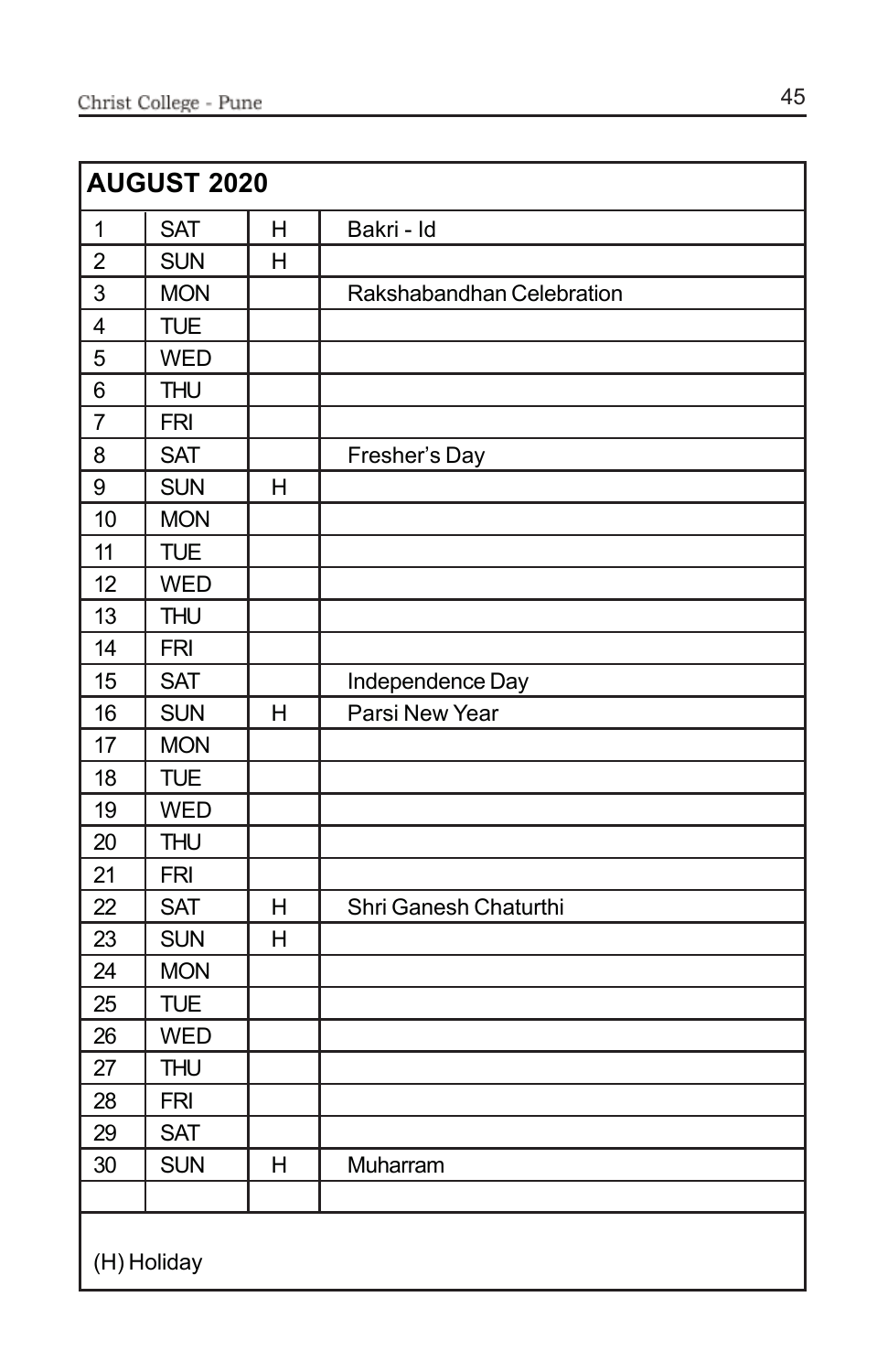| <b>AUGUST 2020</b>      |            |   |                           |
|-------------------------|------------|---|---------------------------|
| 1                       | <b>SAT</b> | Η | Bakri - Id                |
| $\overline{2}$          | <b>SUN</b> | H |                           |
| 3                       | <b>MON</b> |   | Rakshabandhan Celebration |
| $\overline{\mathbf{4}}$ | <b>TUE</b> |   |                           |
| 5                       | <b>WED</b> |   |                           |
| 6                       | <b>THU</b> |   |                           |
| $\overline{7}$          | <b>FRI</b> |   |                           |
| 8                       | <b>SAT</b> |   | Fresher's Day             |
| 9                       | <b>SUN</b> | H |                           |
| 10                      | <b>MON</b> |   |                           |
| 11                      | <b>TUE</b> |   |                           |
| 12                      | <b>WED</b> |   |                           |
| 13                      | <b>THU</b> |   |                           |
| 14                      | <b>FRI</b> |   |                           |
| 15                      | <b>SAT</b> |   | Independence Day          |
| 16                      | <b>SUN</b> | H | Parsi New Year            |
| 17                      | <b>MON</b> |   |                           |
| 18                      | <b>TUE</b> |   |                           |
| 19                      | <b>WED</b> |   |                           |
| 20                      | <b>THU</b> |   |                           |
| 21                      | <b>FRI</b> |   |                           |
| 22                      | <b>SAT</b> | H | Shri Ganesh Chaturthi     |
| 23                      | <b>SUN</b> | H |                           |
| 24                      | <b>MON</b> |   |                           |
| 25                      | <b>TUE</b> |   |                           |
| 26                      | <b>WED</b> |   |                           |
| 27                      | <b>THU</b> |   |                           |
| 28                      | <b>FRI</b> |   |                           |
| 29                      | <b>SAT</b> |   |                           |
| 30                      | <b>SUN</b> | H | Muharram                  |
|                         |            |   |                           |
| (H) Holiday             |            |   |                           |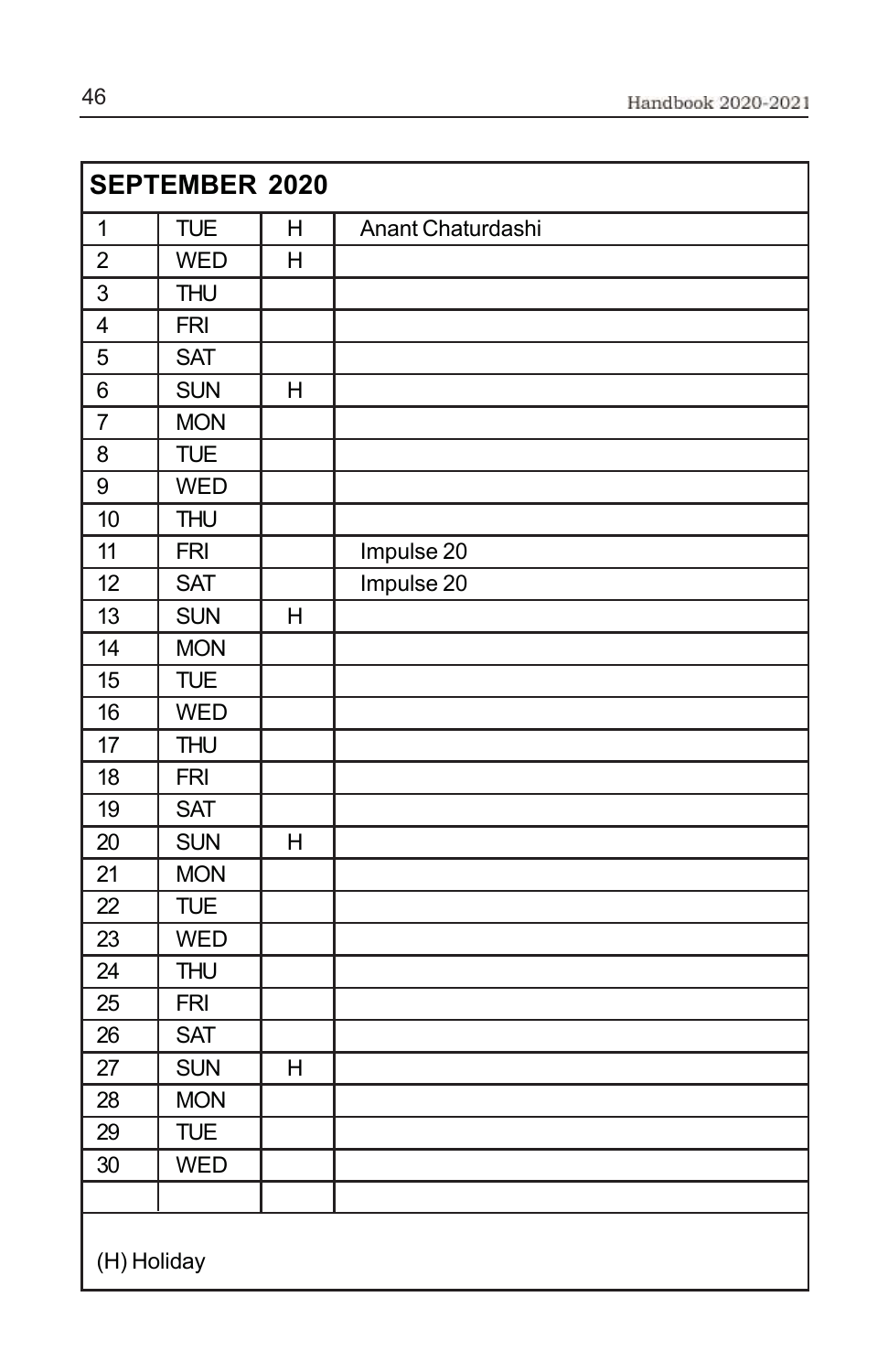| <b>SEPTEMBER 2020</b>   |             |                |                   |  |
|-------------------------|-------------|----------------|-------------------|--|
| $\mathbf 1$             | <b>TUE</b>  | H              | Anant Chaturdashi |  |
| $\overline{c}$          | <b>WED</b>  | H              |                   |  |
| $\overline{3}$          | <b>THU</b>  |                |                   |  |
| $\overline{\mathbf{4}}$ | <b>FRI</b>  |                |                   |  |
| 5                       | <b>SAT</b>  |                |                   |  |
| $\,6$                   | <b>SUN</b>  | H              |                   |  |
| $\overline{7}$          | <b>MON</b>  |                |                   |  |
| 8                       | <b>TUE</b>  |                |                   |  |
| $\overline{9}$          | <b>WED</b>  |                |                   |  |
| 10                      | <b>THU</b>  |                |                   |  |
| 11                      | <b>FRI</b>  |                | Impulse 20        |  |
| 12                      | <b>SAT</b>  |                | Impulse 20        |  |
| 13                      | <b>SUN</b>  | H              |                   |  |
| 14                      | <b>MON</b>  |                |                   |  |
| 15                      | <b>TUE</b>  |                |                   |  |
| 16                      | <b>WED</b>  |                |                   |  |
| 17                      | <b>THU</b>  |                |                   |  |
| 18                      | <b>FRI</b>  |                |                   |  |
| $\overline{19}$         | <b>SAT</b>  |                |                   |  |
| 20                      | <b>SUN</b>  | H              |                   |  |
| 21                      | <b>MON</b>  |                |                   |  |
| 22                      | <b>TUE</b>  |                |                   |  |
| 23                      | <b>WED</b>  |                |                   |  |
| 24                      | <b>THU</b>  |                |                   |  |
| 25                      | <b>FRI</b>  |                |                   |  |
| 26                      | <b>SAT</b>  |                |                   |  |
| 27                      | <b>SUN</b>  | $\overline{H}$ |                   |  |
| 28                      | <b>MON</b>  |                |                   |  |
| $\overline{29}$         | <b>TUE</b>  |                |                   |  |
| 30                      | <b>WED</b>  |                |                   |  |
|                         |             |                |                   |  |
|                         | (H) Holiday |                |                   |  |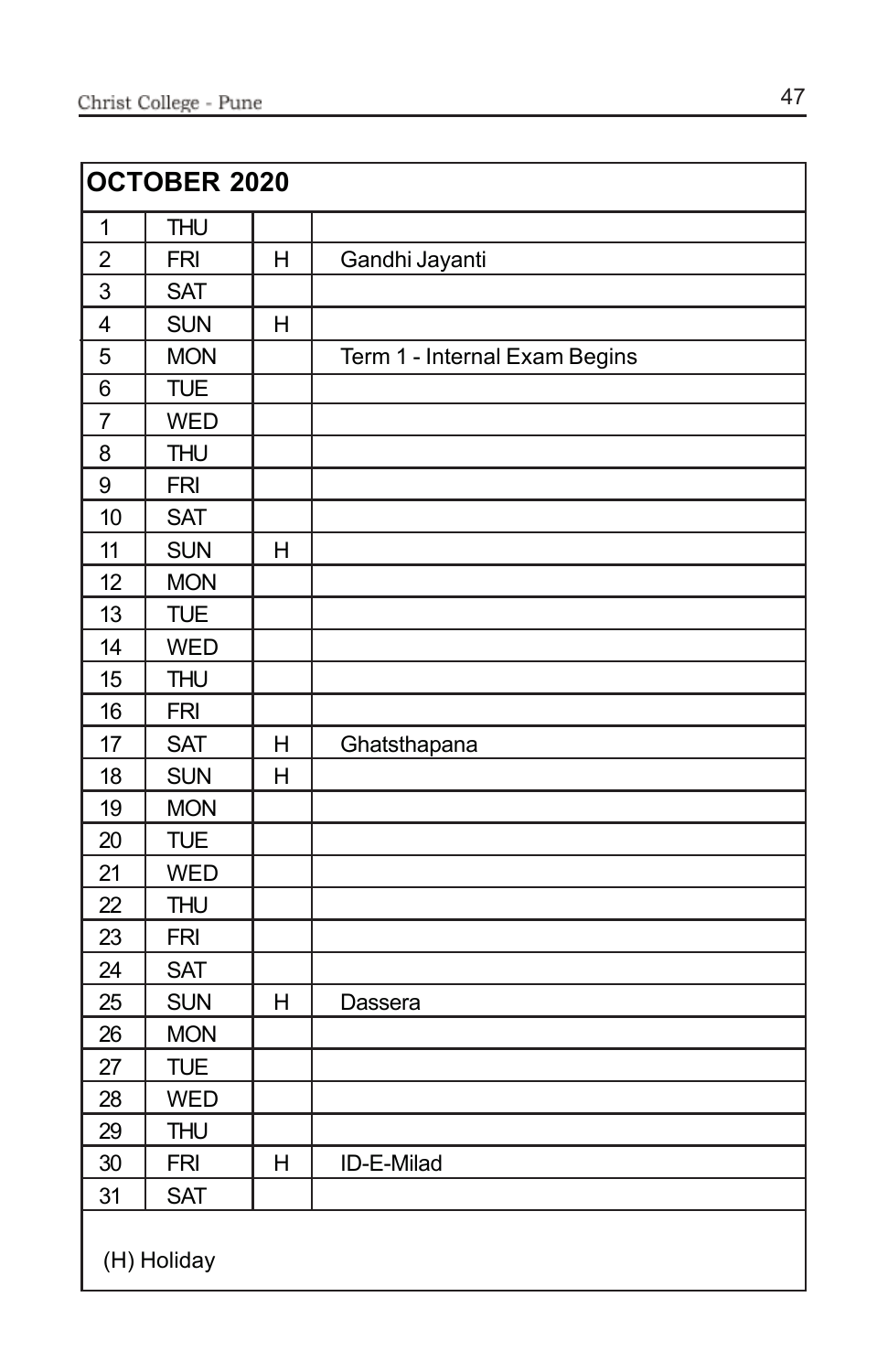| <b>OCTOBER 2020</b>     |             |   |                               |
|-------------------------|-------------|---|-------------------------------|
| $\mathbf 1$             | <b>THU</b>  |   |                               |
| $\overline{2}$          | <b>FRI</b>  | H | Gandhi Jayanti                |
| 3                       | <b>SAT</b>  |   |                               |
| $\overline{\mathbf{4}}$ | <b>SUN</b>  | H |                               |
| 5                       | <b>MON</b>  |   | Term 1 - Internal Exam Begins |
| 6                       | <b>TUE</b>  |   |                               |
| $\overline{7}$          | <b>WED</b>  |   |                               |
| 8                       | <b>THU</b>  |   |                               |
| 9                       | <b>FRI</b>  |   |                               |
| 10                      | <b>SAT</b>  |   |                               |
| 11                      | <b>SUN</b>  | Η |                               |
| 12                      | <b>MON</b>  |   |                               |
| 13                      | <b>TUE</b>  |   |                               |
| 14                      | <b>WED</b>  |   |                               |
| 15                      | <b>THU</b>  |   |                               |
| 16                      | <b>FRI</b>  |   |                               |
| 17                      | <b>SAT</b>  | Η | Ghatsthapana                  |
| 18                      | <b>SUN</b>  | H |                               |
| 19                      | <b>MON</b>  |   |                               |
| 20                      | <b>TUE</b>  |   |                               |
| 21                      | <b>WED</b>  |   |                               |
| 22                      | <b>THU</b>  |   |                               |
| 23                      | <b>FRI</b>  |   |                               |
| 24                      | <b>SAT</b>  |   |                               |
| 25                      | <b>SUN</b>  | Η | Dassera                       |
| 26                      | <b>MON</b>  |   |                               |
| 27                      | <b>TUE</b>  |   |                               |
| 28                      | <b>WED</b>  |   |                               |
| 29                      | <b>THU</b>  |   |                               |
| 30                      | <b>FRI</b>  | Н | ID-E-Milad                    |
| 31                      | <b>SAT</b>  |   |                               |
|                         | (H) Holiday |   |                               |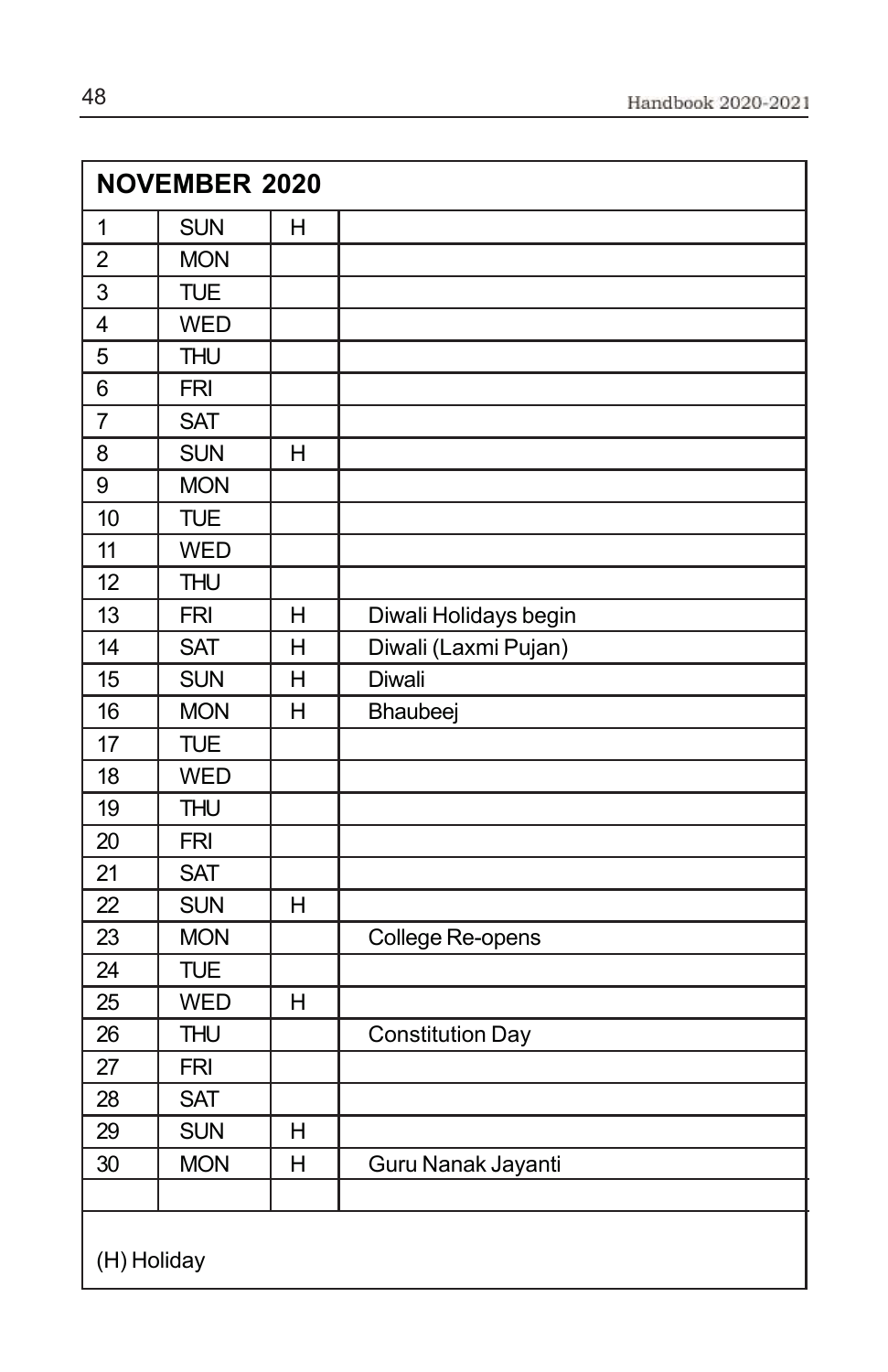| <b>NOVEMBER 2020</b> |            |                |                         |
|----------------------|------------|----------------|-------------------------|
| $\mathbf 1$          | <b>SUN</b> | $\mathsf{H}$   |                         |
| $\overline{c}$       | <b>MON</b> |                |                         |
| 3                    | <b>TUE</b> |                |                         |
| $\overline{4}$       | <b>WED</b> |                |                         |
| 5                    | <b>THU</b> |                |                         |
| 6                    | <b>FRI</b> |                |                         |
| $\overline{7}$       | <b>SAT</b> |                |                         |
| 8                    | <b>SUN</b> | H              |                         |
| 9                    | <b>MON</b> |                |                         |
| 10                   | <b>TUE</b> |                |                         |
| 11                   | <b>WED</b> |                |                         |
| 12                   | <b>THU</b> |                |                         |
| 13                   | <b>FRI</b> | H              | Diwali Holidays begin   |
| 14                   | <b>SAT</b> | H              | Diwali (Laxmi Pujan)    |
| 15                   | <b>SUN</b> | $\overline{H}$ | Diwali                  |
| 16                   | <b>MON</b> | $\overline{H}$ | Bhaubeej                |
| 17                   | <b>TUE</b> |                |                         |
| 18                   | <b>WED</b> |                |                         |
| 19                   | <b>THU</b> |                |                         |
| 20                   | <b>FRI</b> |                |                         |
| 21                   | <b>SAT</b> |                |                         |
| 22                   | <b>SUN</b> | H              |                         |
| 23                   | <b>MON</b> |                | College Re-opens        |
| 24                   | <b>TUE</b> |                |                         |
| 25                   | <b>WED</b> | H              |                         |
| 26                   | <b>THU</b> |                | <b>Constitution Day</b> |
| 27                   | <b>FRI</b> |                |                         |
| 28                   | <b>SAT</b> |                |                         |
| 29                   | <b>SUN</b> | H              |                         |
| 30                   | <b>MON</b> | $\overline{H}$ | Guru Nanak Jayanti      |
|                      |            |                |                         |
| (H) Holiday          |            |                |                         |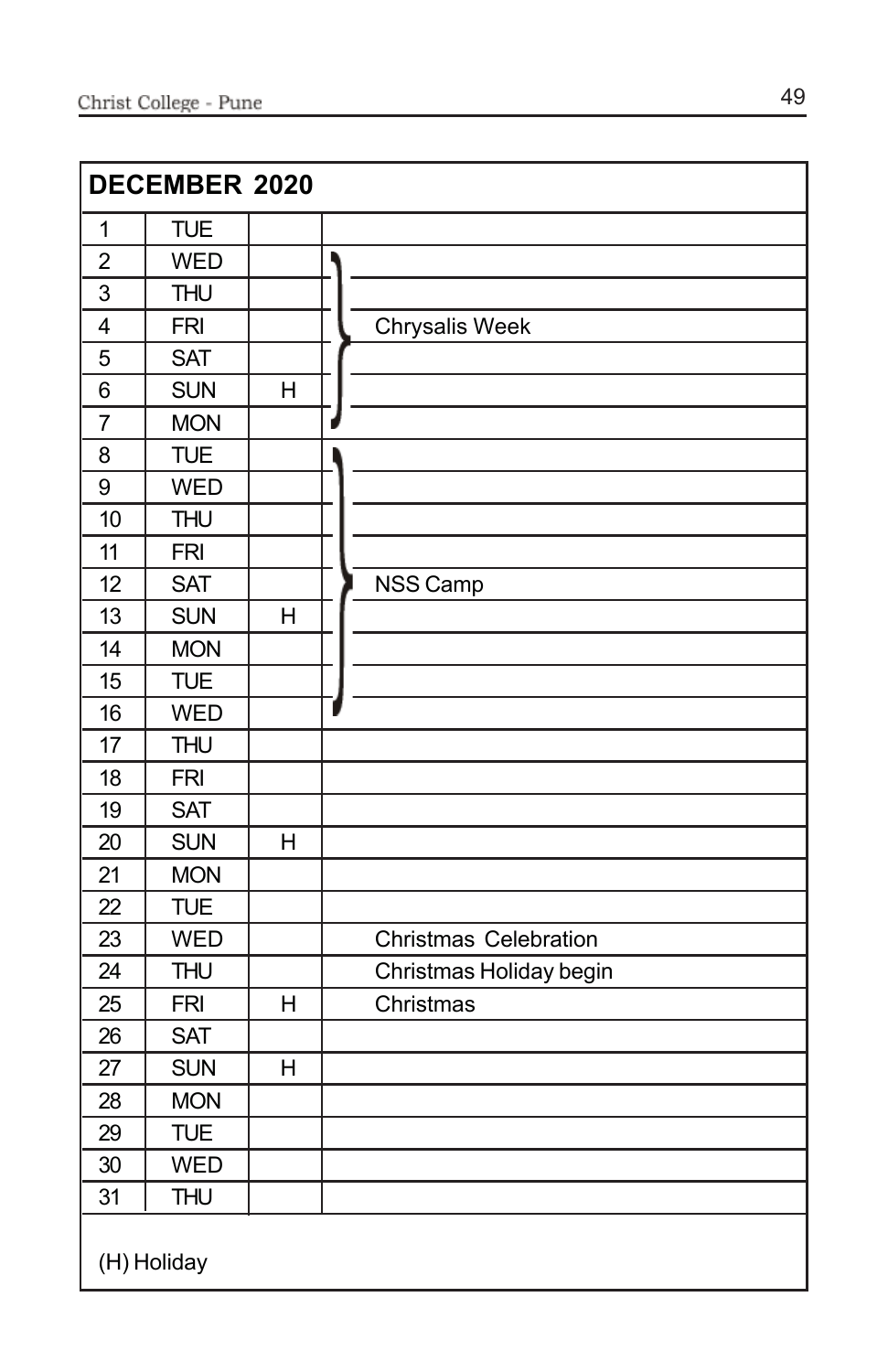|                | DECEMBER 2020 |   |                              |  |  |
|----------------|---------------|---|------------------------------|--|--|
| $\mathbf{1}$   | <b>TUE</b>    |   |                              |  |  |
| $\overline{2}$ | <b>WED</b>    |   |                              |  |  |
| 3              | <b>THU</b>    |   |                              |  |  |
| $\overline{4}$ | <b>FRI</b>    |   | Chrysalis Week               |  |  |
| 5              | <b>SAT</b>    |   |                              |  |  |
| 6              | <b>SUN</b>    | H |                              |  |  |
| $\overline{7}$ | <b>MON</b>    |   |                              |  |  |
| 8              | <b>TUE</b>    |   |                              |  |  |
| 9              | <b>WED</b>    |   |                              |  |  |
| 10             | <b>THU</b>    |   |                              |  |  |
| 11             | <b>FRI</b>    |   |                              |  |  |
| 12             | <b>SAT</b>    |   | NSS Camp                     |  |  |
| 13             | <b>SUN</b>    | H |                              |  |  |
| 14             | <b>MON</b>    |   |                              |  |  |
| 15             | <b>TUE</b>    |   |                              |  |  |
| 16             | <b>WED</b>    |   |                              |  |  |
| 17             | <b>THU</b>    |   |                              |  |  |
| 18             | <b>FRI</b>    |   |                              |  |  |
| 19             | <b>SAT</b>    |   |                              |  |  |
| 20             | <b>SUN</b>    | Η |                              |  |  |
| 21             | <b>MON</b>    |   |                              |  |  |
| 22             | <b>TUE</b>    |   |                              |  |  |
| 23             | <b>WED</b>    |   | <b>Christmas Celebration</b> |  |  |
| 24             | <b>THU</b>    |   | Christmas Holiday begin      |  |  |
| 25             | <b>FRI</b>    | H | Christmas                    |  |  |
| 26             | <b>SAT</b>    |   |                              |  |  |
| 27             | <b>SUN</b>    | H |                              |  |  |
| 28             | <b>MON</b>    |   |                              |  |  |
| 29             | <b>TUE</b>    |   |                              |  |  |
| 30             | <b>WED</b>    |   |                              |  |  |
| 31             | <b>THU</b>    |   |                              |  |  |
|                | (H) Holiday   |   |                              |  |  |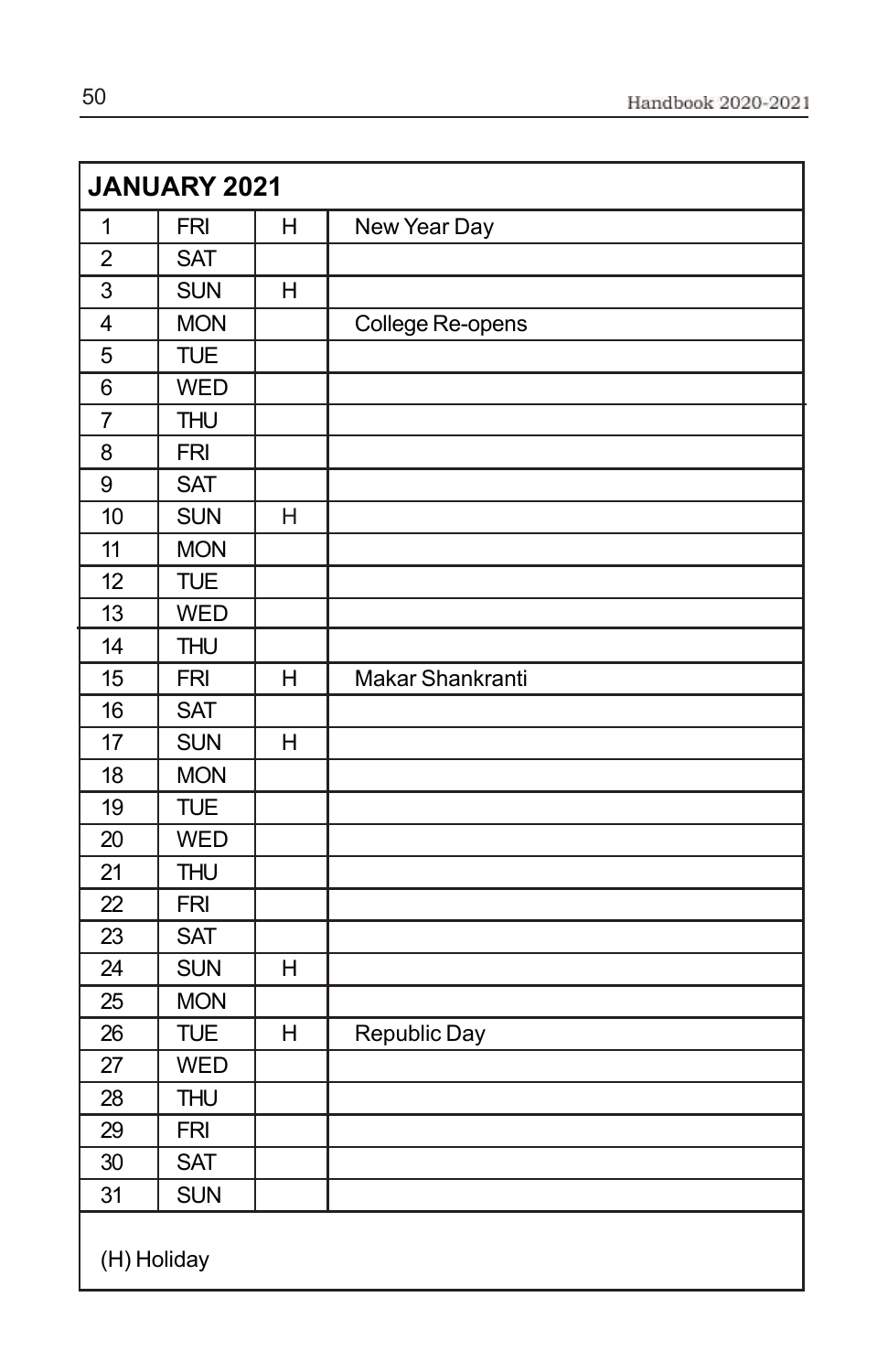|                         | JANUARY 2021 |                |                  |
|-------------------------|--------------|----------------|------------------|
| $\mathbf{1}$            | <b>FRI</b>   | H              | New Year Day     |
| $\overline{2}$          | <b>SAT</b>   |                |                  |
| $\overline{3}$          | <b>SUN</b>   | H              |                  |
| $\overline{\mathbf{4}}$ | <b>MON</b>   |                | College Re-opens |
| 5                       | <b>TUE</b>   |                |                  |
| 6                       | <b>WED</b>   |                |                  |
| $\overline{7}$          | <b>THU</b>   |                |                  |
| 8                       | <b>FRI</b>   |                |                  |
| 9                       | <b>SAT</b>   |                |                  |
| 10                      | <b>SUN</b>   | H              |                  |
| 11                      | <b>MON</b>   |                |                  |
| 12                      | <b>TUE</b>   |                |                  |
| 13                      | <b>WED</b>   |                |                  |
| 14                      | <b>THU</b>   |                |                  |
| 15                      | <b>FRI</b>   | H              | Makar Shankranti |
| 16                      | <b>SAT</b>   |                |                  |
| 17                      | <b>SUN</b>   | $\overline{H}$ |                  |
| 18                      | <b>MON</b>   |                |                  |
| 19                      | <b>TUE</b>   |                |                  |
| 20                      | <b>WED</b>   |                |                  |
| 21                      | <b>THU</b>   |                |                  |
| 22                      | <b>FRI</b>   |                |                  |
| 23                      | <b>SAT</b>   |                |                  |
| 24                      | <b>SUN</b>   | H              |                  |
| 25                      | <b>MON</b>   |                |                  |
| 26                      | <b>TUE</b>   | $\overline{H}$ | Republic Day     |
| 27                      | <b>WED</b>   |                |                  |
| 28                      | <b>THU</b>   |                |                  |
| 29                      | <b>FRI</b>   |                |                  |
| $\overline{30}$         | <b>SAT</b>   |                |                  |
| 31                      | <b>SUN</b>   |                |                  |
| (H) Holiday             |              |                |                  |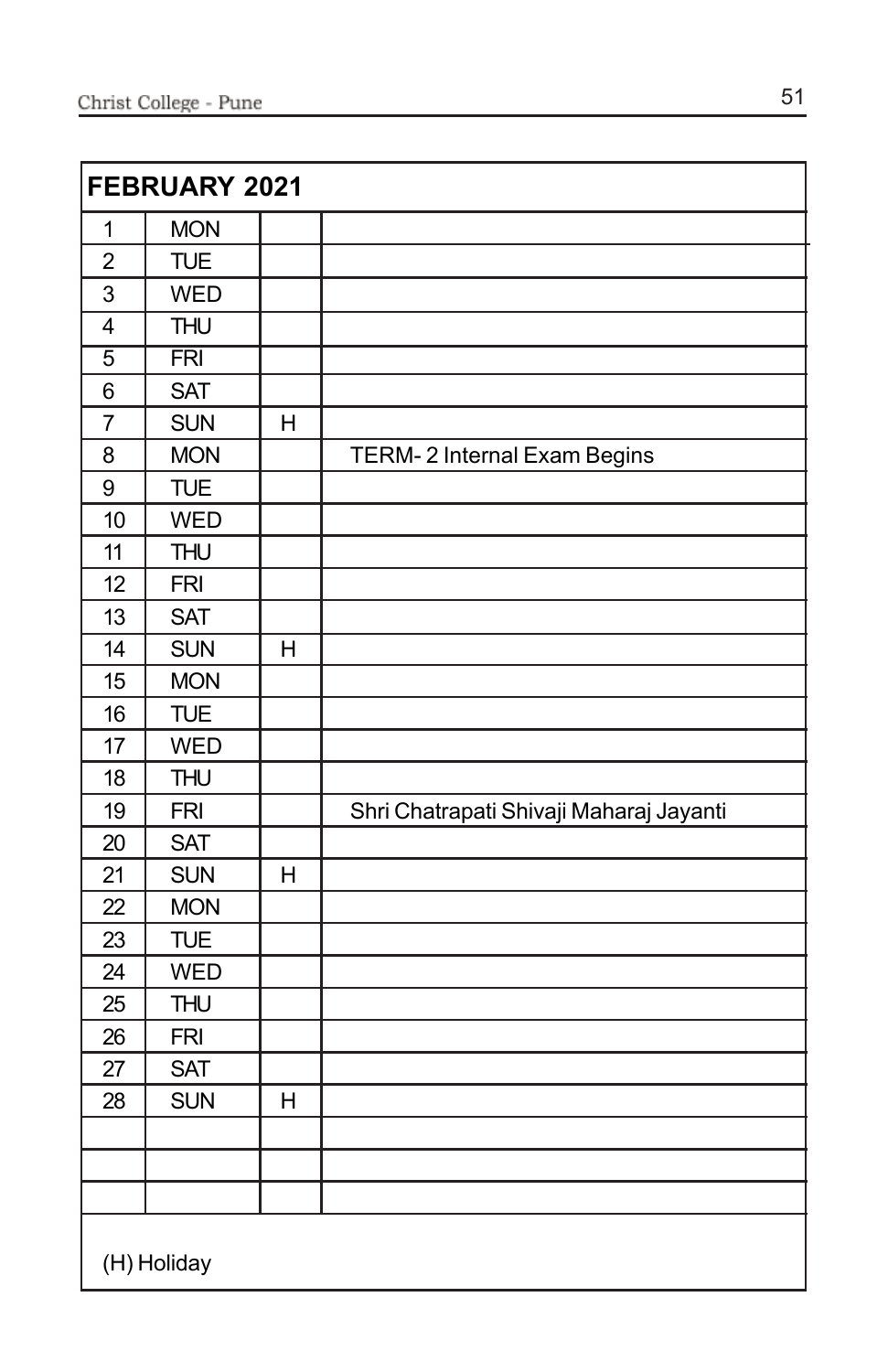|                | FEBRUARY 2021 |                |                                         |
|----------------|---------------|----------------|-----------------------------------------|
| 1              | <b>MON</b>    |                |                                         |
| $\overline{c}$ | <b>TUE</b>    |                |                                         |
| 3              | <b>WED</b>    |                |                                         |
| $\overline{4}$ | <b>THU</b>    |                |                                         |
| $\overline{5}$ | <b>FRI</b>    |                |                                         |
| 6              | <b>SAT</b>    |                |                                         |
| $\overline{7}$ | <b>SUN</b>    | H              |                                         |
| 8              | <b>MON</b>    |                | TERM-2 Internal Exam Begins             |
| 9              | <b>TUE</b>    |                |                                         |
| 10             | <b>WED</b>    |                |                                         |
| 11             | <b>THU</b>    |                |                                         |
| 12             | <b>FRI</b>    |                |                                         |
| 13             | <b>SAT</b>    |                |                                         |
| 14             | <b>SUN</b>    | $\overline{H}$ |                                         |
| 15             | <b>MON</b>    |                |                                         |
| 16             | <b>TUE</b>    |                |                                         |
| 17             | <b>WED</b>    |                |                                         |
| 18             | <b>THU</b>    |                |                                         |
| 19             | <b>FRI</b>    |                | Shri Chatrapati Shivaji Maharaj Jayanti |
| 20             | <b>SAT</b>    |                |                                         |
| 21             | <b>SUN</b>    | H              |                                         |
| 22             | <b>MON</b>    |                |                                         |
| 23             | <b>TUE</b>    |                |                                         |
| 24             | <b>WED</b>    |                |                                         |
| 25             | <b>THU</b>    |                |                                         |
| 26             | <b>FRI</b>    |                |                                         |
| 27             | <b>SAT</b>    |                |                                         |
| 28             | <b>SUN</b>    | H              |                                         |
|                |               |                |                                         |
|                |               |                |                                         |
|                |               |                |                                         |
|                | (H) Holiday   |                |                                         |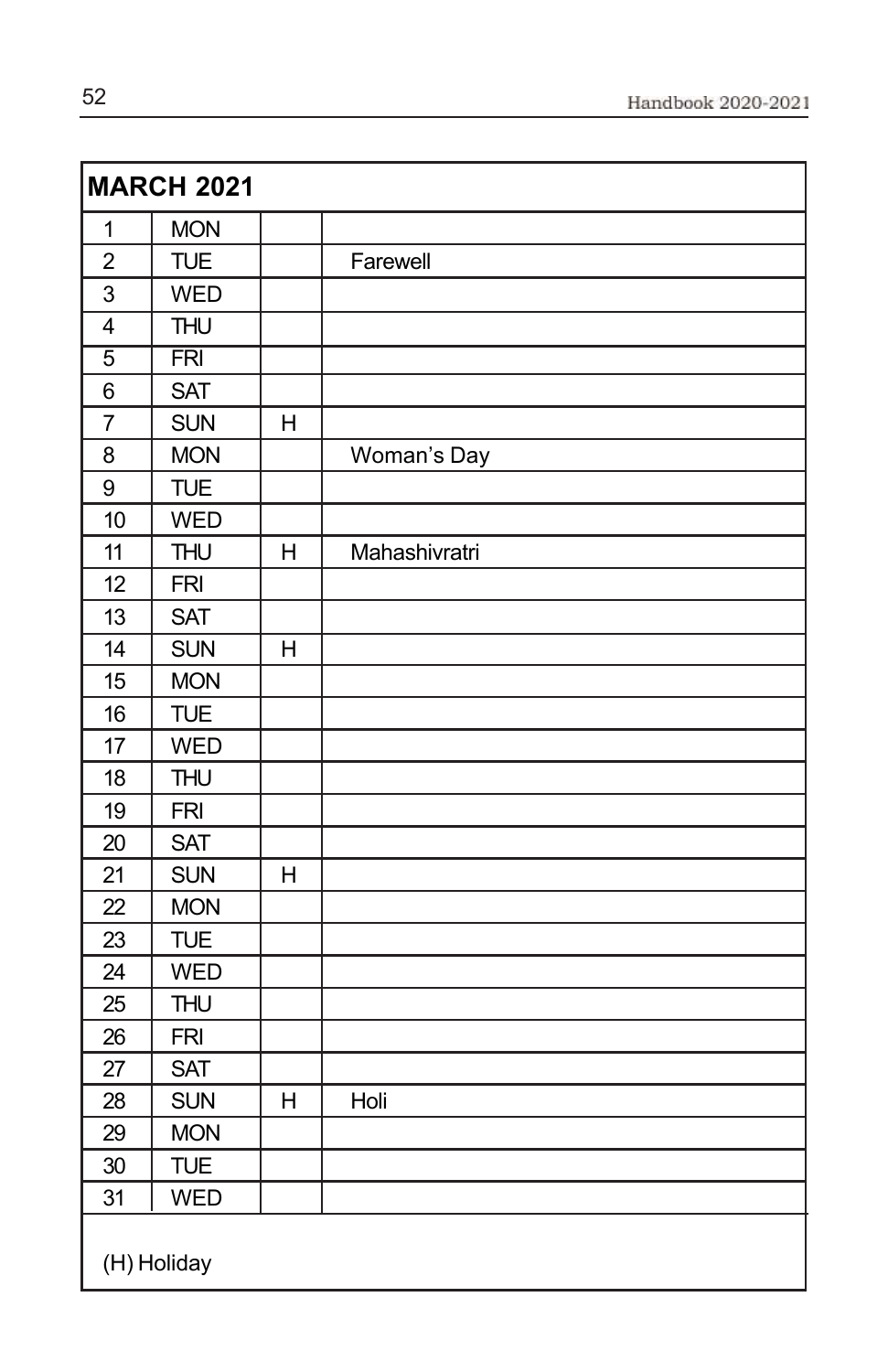|                | <b>MARCH 2021</b> |              |               |
|----------------|-------------------|--------------|---------------|
| $\mathbf 1$    | <b>MON</b>        |              |               |
| $\overline{c}$ | <b>TUE</b>        |              | Farewell      |
| $\overline{3}$ | <b>WED</b>        |              |               |
| $\overline{4}$ | <b>THU</b>        |              |               |
| $\overline{5}$ | $\overline{FRI}$  |              |               |
| 6              | <b>SAT</b>        |              |               |
| $\overline{7}$ | <b>SUN</b>        | H            |               |
| 8              | <b>MON</b>        |              | Woman's Day   |
| 9              | <b>TUE</b>        |              |               |
| 10             | <b>WED</b>        |              |               |
| 11             | <b>THU</b>        | Н            | Mahashivratri |
| 12             | <b>FRI</b>        |              |               |
| 13             | <b>SAT</b>        |              |               |
| 14             | <b>SUN</b>        | $\mathsf{H}$ |               |
| 15             | <b>MON</b>        |              |               |
| 16             | <b>TUE</b>        |              |               |
| 17             | <b>WED</b>        |              |               |
| 18             | <b>THU</b>        |              |               |
| 19             | <b>FRI</b>        |              |               |
| 20             | <b>SAT</b>        |              |               |
| 21             | <b>SUN</b>        | H            |               |
| 22             | <b>MON</b>        |              |               |
| 23             | <b>TUE</b>        |              |               |
| 24             | <b>WED</b>        |              |               |
| 25             | <b>THU</b>        |              |               |
| 26             | <b>FRI</b>        |              |               |
| 27             | <b>SAT</b>        |              |               |
| 28             | <b>SUN</b>        | H            | Holi          |
| 29             | <b>MON</b>        |              |               |
| 30             | <b>TUE</b>        |              |               |
| 31             | WED               |              |               |
|                | (H) Holiday       |              |               |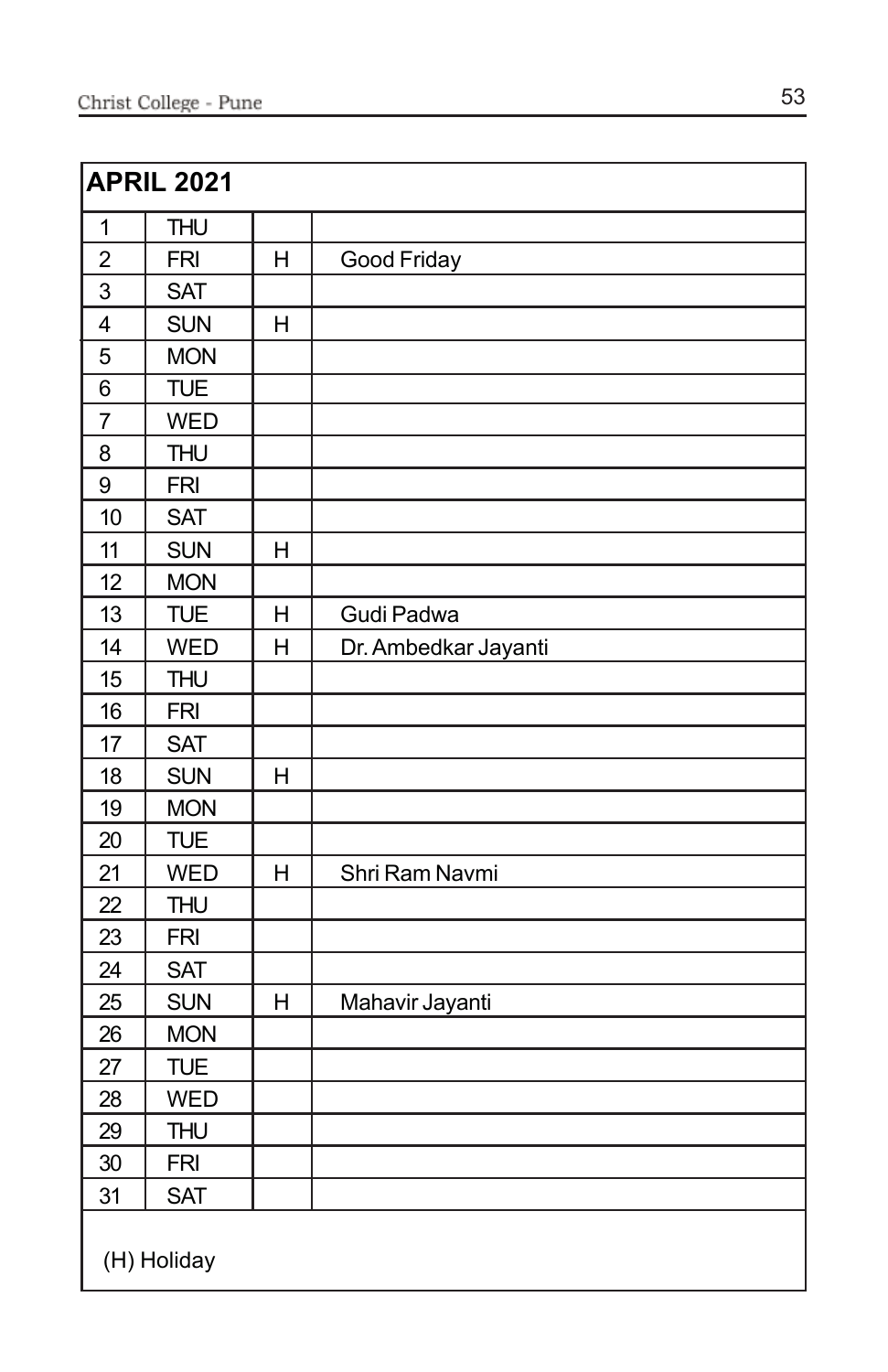|                         | <b>APRIL 2021</b> |   |                      |
|-------------------------|-------------------|---|----------------------|
| $\mathbf 1$             | <b>THU</b>        |   |                      |
| $\boldsymbol{2}$        | <b>FRI</b>        | H | Good Friday          |
| 3                       | <b>SAT</b>        |   |                      |
| $\overline{\mathbf{4}}$ | <b>SUN</b>        | H |                      |
| 5                       | <b>MON</b>        |   |                      |
| 6                       | <b>TUE</b>        |   |                      |
| $\overline{7}$          | <b>WED</b>        |   |                      |
| 8                       | <b>THU</b>        |   |                      |
| 9                       | <b>FRI</b>        |   |                      |
| 10                      | <b>SAT</b>        |   |                      |
| 11                      | <b>SUN</b>        | H |                      |
| 12                      | <b>MON</b>        |   |                      |
| 13                      | <b>TUE</b>        | H | Gudi Padwa           |
| 14                      | <b>WED</b>        | H | Dr. Ambedkar Jayanti |
| 15                      | <b>THU</b>        |   |                      |
| 16                      | <b>FRI</b>        |   |                      |
| 17                      | <b>SAT</b>        |   |                      |
| 18                      | <b>SUN</b>        | H |                      |
| 19                      | <b>MON</b>        |   |                      |
| 20                      | <b>TUE</b>        |   |                      |
| 21                      | <b>WED</b>        | H | Shri Ram Navmi       |
| 22                      | <b>THU</b>        |   |                      |
| 23                      | <b>FRI</b>        |   |                      |
| 24                      | <b>SAT</b>        |   |                      |
| 25                      | <b>SUN</b>        | Н | Mahavir Jayanti      |
| 26                      | <b>MON</b>        |   |                      |
| 27                      | <b>TUE</b>        |   |                      |
| 28                      | <b>WED</b>        |   |                      |
| 29                      | <b>THU</b>        |   |                      |
| 30                      | <b>FRI</b>        |   |                      |
| 31                      | <b>SAT</b>        |   |                      |
|                         | (H) Holiday       |   |                      |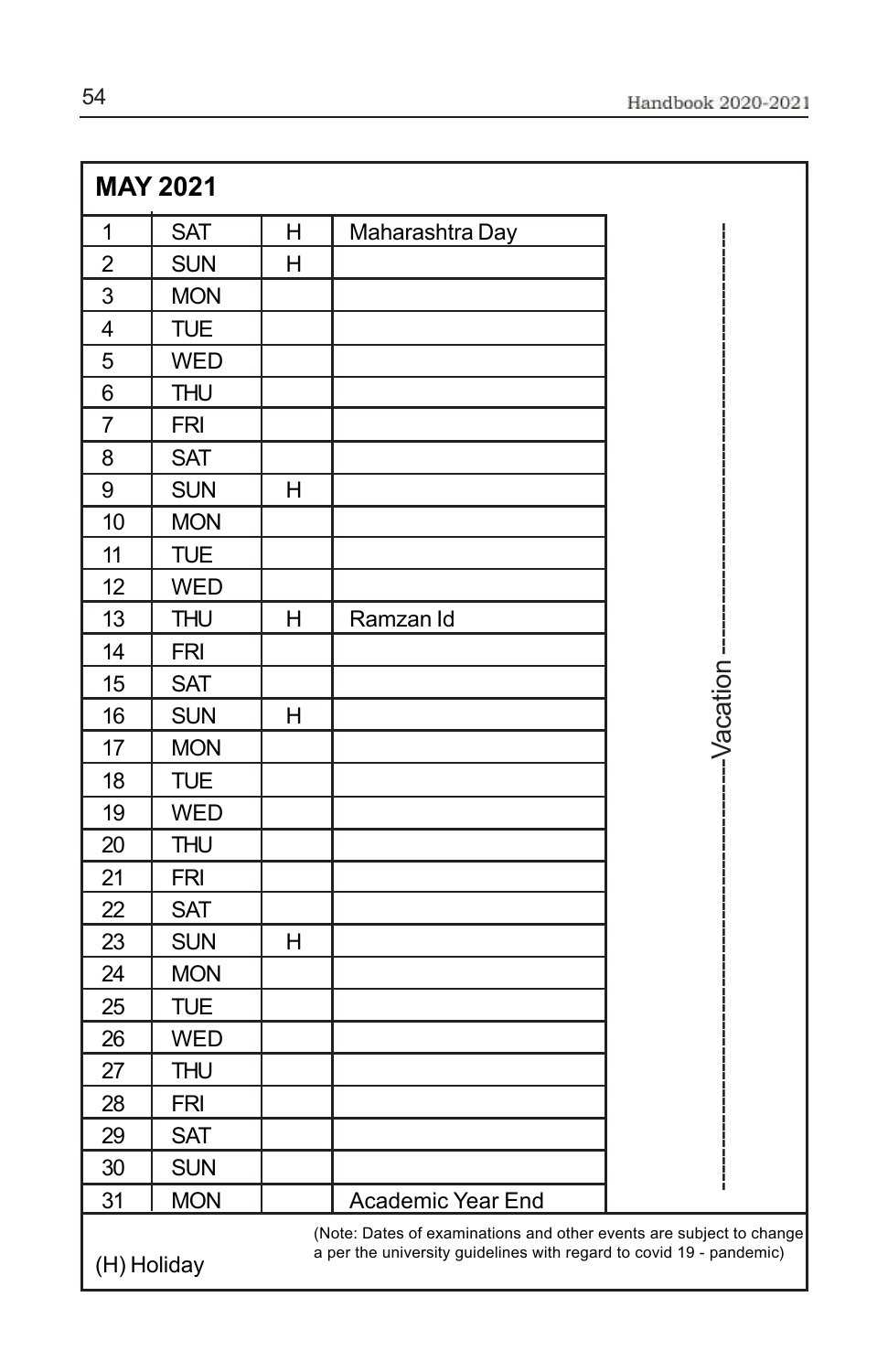|                | <b>MAY 2021</b> |   |                                                                                                                                            |            |
|----------------|-----------------|---|--------------------------------------------------------------------------------------------------------------------------------------------|------------|
| $\mathbf{1}$   | <b>SAT</b>      | н | Maharashtra Day                                                                                                                            |            |
| $\overline{2}$ | <b>SUN</b>      | H |                                                                                                                                            |            |
| 3              | <b>MON</b>      |   |                                                                                                                                            |            |
| $\overline{4}$ | <b>TUE</b>      |   |                                                                                                                                            |            |
| 5              | <b>WED</b>      |   |                                                                                                                                            |            |
| 6              | <b>THU</b>      |   |                                                                                                                                            |            |
| 7              | <b>FRI</b>      |   |                                                                                                                                            |            |
| 8              | <b>SAT</b>      |   |                                                                                                                                            |            |
| 9              | <b>SUN</b>      | н |                                                                                                                                            |            |
| 10             | <b>MON</b>      |   |                                                                                                                                            |            |
| 11             | <b>TUE</b>      |   |                                                                                                                                            |            |
| 12             | <b>WED</b>      |   |                                                                                                                                            |            |
| 13             | <b>THU</b>      | H | Ramzan Id                                                                                                                                  |            |
| 14             | <b>FRI</b>      |   |                                                                                                                                            |            |
| 15             | <b>SAT</b>      |   |                                                                                                                                            |            |
| 16             | <b>SUN</b>      | н |                                                                                                                                            | -Vacation- |
| 17             | <b>MON</b>      |   |                                                                                                                                            |            |
| 18             | <b>TUE</b>      |   |                                                                                                                                            |            |
| 19             | <b>WED</b>      |   |                                                                                                                                            |            |
| 20             | <b>THU</b>      |   |                                                                                                                                            |            |
| 21             | <b>FRI</b>      |   |                                                                                                                                            |            |
| 22             | <b>SAT</b>      |   |                                                                                                                                            |            |
| 23             | <b>SUN</b>      | H |                                                                                                                                            |            |
| 24             | <b>MON</b>      |   |                                                                                                                                            |            |
| 25             | <b>TUE</b>      |   |                                                                                                                                            |            |
| 26             | <b>WED</b>      |   |                                                                                                                                            |            |
| 27             | <b>THU</b>      |   |                                                                                                                                            |            |
| 28             | <b>FRI</b>      |   |                                                                                                                                            |            |
| 29             | <b>SAT</b>      |   |                                                                                                                                            |            |
| 30             | <b>SUN</b>      |   |                                                                                                                                            |            |
| 31             | <b>MON</b>      |   | <b>Academic Year End</b>                                                                                                                   |            |
| (H) Holiday    |                 |   | (Note: Dates of examinations and other events are subject to change<br>a per the university guidelines with regard to covid 19 - pandemic) |            |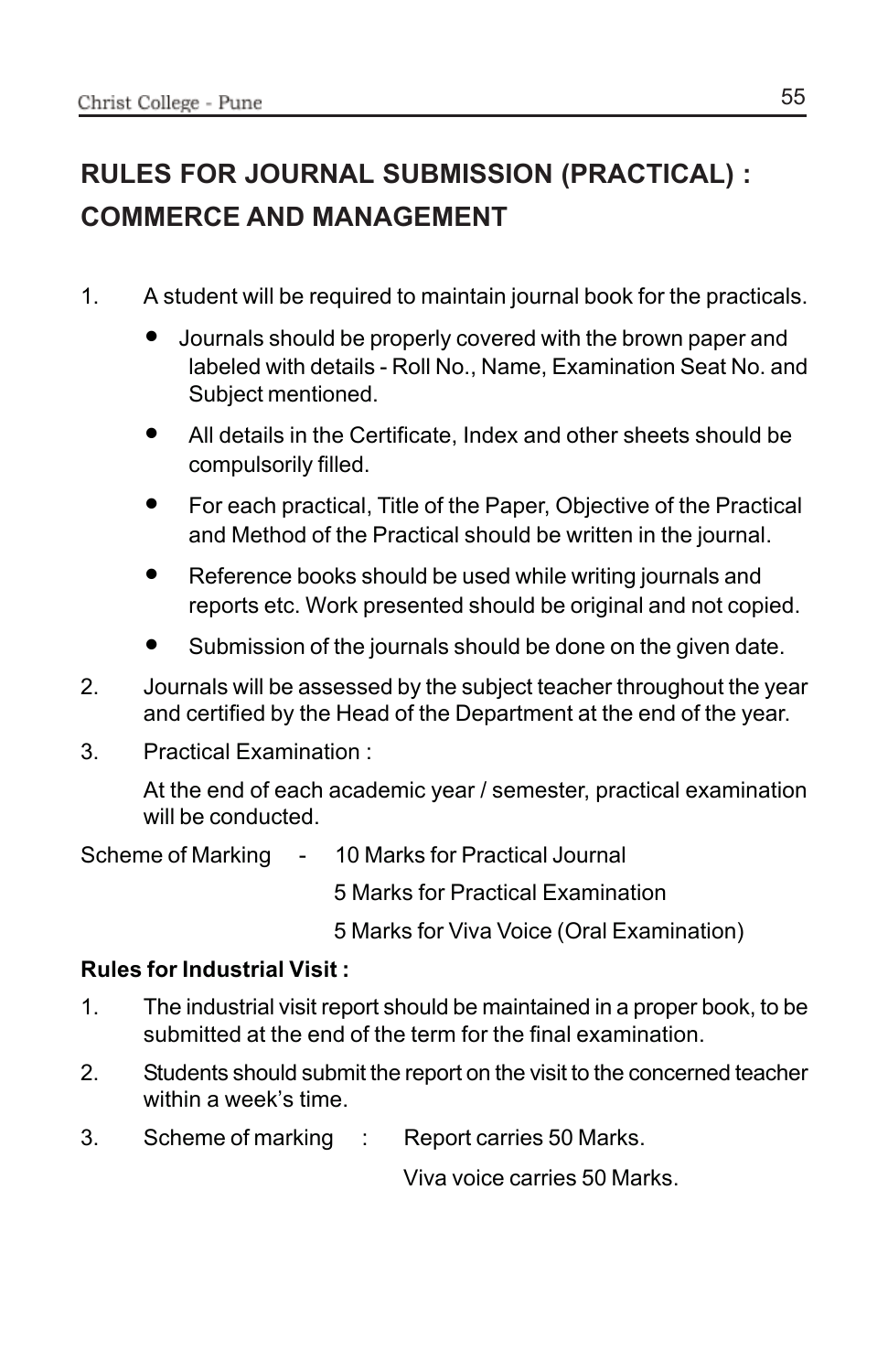## **RULES FOR JOURNAL SUBMISSION (PRACTICAL) : COMMERCE AND MANAGEMENT**

- 1. A student will be required to maintain journal book for the practicals.
	- Journals should be properly covered with the brown paper and labeled with details - Roll No., Name, Examination Seat No. and Subject mentioned.
	- All details in the Certificate, Index and other sheets should be compulsorily filled.
	- For each practical, Title of the Paper, Objective of the Practical and Method of the Practical should be written in the journal.
	- Reference books should be used while writing journals and reports etc. Work presented should be original and not copied.
	- Submission of the journals should be done on the given date.
- 2. Journals will be assessed by the subject teacher throughout the year and certified by the Head of the Department at the end of the year.
- 3. Practical Examination :

At the end of each academic year / semester, practical examination will be conducted.

Scheme of Marking - 10 Marks for Practical Journal

5 Marks for Practical Examination

5 Marks for Viva Voice (Oral Examination)

### **Rules for Industrial Visit :**

- 1. The industrial visit report should be maintained in a proper book, to be submitted at the end of the term for the final examination.
- 2. Students should submit the report on the visit to the concerned teacher within a week's time.
- 3. Scheme of marking : Report carries 50 Marks.

Viva voice carries 50 Marks.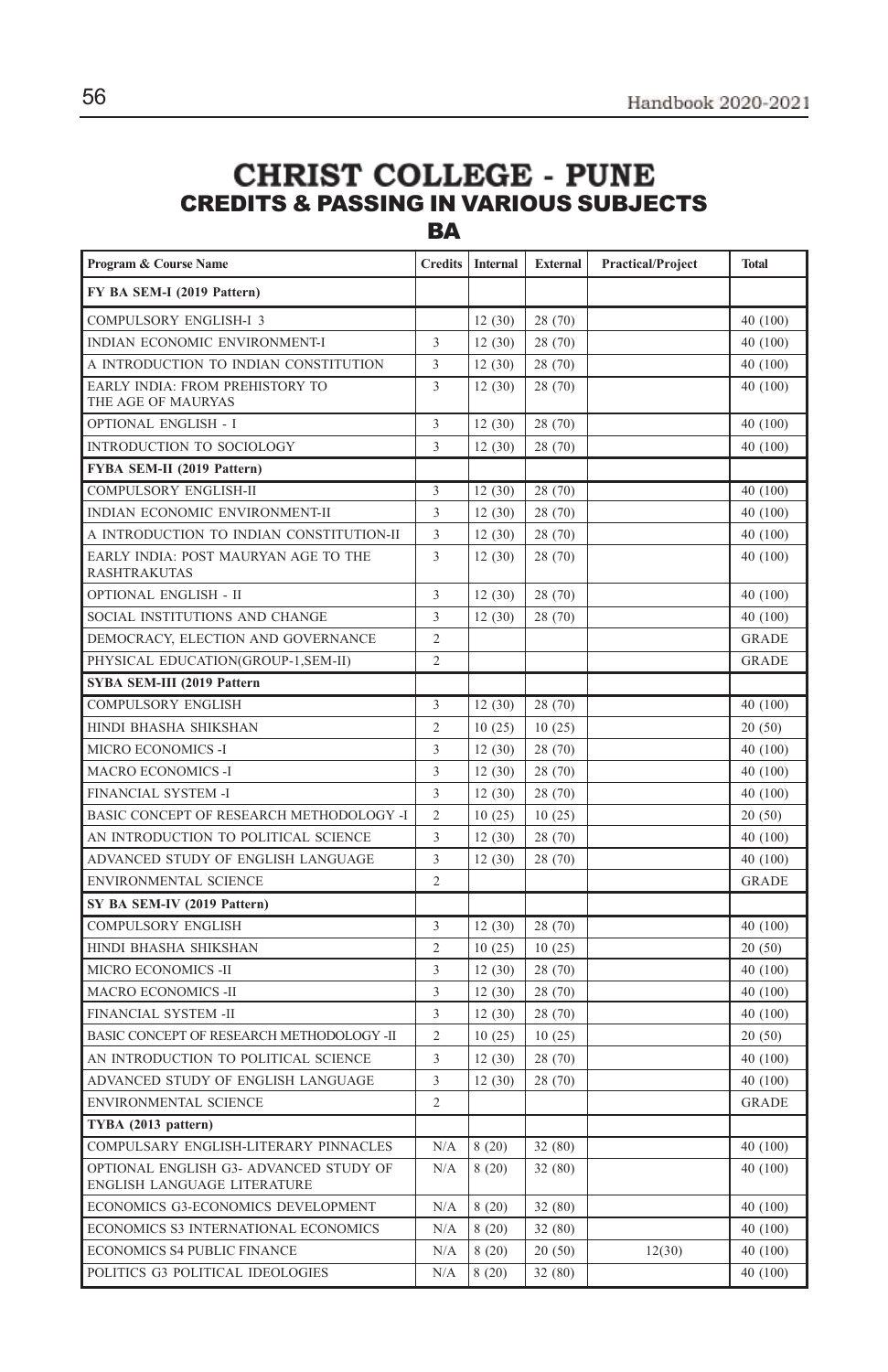### **CHRIST COLLEGE - PUNE** CREDITS & PASSING IN VARIOUS SUBJECTS **BA**

| Program & Course Name                                                 | <b>Credits</b> | <b>Internal</b> | <b>External</b> | <b>Practical/Project</b> | <b>Total</b> |
|-----------------------------------------------------------------------|----------------|-----------------|-----------------|--------------------------|--------------|
| FY BA SEM-I (2019 Pattern)                                            |                |                 |                 |                          |              |
| COMPULSORY ENGLISH-I 3                                                |                | 12(30)          | 28 (70)         |                          | 40 (100)     |
| INDIAN ECONOMIC ENVIRONMENT-I                                         | 3              | 12(30)          | 28 (70)         |                          | 40 (100)     |
| A INTRODUCTION TO INDIAN CONSTITUTION                                 | 3              | 12(30)          | 28 (70)         |                          | 40 (100)     |
| <b>EARLY INDIA: FROM PREHISTORY TO</b><br>THE AGE OF MAURYAS          | 3              | 12(30)          | 28 (70)         |                          | 40 (100)     |
| <b>OPTIONAL ENGLISH - I</b>                                           | 3              | 12(30)          | 28 (70)         |                          | 40 (100)     |
| INTRODUCTION TO SOCIOLOGY                                             | 3              | 12(30)          | 28 (70)         |                          | 40 (100)     |
| FYBA SEM-II (2019 Pattern)                                            |                |                 |                 |                          |              |
| COMPULSORY ENGLISH-II                                                 | 3              | 12(30)          | 28 (70)         |                          | 40 (100)     |
| INDIAN ECONOMIC ENVIRONMENT-II                                        | 3              | 12(30)          | 28 (70)         |                          | 40 (100)     |
| A INTRODUCTION TO INDIAN CONSTITUTION-II                              | 3              | 12(30)          | 28 (70)         |                          | 40 (100)     |
| EARLY INDIA: POST MAURYAN AGE TO THE<br><b>RASHTRAKUTAS</b>           | 3              | 12(30)          | 28 (70)         |                          | 40 (100)     |
| OPTIONAL ENGLISH - II                                                 | 3              | 12(30)          | 28 (70)         |                          | 40 (100)     |
| SOCIAL INSTITUTIONS AND CHANGE                                        | 3              | 12(30)          | 28 (70)         |                          | 40 (100)     |
| DEMOCRACY, ELECTION AND GOVERNANCE                                    | $\overline{2}$ |                 |                 |                          | <b>GRADE</b> |
| PHYSICAL EDUCATION(GROUP-1,SEM-II)                                    | $\overline{2}$ |                 |                 |                          | <b>GRADE</b> |
| SYBA SEM-III (2019 Pattern                                            |                |                 |                 |                          |              |
| COMPULSORY ENGLISH                                                    | 3              | 12(30)          | 28 (70)         |                          | 40 (100)     |
| HINDI BHASHA SHIKSHAN                                                 | $\overline{2}$ | 10(25)          | 10(25)          |                          | 20(50)       |
| MICRO ECONOMICS -I                                                    | 3              | 12(30)          | 28 (70)         |                          | 40 (100)     |
| <b>MACRO ECONOMICS -I</b>                                             | 3              | 12(30)          | 28 (70)         |                          | 40 (100)     |
| FINANCIAL SYSTEM -I                                                   | 3              | 12(30)          | 28 (70)         |                          | 40 (100)     |
| BASIC CONCEPT OF RESEARCH METHODOLOGY -I                              | $\overline{c}$ | 10(25)          | 10(25)          |                          | 20(50)       |
| AN INTRODUCTION TO POLITICAL SCIENCE                                  | 3              | 12(30)          | 28 (70)         |                          | 40 (100)     |
| ADVANCED STUDY OF ENGLISH LANGUAGE                                    | 3              | 12(30)          | 28 (70)         |                          | 40 (100)     |
| ENVIRONMENTAL SCIENCE                                                 | $\overline{2}$ |                 |                 |                          | <b>GRADE</b> |
| SY BA SEM-IV (2019 Pattern)                                           |                |                 |                 |                          |              |
| <b>COMPULSORY ENGLISH</b>                                             | 3              | 12(30)          | 28 (70)         |                          | 40 (100)     |
| HINDI BHASHA SHIKSHAN                                                 | $\overline{c}$ | 10(25)          | 10(25)          |                          | 20(50)       |
| MICRO ECONOMICS -II                                                   | 3              | 12(30)          | 28 (70)         |                          | 40 (100)     |
| <b>MACRO ECONOMICS -II</b>                                            | 3              | 12(30)          | 28 (70)         |                          | 40 (100)     |
| FINANCIAL SYSTEM -II                                                  | 3              | 12(30)          | 28 (70)         |                          | 40 (100)     |
| BASIC CONCEPT OF RESEARCH METHODOLOGY -II                             | $\overline{2}$ | 10(25)          | 10(25)          |                          | 20(50)       |
| AN INTRODUCTION TO POLITICAL SCIENCE                                  | 3              | 12(30)          | 28 (70)         |                          | 40 (100)     |
| ADVANCED STUDY OF ENGLISH LANGUAGE                                    | 3              | 12(30)          | 28 (70)         |                          | 40 (100)     |
| ENVIRONMENTAL SCIENCE                                                 | $\overline{c}$ |                 |                 |                          | <b>GRADE</b> |
| TYBA (2013 pattern)                                                   |                |                 |                 |                          |              |
| COMPULSARY ENGLISH-LITERARY PINNACLES                                 | N/A            | 8(20)           | 32 (80)         |                          | 40 (100)     |
| OPTIONAL ENGLISH G3- ADVANCED STUDY OF<br>ENGLISH LANGUAGE LITERATURE | N/A            | 8(20)           | 32(80)          |                          | 40 (100)     |
| ECONOMICS G3-ECONOMICS DEVELOPMENT                                    | N/A            | 8(20)           | 32(80)          |                          | 40 (100)     |
| ECONOMICS S3 INTERNATIONAL ECONOMICS                                  | N/A            | 8(20)           | 32 (80)         |                          | 40 (100)     |
| <b>ECONOMICS S4 PUBLIC FINANCE</b>                                    | N/A            | 8(20)           | 20(50)          | 12(30)                   | 40 (100)     |
| POLITICS G3 POLITICAL IDEOLOGIES                                      | N/A            | 8(20)           | 32 (80)         |                          | 40 (100)     |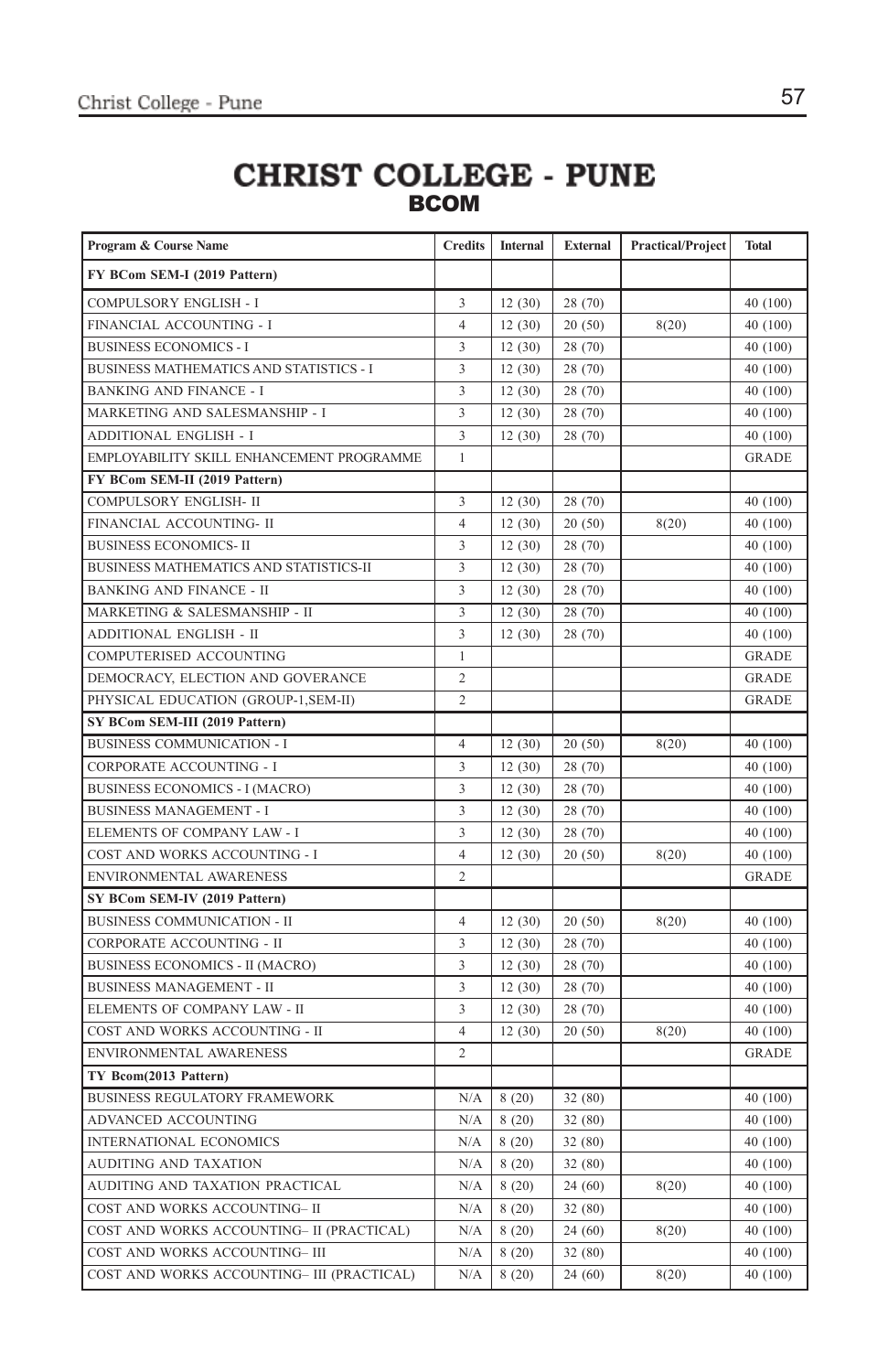### **CHRIST COLLEGE - PUNE BCOM**

| Program & Course Name                      | <b>Credits</b> | Internal | <b>External</b> | <b>Practical/Project</b> | <b>Total</b> |
|--------------------------------------------|----------------|----------|-----------------|--------------------------|--------------|
| FY BCom SEM-I (2019 Pattern)               |                |          |                 |                          |              |
| COMPULSORY ENGLISH - I                     | 3              | 12(30)   | 28 (70)         |                          | 40 (100)     |
| FINANCIAL ACCOUNTING - I                   | $\overline{4}$ | 12(30)   | 20(50)          | 8(20)                    | 40 (100)     |
| <b>BUSINESS ECONOMICS - I</b>              | 3              | 12(30)   | 28 (70)         |                          | 40 (100)     |
| BUSINESS MATHEMATICS AND STATISTICS - I    | 3              | 12(30)   | 28 (70)         |                          | 40 (100)     |
| <b>BANKING AND FINANCE - I</b>             | 3              | 12(30)   | 28 (70)         |                          | 40 (100)     |
| MARKETING AND SALESMANSHIP - I             | 3              | 12(30)   | 28 (70)         |                          | 40 (100)     |
| ADDITIONAL ENGLISH - I                     | 3              | 12(30)   | 28 (70)         |                          | 40 (100)     |
| EMPLOYABILITY SKILL ENHANCEMENT PROGRAMME  | $\mathbf{1}$   |          |                 |                          | <b>GRADE</b> |
| FY BCom SEM-II (2019 Pattern)              |                |          |                 |                          |              |
| COMPULSORY ENGLISH- II                     | 3              | 12(30)   | 28 (70)         |                          | 40 (100)     |
| FINANCIAL ACCOUNTING- II                   | $\overline{4}$ | 12(30)   | 20(50)          | 8(20)                    | 40 (100)     |
| <b>BUSINESS ECONOMICS-II</b>               | 3              | 12(30)   | 28 (70)         |                          | 40 (100)     |
| BUSINESS MATHEMATICS AND STATISTICS-II     | 3              | 12(30)   | 28 (70)         |                          | 40 (100)     |
| <b>BANKING AND FINANCE - II</b>            | 3              | 12(30)   | 28 (70)         |                          | 40 (100)     |
| MARKETING & SALESMANSHIP - II              | 3              | 12(30)   | 28 (70)         |                          | 40 (100)     |
| ADDITIONAL ENGLISH - II                    | 3              | 12(30)   | 28 (70)         |                          | 40 (100)     |
| COMPUTERISED ACCOUNTING                    | $\mathbf{1}$   |          |                 |                          | <b>GRADE</b> |
| DEMOCRACY, ELECTION AND GOVERANCE          | $\overline{c}$ |          |                 |                          | <b>GRADE</b> |
| PHYSICAL EDUCATION (GROUP-1, SEM-II)       | $\overline{c}$ |          |                 |                          | <b>GRADE</b> |
| SY BCom SEM-III (2019 Pattern)             |                |          |                 |                          |              |
| <b>BUSINESS COMMUNICATION - I</b>          | $\overline{4}$ | 12(30)   | 20(50)          | 8(20)                    | 40 (100)     |
| CORPORATE ACCOUNTING - I                   | 3              | 12(30)   | 28 (70)         |                          | 40 (100)     |
| <b>BUSINESS ECONOMICS - I (MACRO)</b>      | 3              | 12(30)   | 28 (70)         |                          | 40 (100)     |
| <b>BUSINESS MANAGEMENT - I</b>             | 3              | 12(30)   | 28 (70)         |                          | 40 (100)     |
| ELEMENTS OF COMPANY LAW - I                | 3              | 12(30)   | 28 (70)         |                          | 40 (100)     |
| COST AND WORKS ACCOUNTING - I              | $\overline{4}$ | 12(30)   | 20(50)          | 8(20)                    | 40 (100)     |
| ENVIRONMENTAL AWARENESS                    | $\overline{c}$ |          |                 |                          | <b>GRADE</b> |
| SY BCom SEM-IV (2019 Pattern)              |                |          |                 |                          |              |
| BUSINESS COMMUNICATION - II                | $\overline{4}$ | 12(30)   | 20(50)          | 8(20)                    | 40 (100)     |
| CORPORATE ACCOUNTING - II                  | 3              | 12(30)   | 28 (70)         |                          | 40 (100)     |
| <b>BUSINESS ECONOMICS - II (MACRO)</b>     | 3              | 12(30)   | 28 (70)         |                          | 40 (100)     |
| <b>BUSINESS MANAGEMENT - II</b>            | 3              | 12(30)   | 28 (70)         |                          | 40 (100)     |
| ELEMENTS OF COMPANY LAW - II               | 3              | 12(30)   | 28 (70)         |                          | 40 (100)     |
| COST AND WORKS ACCOUNTING - II             | $\overline{4}$ | 12(30)   | 20(50)          | 8(20)                    | 40 (100)     |
| ENVIRONMENTAL AWARENESS                    | $\overline{c}$ |          |                 |                          | <b>GRADE</b> |
| TY Bcom(2013 Pattern)                      |                |          |                 |                          |              |
| <b>BUSINESS REGULATORY FRAMEWORK</b>       | N/A            | 8(20)    | 32 (80)         |                          | 40 (100)     |
| ADVANCED ACCOUNTING                        | N/A            | 8(20)    | 32(80)          |                          | 40 (100)     |
| <b>INTERNATIONAL ECONOMICS</b>             | N/A            | 8(20)    | 32 (80)         |                          | 40 (100)     |
| AUDITING AND TAXATION                      | N/A            | 8(20)    | 32(80)          |                          | 40 (100)     |
| AUDITING AND TAXATION PRACTICAL            | N/A            | 8(20)    | 24(60)          | 8(20)                    | 40 (100)     |
| COST AND WORKS ACCOUNTING- II              | N/A            | 8(20)    | 32(80)          |                          | 40 (100)     |
| COST AND WORKS ACCOUNTING- II (PRACTICAL)  | N/A            | 8(20)    | 24(60)          | 8(20)                    | 40 (100)     |
| COST AND WORKS ACCOUNTING- III             | N/A            | 8(20)    | 32 (80)         |                          | 40 (100)     |
| COST AND WORKS ACCOUNTING- III (PRACTICAL) | N/A            | 8(20)    | 24(60)          | 8(20)                    | 40 (100)     |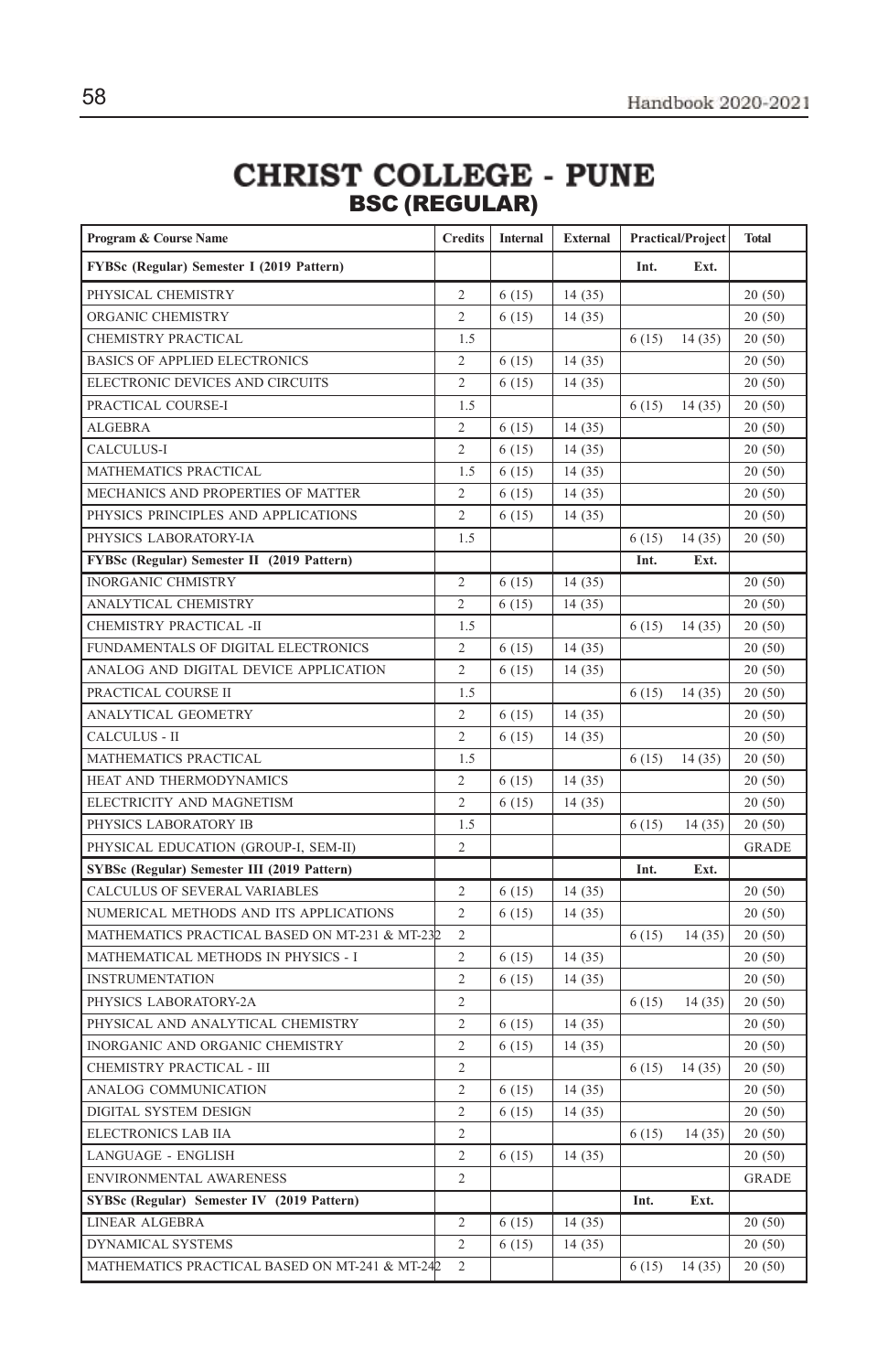# CHRIST COLLEGE - PUNE<br>BSC (REGULAR)

| Program & Course Name                           | <b>Credits</b>                   | Internal | External | <b>Practical/Project</b> |        | <b>Total</b>     |
|-------------------------------------------------|----------------------------------|----------|----------|--------------------------|--------|------------------|
| FYBSc (Regular) Semester I (2019 Pattern)       |                                  |          |          | Int.                     | Ext.   |                  |
| PHYSICAL CHEMISTRY                              | $\overline{c}$                   | 6(15)    | 14(35)   |                          |        | 20(50)           |
| ORGANIC CHEMISTRY                               | $\overline{c}$                   | 6(15)    | 14(35)   |                          |        | 20(50)           |
| CHEMISTRY PRACTICAL                             | 1.5                              |          |          | 6(15)                    | 14(35) | 20(50)           |
| <b>BASICS OF APPLIED ELECTRONICS</b>            | 2                                | 6(15)    | 14(35)   |                          |        | 20(50)           |
| ELECTRONIC DEVICES AND CIRCUITS                 | $\overline{c}$                   | 6(15)    | 14(35)   |                          |        | 20(50)           |
| PRACTICAL COURSE-I                              | 1.5                              |          |          | 6(15)                    | 14(35) | 20(50)           |
| <b>ALGEBRA</b>                                  | $\overline{c}$                   | 6(15)    | 14(35)   |                          |        | 20(50)           |
| CALCULUS-I                                      | $\overline{2}$                   | 6(15)    | 14(35)   |                          |        | 20(50)           |
| MATHEMATICS PRACTICAL                           | 1.5                              | 6(15)    | 14(35)   |                          |        | 20(50)           |
| MECHANICS AND PROPERTIES OF MATTER              | $\overline{c}$                   | 6(15)    | 14(35)   |                          |        | 20(50)           |
| PHYSICS PRINCIPLES AND APPLICATIONS             | $\overline{c}$                   | 6(15)    | 14(35)   |                          |        | 20(50)           |
| PHYSICS LABORATORY-IA                           | 1.5                              |          |          | 6(15)                    | 14(35) | 20(50)           |
| FYBSc (Regular) Semester II (2019 Pattern)      |                                  |          |          | Int.                     | Ext.   |                  |
| <b>INORGANIC CHMISTRY</b>                       | $\overline{c}$<br>$\overline{2}$ | 6(15)    | 14(35)   |                          |        | 20(50)           |
| ANALYTICAL CHEMISTRY<br>CHEMISTRY PRACTICAL -II | 1.5                              | 6(15)    | 14(35)   |                          |        | 20(50)           |
| FUNDAMENTALS OF DIGITAL ELECTRONICS             | $\overline{2}$                   | 6(15)    | 14(35)   | 6(15)                    | 14(35) | 20(50)<br>20(50) |
| ANALOG AND DIGITAL DEVICE APPLICATION           | $\overline{2}$                   | 6(15)    | 14(35)   |                          |        | 20(50)           |
| PRACTICAL COURSE II                             | 1.5                              |          |          | 6(15)                    | 14(35) | 20(50)           |
| <b>ANALYTICAL GEOMETRY</b>                      | $\overline{c}$                   | 6(15)    | 14(35)   |                          |        | 20(50)           |
| CALCULUS - II                                   | $\overline{c}$                   | 6(15)    | 14(35)   |                          |        | 20(50)           |
| MATHEMATICS PRACTICAL                           | 1.5                              |          |          | 6(15)                    | 14(35) | 20(50)           |
| HEAT AND THERMODYNAMICS                         | $\overline{c}$                   | 6(15)    | 14(35)   |                          |        | 20(50)           |
| ELECTRICITY AND MAGNETISM                       | $\overline{2}$                   | 6(15)    | 14(35)   |                          |        | 20(50)           |
| PHYSICS LABORATORY IB                           | 1.5                              |          |          | 6(15)                    | 14(35) | 20(50)           |
| PHYSICAL EDUCATION (GROUP-I, SEM-II)            | $\overline{c}$                   |          |          |                          |        | <b>GRADE</b>     |
| SYBSc (Regular) Semester III (2019 Pattern)     |                                  |          |          | Int.                     | Ext.   |                  |
| CALCULUS OF SEVERAL VARIABLES                   | 2                                | 6(15)    | 14(35)   |                          |        | 20(50)           |
| NUMERICAL METHODS AND ITS APPLICATIONS          | $\overline{2}$                   | 6(15)    | 14(35)   |                          |        | 20(50)           |
| MATHEMATICS PRACTICAL BASED ON MT-231 & MT-232  | $\overline{c}$                   |          |          | 6(15)                    | 14(35) | 20(50)           |
| MATHEMATICAL METHODS IN PHYSICS - I             | $\overline{c}$                   | 6(15)    | 14(35)   |                          |        | 20(50)           |
| <b>INSTRUMENTATION</b>                          | $\overline{c}$                   | 6(15)    | 14(35)   |                          |        | 20(50)           |
| PHYSICS LABORATORY-2A                           | $\overline{c}$                   |          |          | 6(15)                    | 14(35) | 20(50)           |
| PHYSICAL AND ANALYTICAL CHEMISTRY               | $\overline{c}$                   | 6(15)    | 14(35)   |                          |        | 20(50)           |
| INORGANIC AND ORGANIC CHEMISTRY                 | $\overline{2}$                   | 6(15)    | 14(35)   |                          |        | 20(50)           |
| CHEMISTRY PRACTICAL - III                       | $\overline{c}$                   |          |          | 6(15)                    | 14(35) | 20(50)           |
| ANALOG COMMUNICATION                            | $\overline{c}$                   | 6(15)    | 14(35)   |                          |        | 20(50)           |
| DIGITAL SYSTEM DESIGN                           | $\overline{c}$                   | 6(15)    | 14(35)   |                          |        | 20(50)           |
| ELECTRONICS LAB IIA                             | 2                                |          |          | 6(15)                    | 14(35) | 20(50)           |
| LANGUAGE - ENGLISH                              | $\overline{2}$                   | 6(15)    | 14(35)   |                          |        | 20(50)           |
| ENVIRONMENTAL AWARENESS                         | $\overline{c}$                   |          |          |                          |        | <b>GRADE</b>     |
| SYBSc (Regular) Semester IV (2019 Pattern)      |                                  |          |          | Int.                     | Ext.   |                  |
| <b>LINEAR ALGEBRA</b>                           | $\overline{c}$                   | 6(15)    | 14(35)   |                          |        | 20(50)           |
| DYNAMICAL SYSTEMS                               | $\overline{c}$                   | 6(15)    | 14(35)   |                          |        | 20(50)           |
| MATHEMATICS PRACTICAL BASED ON MT-241 & MT-242  | $\overline{2}$                   |          |          | 6(15)                    | 14(35) | 20(50)           |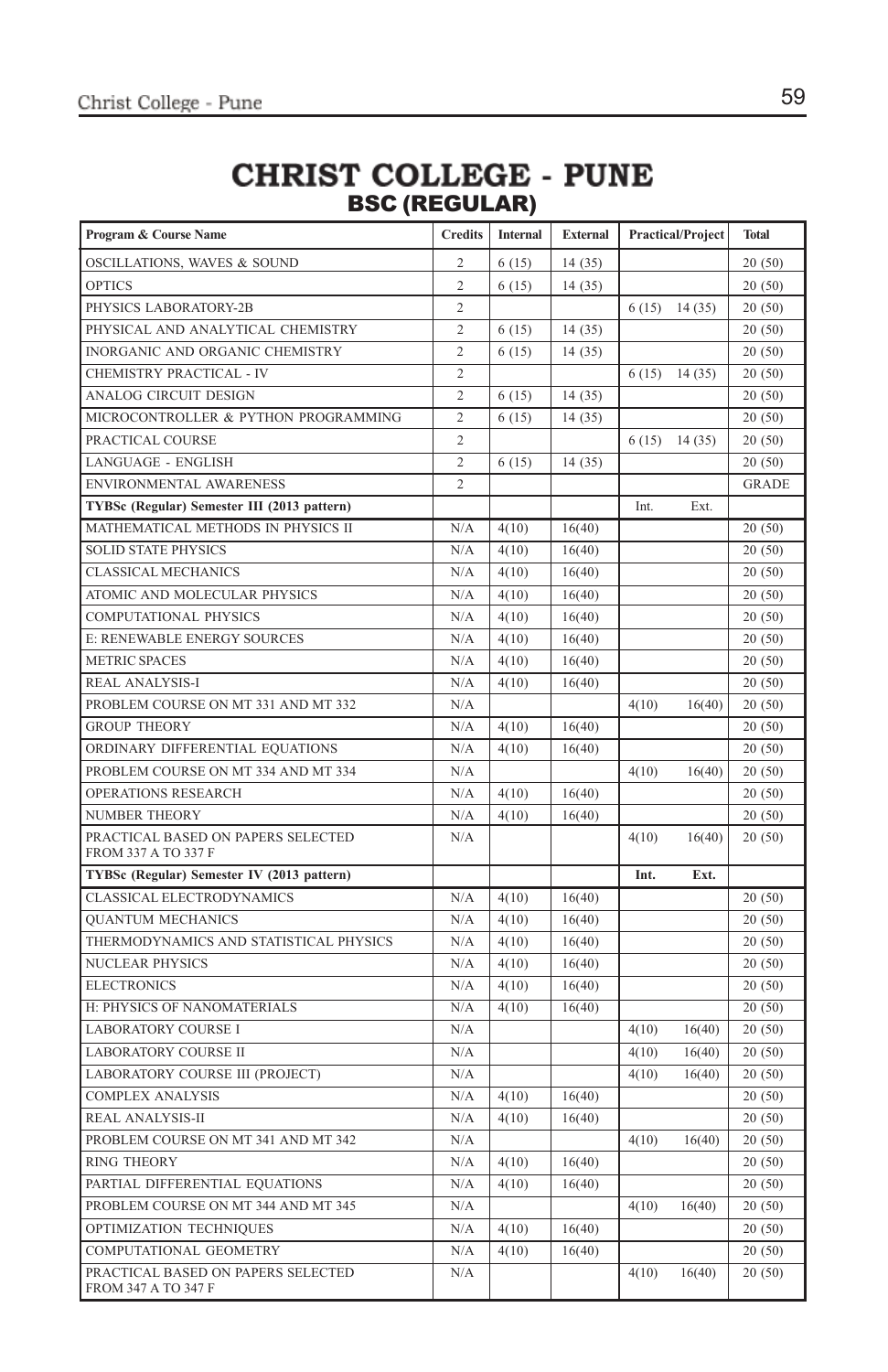### **CHRIST COLLEGE - PUNE** BSC (REGULAR)

| Program & Course Name                                     | <b>Credits</b> | Internal | <b>External</b> |       | <b>Practical/Project</b> | <b>Total</b> |
|-----------------------------------------------------------|----------------|----------|-----------------|-------|--------------------------|--------------|
| OSCILLATIONS, WAVES & SOUND                               | $\overline{c}$ | 6(15)    | 14(35)          |       |                          | 20(50)       |
| <b>OPTICS</b>                                             | $\overline{c}$ | 6(15)    | 14(35)          |       |                          | 20(50)       |
| PHYSICS LABORATORY-2B                                     | $\overline{c}$ |          |                 | 6(15) | 14(35)                   | 20(50)       |
| PHYSICAL AND ANALYTICAL CHEMISTRY                         | $\overline{c}$ | 6(15)    | 14(35)          |       |                          | 20(50)       |
| INORGANIC AND ORGANIC CHEMISTRY                           | $\overline{c}$ | 6(15)    | 14(35)          |       |                          | 20(50)       |
| CHEMISTRY PRACTICAL - IV                                  | $\overline{c}$ |          |                 | 6(15) | 14(35)                   | 20(50)       |
| ANALOG CIRCUIT DESIGN                                     | $\overline{c}$ | 6(15)    | 14(35)          |       |                          | 20(50)       |
| MICROCONTROLLER & PYTHON PROGRAMMING                      | $\overline{c}$ | 6(15)    | 14(35)          |       |                          | 20(50)       |
| PRACTICAL COURSE                                          | $\overline{c}$ |          |                 | 6(15) | 14(35)                   | 20(50)       |
| LANGUAGE - ENGLISH                                        | $\overline{2}$ | 6(15)    | 14(35)          |       |                          | 20(50)       |
| ENVIRONMENTAL AWARENESS                                   | $\overline{c}$ |          |                 |       |                          | <b>GRADE</b> |
| TYBSc (Regular) Semester III (2013 pattern)               |                |          |                 | Int.  | Ext.                     |              |
| MATHEMATICAL METHODS IN PHYSICS II                        | N/A            | 4(10)    | 16(40)          |       |                          | 20(50)       |
| <b>SOLID STATE PHYSICS</b>                                | N/A            | 4(10)    | 16(40)          |       |                          | 20(50)       |
| <b>CLASSICAL MECHANICS</b>                                | N/A            | 4(10)    | 16(40)          |       |                          | 20(50)       |
| ATOMIC AND MOLECULAR PHYSICS                              | N/A            | 4(10)    | 16(40)          |       |                          | 20(50)       |
| <b>COMPUTATIONAL PHYSICS</b>                              | N/A            | 4(10)    | 16(40)          |       |                          | 20(50)       |
| E: RENEWABLE ENERGY SOURCES                               | N/A            | 4(10)    | 16(40)          |       |                          | 20(50)       |
| <b>METRIC SPACES</b>                                      | N/A            | 4(10)    | 16(40)          |       |                          | 20(50)       |
| REAL ANALYSIS-I                                           | N/A            | 4(10)    | 16(40)          |       |                          | 20(50)       |
| PROBLEM COURSE ON MT 331 AND MT 332                       | N/A            |          |                 | 4(10) | 16(40)                   | 20(50)       |
| <b>GROUP THEORY</b>                                       | N/A            | 4(10)    | 16(40)          |       |                          | 20(50)       |
| ORDINARY DIFFERENTIAL EQUATIONS                           | N/A            | 4(10)    | 16(40)          |       |                          | 20(50)       |
| PROBLEM COURSE ON MT 334 AND MT 334                       | N/A            |          |                 | 4(10) | 16(40)                   | 20(50)       |
| <b>OPERATIONS RESEARCH</b>                                | N/A            | 4(10)    | 16(40)          |       |                          | 20(50)       |
| <b>NUMBER THEORY</b>                                      | N/A            | 4(10)    | 16(40)          |       |                          | 20(50)       |
| PRACTICAL BASED ON PAPERS SELECTED<br>FROM 337 A TO 337 F | N/A            |          |                 | 4(10) | 16(40)                   | 20(50)       |
| TYBSc (Regular) Semester IV (2013 pattern)                |                |          |                 | Int.  | Ext.                     |              |
| CLASSICAL ELECTRODYNAMICS                                 | N/A            | 4(10)    | 16(40)          |       |                          | 20(50)       |
| <b>QUANTUM MECHANICS</b>                                  | N/A            | 4(10)    | 16(40)          |       |                          | 20(50)       |
| THERMODYNAMICS AND STATISTICAL PHYSICS                    | N/A            | 4(10)    | 16(40)          |       |                          | 20(50)       |
| <b>NUCLEAR PHYSICS</b>                                    | N/A            | 4(10)    | 16(40)          |       |                          | 20(50)       |
| <b>ELECTRONICS</b>                                        | N/A            | 4(10)    | 16(40)          |       |                          | 20(50)       |
| H: PHYSICS OF NANOMATERIALS                               | N/A            | 4(10)    | 16(40)          |       |                          | 20(50)       |
| <b>LABORATORY COURSE I</b>                                | N/A            |          |                 | 4(10) | 16(40)                   | 20(50)       |
| <b>LABORATORY COURSE II</b>                               | N/A            |          |                 | 4(10) | 16(40)                   | 20(50)       |
| LABORATORY COURSE III (PROJECT)                           | N/A            |          |                 | 4(10) | 16(40)                   | 20(50)       |
| <b>COMPLEX ANALYSIS</b>                                   | N/A            | 4(10)    | 16(40)          |       |                          | 20(50)       |
| REAL ANALYSIS-II                                          | N/A            | 4(10)    | 16(40)          |       |                          | 20(50)       |
| PROBLEM COURSE ON MT 341 AND MT 342                       | N/A            |          |                 | 4(10) | 16(40)                   | 20(50)       |
| <b>RING THEORY</b>                                        | N/A            | 4(10)    | 16(40)          |       |                          | 20(50)       |
| PARTIAL DIFFERENTIAL EQUATIONS                            | N/A            | 4(10)    | 16(40)          |       |                          | 20(50)       |
| PROBLEM COURSE ON MT 344 AND MT 345                       | N/A            |          |                 | 4(10) | 16(40)                   | 20(50)       |
| OPTIMIZATION TECHNIQUES                                   | N/A            | 4(10)    | 16(40)          |       |                          | 20(50)       |
| COMPUTATIONAL GEOMETRY                                    | N/A            | 4(10)    | 16(40)          |       |                          | 20(50)       |
| PRACTICAL BASED ON PAPERS SELECTED<br>FROM 347 A TO 347 F | N/A            |          |                 | 4(10) | 16(40)                   | 20(50)       |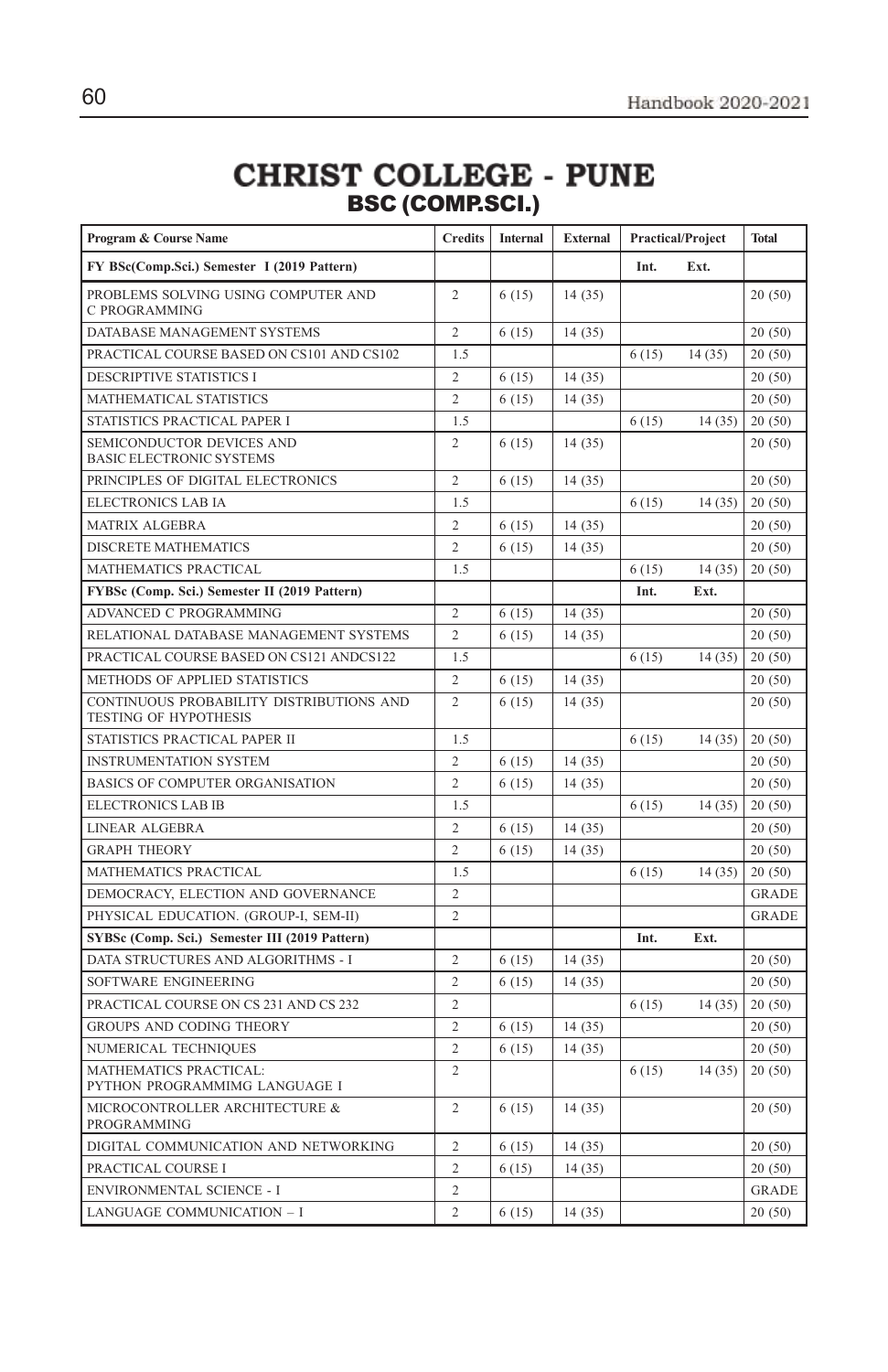# CHRIST COLLEGE - PUNE<br>BSC (COMP.SCI.)

| Program & Course Name<br><b>Credits</b>                                  |                | <b>Internal</b> | <b>External</b> | <b>Practical/Project</b> |        | <b>Total</b> |
|--------------------------------------------------------------------------|----------------|-----------------|-----------------|--------------------------|--------|--------------|
| FY BSc(Comp.Sci.) Semester I (2019 Pattern)                              |                |                 |                 | Int.                     | Ext.   |              |
| PROBLEMS SOLVING USING COMPUTER AND<br>C PROGRAMMING                     | $\overline{c}$ | 6(15)           | 14(35)          |                          |        | 20(50)       |
| DATABASE MANAGEMENT SYSTEMS                                              | 2              | 6(15)           | 14 (35)         |                          |        | 20(50)       |
| PRACTICAL COURSE BASED ON CS101 AND CS102                                | 1.5            |                 |                 | 6(15)                    | 14(35) | 20(50)       |
| <b>DESCRIPTIVE STATISTICS I</b>                                          | $\overline{c}$ | 6(15)           | 14(35)          |                          |        | 20(50)       |
| MATHEMATICAL STATISTICS                                                  | $\overline{c}$ | 6(15)           | 14(35)          |                          |        | 20(50)       |
| STATISTICS PRACTICAL PAPER I                                             | 1.5            |                 |                 | 6(15)                    | 14(35) | 20(50)       |
| SEMICONDUCTOR DEVICES AND<br><b>BASIC ELECTRONIC SYSTEMS</b>             | $\overline{c}$ | 6(15)           | 14(35)          |                          |        | 20(50)       |
| PRINCIPLES OF DIGITAL ELECTRONICS                                        | $\overline{c}$ | 6(15)           | 14(35)          |                          |        | 20(50)       |
| ELECTRONICS LAB IA                                                       | 1.5            |                 |                 | 6(15)                    | 14(35) | 20(50)       |
| <b>MATRIX ALGEBRA</b>                                                    | $\overline{c}$ | 6(15)           | 14(35)          |                          |        | 20(50)       |
| DISCRETE MATHEMATICS                                                     | $\overline{c}$ | 6(15)           | 14(35)          |                          |        | 20(50)       |
| MATHEMATICS PRACTICAL                                                    | 1.5            |                 |                 | 6(15)                    | 14(35) | 20(50)       |
| FYBSc (Comp. Sci.) Semester II (2019 Pattern)                            |                |                 |                 | Int.                     | Ext.   |              |
| ADVANCED C PROGRAMMING                                                   | $\overline{c}$ | 6(15)           | 14(35)          |                          |        | 20(50)       |
| RELATIONAL DATABASE MANAGEMENT SYSTEMS                                   | $\overline{c}$ | 6(15)           | 14(35)          |                          |        | 20(50)       |
| PRACTICAL COURSE BASED ON CS121 ANDCS122                                 | 1.5            |                 |                 | 6(15)                    | 14(35) | 20(50)       |
| METHODS OF APPLIED STATISTICS                                            | 2              | 6(15)           | 14(35)          |                          |        | 20(50)       |
| CONTINUOUS PROBABILITY DISTRIBUTIONS AND<br><b>TESTING OF HYPOTHESIS</b> | $\overline{c}$ | 6(15)           | 14(35)          |                          |        | 20(50)       |
| STATISTICS PRACTICAL PAPER II                                            | 1.5            |                 |                 | 6(15)                    | 14(35) | 20(50)       |
| <b>INSTRUMENTATION SYSTEM</b>                                            | $\overline{c}$ | 6(15)           | 14(35)          |                          |        | 20(50)       |
| BASICS OF COMPUTER ORGANISATION                                          | $\overline{c}$ | 6(15)           | 14(35)          |                          |        | 20(50)       |
| ELECTRONICS LAB IB                                                       | 1.5            |                 |                 | 6(15)                    | 14(35) | 20(50)       |
| LINEAR ALGEBRA                                                           | 2              | 6(15)           | 14(35)          |                          |        | 20(50)       |
| <b>GRAPH THEORY</b>                                                      | $\overline{c}$ | 6(15)           | 14 (35)         |                          |        | 20(50)       |
| MATHEMATICS PRACTICAL                                                    | 1.5            |                 |                 | 6(15)                    | 14(35) | 20(50)       |
| DEMOCRACY, ELECTION AND GOVERNANCE                                       | $\overline{c}$ |                 |                 |                          |        | <b>GRADE</b> |
| PHYSICAL EDUCATION. (GROUP-I, SEM-II)                                    | $\overline{c}$ |                 |                 |                          |        | <b>GRADE</b> |
| SYBSc (Comp. Sci.) Semester III (2019 Pattern)                           |                |                 |                 | Int.                     | Ext.   |              |
| DATA STRUCTURES AND ALGORITHMS - I                                       | $\overline{2}$ | 6(15)           | 14(35)          |                          |        | 20(50)       |
| SOFTWARE ENGINEERING                                                     | $\overline{2}$ | 6(15)           | 14(35)          |                          |        | 20(50)       |
| PRACTICAL COURSE ON CS 231 AND CS 232                                    | $\overline{c}$ |                 |                 | 6(15)                    | 14(35) | 20(50)       |
| GROUPS AND CODING THEORY                                                 | $\overline{2}$ | 6(15)           | 14(35)          |                          |        | 20(50)       |
| NUMERICAL TECHNIQUES                                                     | $\overline{c}$ | 6(15)           | 14(35)          |                          |        | 20(50)       |
| MATHEMATICS PRACTICAL:<br>PYTHON PROGRAMMIMG LANGUAGE I                  | $\overline{c}$ |                 |                 | 6(15)                    | 14(35) | 20(50)       |
| MICROCONTROLLER ARCHITECTURE &<br>PROGRAMMING                            | $\overline{c}$ | 6(15)           | 14(35)          |                          |        | 20(50)       |
| DIGITAL COMMUNICATION AND NETWORKING                                     | $\overline{c}$ | 6(15)           | 14(35)          |                          |        | 20(50)       |
| PRACTICAL COURSE I                                                       | $\overline{c}$ | 6(15)           | 14(35)          |                          |        | 20(50)       |
| ENVIRONMENTAL SCIENCE - I                                                | 2              |                 |                 |                          |        | <b>GRADE</b> |
| LANGUAGE COMMUNICATION - I                                               | $\overline{c}$ | 6(15)           | 14(35)          |                          |        | 20(50)       |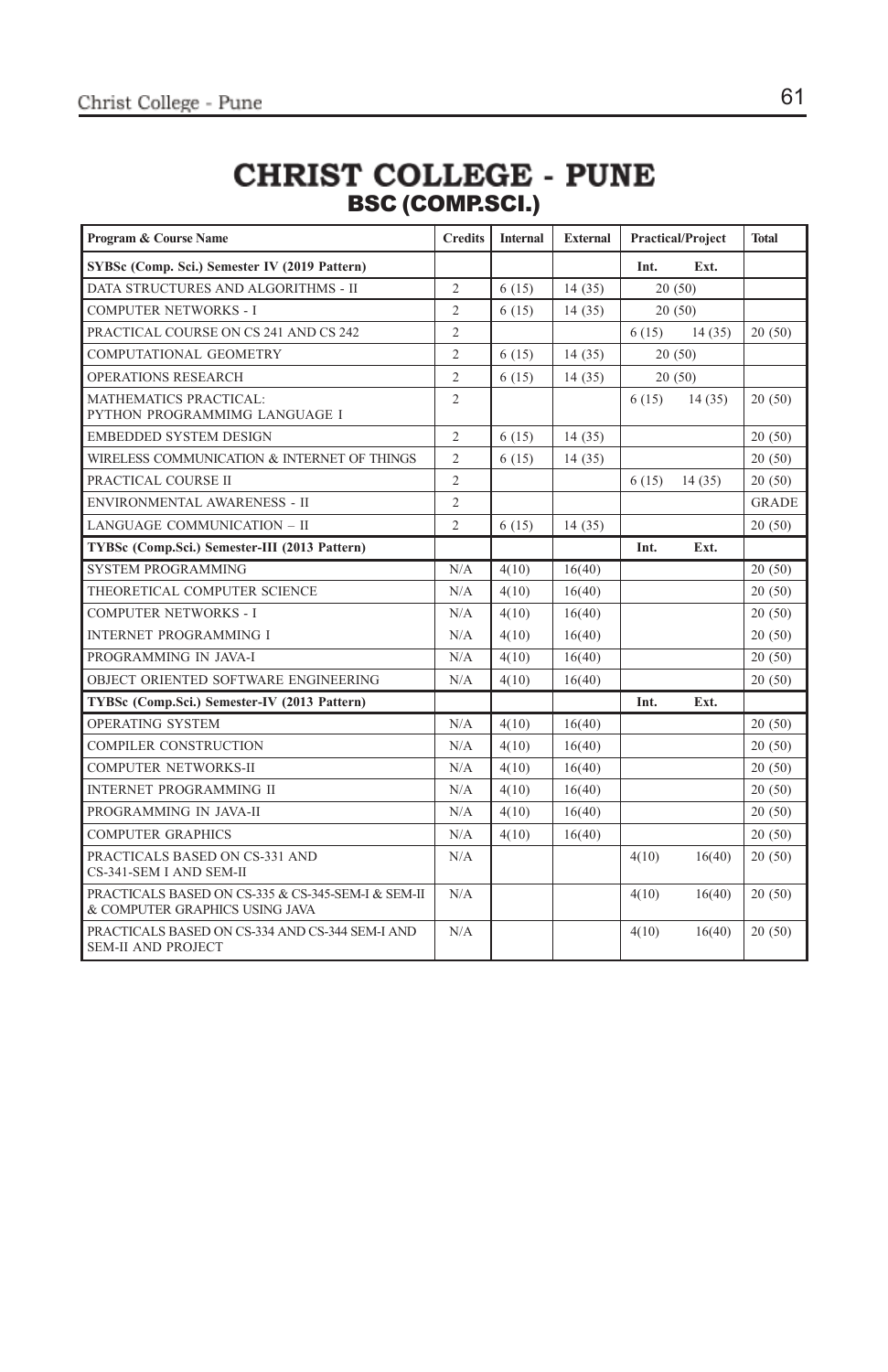### **CHRIST COLLEGE - PUNE** BSC (COMP.SCI.)

| Program & Course Name                                                                | <b>Credits</b> | <b>Internal</b> | <b>External</b> |       | <b>Practical/Project</b> | <b>Total</b> |
|--------------------------------------------------------------------------------------|----------------|-----------------|-----------------|-------|--------------------------|--------------|
| SYBSc (Comp. Sci.) Semester IV (2019 Pattern)                                        |                |                 |                 | Int.  | Ext.                     |              |
| DATA STRUCTURES AND ALGORITHMS - II                                                  | $\overline{c}$ | 6(15)           | 14(35)          |       | 20(50)                   |              |
| <b>COMPUTER NETWORKS - I</b>                                                         | $\overline{c}$ | 6(15)           | 14(35)          |       | 20(50)                   |              |
| PRACTICAL COURSE ON CS 241 AND CS 242                                                | $\overline{c}$ |                 |                 | 6(15) | 14(35)                   | 20(50)       |
| <b>COMPUTATIONAL GEOMETRY</b>                                                        | $\overline{c}$ | 6(15)           | 14(35)          |       | 20(50)                   |              |
| OPERATIONS RESEARCH                                                                  | $\overline{c}$ | 6(15)           | 14(35)          |       | 20(50)                   |              |
| <b>MATHEMATICS PRACTICAL:</b><br>PYTHON PROGRAMMIMG LANGUAGE I                       | $\overline{c}$ |                 |                 | 6(15) | 14(35)                   | 20(50)       |
| <b>EMBEDDED SYSTEM DESIGN</b>                                                        | 2              | 6(15)           | 14(35)          |       |                          | 20(50)       |
| WIRELESS COMMUNICATION & INTERNET OF THINGS                                          | $\overline{2}$ | 6(15)           | 14(35)          |       |                          | 20(50)       |
| PRACTICAL COURSE II                                                                  | $\overline{c}$ |                 |                 | 6(15) | 14(35)                   | 20(50)       |
| ENVIRONMENTAL AWARENESS - II                                                         | $\overline{c}$ |                 |                 |       |                          | <b>GRADE</b> |
| LANGUAGE COMMUNICATION - II                                                          | $\overline{c}$ | 6(15)           | 14(35)          |       |                          | 20(50)       |
| TYBSc (Comp.Sci.) Semester-III (2013 Pattern)                                        |                |                 |                 | Int.  | Ext.                     |              |
| <b>SYSTEM PROGRAMMING</b>                                                            | N/A            | 4(10)           | 16(40)          |       |                          | 20(50)       |
| THEORETICAL COMPUTER SCIENCE                                                         | N/A            | 4(10)           | 16(40)          |       |                          | 20(50)       |
| <b>COMPUTER NETWORKS - I</b>                                                         | N/A            | 4(10)           | 16(40)          |       |                          | 20(50)       |
| <b>INTERNET PROGRAMMING I</b>                                                        | N/A            | 4(10)           | 16(40)          |       |                          | 20(50)       |
| PROGRAMMING IN JAVA-I                                                                | N/A            | 4(10)           | 16(40)          |       |                          | 20(50)       |
| OBJECT ORIENTED SOFTWARE ENGINEERING                                                 | N/A            | 4(10)           | 16(40)          |       |                          | 20(50)       |
| TYBSc (Comp.Sci.) Semester-IV (2013 Pattern)                                         |                |                 |                 | Int.  | Ext.                     |              |
| <b>OPERATING SYSTEM</b>                                                              | N/A            | 4(10)           | 16(40)          |       |                          | 20(50)       |
| COMPILER CONSTRUCTION                                                                | N/A            | 4(10)           | 16(40)          |       |                          | 20(50)       |
| <b>COMPUTER NETWORKS-II</b>                                                          | N/A            | 4(10)           | 16(40)          |       |                          | 20(50)       |
| <b>INTERNET PROGRAMMING II</b>                                                       | N/A            | 4(10)           | 16(40)          |       |                          | 20(50)       |
| PROGRAMMING IN JAVA-II                                                               | N/A            | 4(10)           | 16(40)          |       |                          | 20(50)       |
| <b>COMPUTER GRAPHICS</b>                                                             | N/A            | 4(10)           | 16(40)          |       |                          | 20(50)       |
| PRACTICALS BASED ON CS-331 AND<br>CS-341-SEM I AND SEM-II                            | N/A            |                 |                 | 4(10) | 16(40)                   | 20(50)       |
| PRACTICALS BASED ON CS-335 & CS-345-SEM-I & SEM-II<br>& COMPUTER GRAPHICS USING JAVA | N/A            |                 |                 | 4(10) | 16(40)                   | 20(50)       |
| PRACTICALS BASED ON CS-334 AND CS-344 SEM-I AND<br><b>SEM-II AND PROJECT</b>         | N/A            |                 |                 | 4(10) | 16(40)                   | 20(50)       |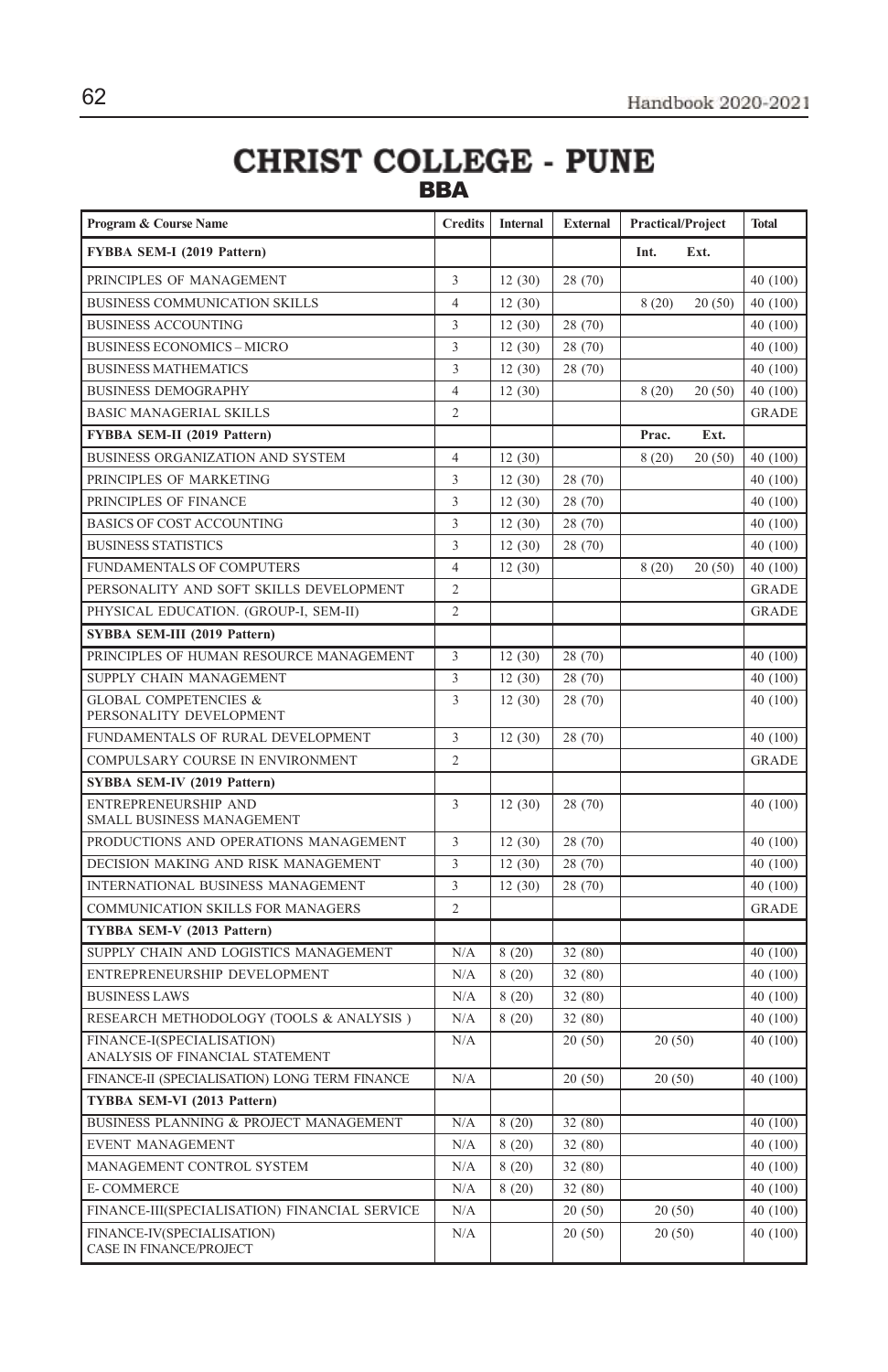### **CHRIST COLLEGE - PUNE** BBA

| Program & Course Name                                        | <b>Credits</b>          | Internal | <b>External</b> | <b>Practical/Project</b> |        | <b>Total</b> |
|--------------------------------------------------------------|-------------------------|----------|-----------------|--------------------------|--------|--------------|
| FYBBA SEM-I (2019 Pattern)                                   |                         |          |                 | Int.                     | Ext.   |              |
| PRINCIPLES OF MANAGEMENT                                     | 3                       | 12(30)   | 28 (70)         |                          |        | 40 (100)     |
| BUSINESS COMMUNICATION SKILLS                                | $\overline{4}$          | 12(30)   |                 | 8(20)                    | 20(50) | 40 (100)     |
| <b>BUSINESS ACCOUNTING</b>                                   | 3                       | 12(30)   | 28 (70)         |                          |        | 40 (100)     |
| <b>BUSINESS ECONOMICS - MICRO</b>                            | 3                       | 12(30)   | 28 (70)         |                          |        | 40 (100)     |
| <b>BUSINESS MATHEMATICS</b>                                  | $\overline{\mathbf{3}}$ | 12(30)   | 28 (70)         |                          |        | 40 (100)     |
| <b>BUSINESS DEMOGRAPHY</b>                                   | $\overline{4}$          | 12(30)   |                 | 8(20)                    | 20(50) | 40 (100)     |
| <b>BASIC MANAGERIAL SKILLS</b>                               | $\overline{2}$          |          |                 |                          |        | <b>GRADE</b> |
| FYBBA SEM-II (2019 Pattern)                                  |                         |          |                 | Prac.                    | Ext.   |              |
| BUSINESS ORGANIZATION AND SYSTEM                             | $\overline{4}$          | 12(30)   |                 | 8(20)                    | 20(50) | 40 (100)     |
| PRINCIPLES OF MARKETING                                      | 3                       | 12(30)   | 28 (70)         |                          |        | 40 (100)     |
| PRINCIPLES OF FINANCE                                        | $\overline{\mathbf{3}}$ | 12(30)   | 28 (70)         |                          |        | 40 (100)     |
| <b>BASICS OF COST ACCOUNTING</b>                             | 3                       | 12(30)   | 28 (70)         |                          |        | 40 (100)     |
| <b>BUSINESS STATISTICS</b>                                   | $\overline{\mathbf{3}}$ | 12(30)   | 28 (70)         |                          |        | 40 (100)     |
| <b>FUNDAMENTALS OF COMPUTERS</b>                             | $\overline{4}$          | 12(30)   |                 | 8(20)                    | 20(50) | 40 (100)     |
| PERSONALITY AND SOFT SKILLS DEVELOPMENT                      | $\overline{2}$          |          |                 |                          |        | <b>GRADE</b> |
| PHYSICAL EDUCATION. (GROUP-I, SEM-II)                        | $\overline{2}$          |          |                 |                          |        | <b>GRADE</b> |
| SYBBA SEM-III (2019 Pattern)                                 |                         |          |                 |                          |        |              |
| PRINCIPLES OF HUMAN RESOURCE MANAGEMENT                      | 3                       | 12(30)   | 28 (70)         |                          |        | 40 (100)     |
| SUPPLY CHAIN MANAGEMENT                                      | 3                       | 12(30)   | 28 (70)         |                          |        | 40 (100)     |
| <b>GLOBAL COMPETENCIES &amp;</b><br>PERSONALITY DEVELOPMENT  | 3                       | 12(30)   | 28 (70)         |                          |        | 40 (100)     |
| FUNDAMENTALS OF RURAL DEVELOPMENT                            | 3                       | 12(30)   | 28 (70)         |                          |        | 40 (100)     |
| COMPULSARY COURSE IN ENVIRONMENT                             | $\mathfrak 2$           |          |                 |                          |        | <b>GRADE</b> |
| SYBBA SEM-IV (2019 Pattern)                                  |                         |          |                 |                          |        |              |
| ENTREPRENEURSHIP AND<br>SMALL BUSINESS MANAGEMENT            | 3                       | 12(30)   | 28 (70)         |                          |        | 40 (100)     |
| PRODUCTIONS AND OPERATIONS MANAGEMENT                        | 3                       | 12(30)   | 28 (70)         |                          |        | 40 (100)     |
| DECISION MAKING AND RISK MANAGEMENT                          | 3                       | 12(30)   | 28 (70)         |                          |        | 40 (100)     |
| INTERNATIONAL BUSINESS MANAGEMENT                            | 3                       | 12(30)   | 28 (70)         |                          |        | 40 (100)     |
| COMMUNICATION SKILLS FOR MANAGERS                            | $\overline{2}$          |          |                 |                          |        | <b>GRADE</b> |
| TYBBA SEM-V (2013 Pattern)                                   |                         |          |                 |                          |        |              |
| SUPPLY CHAIN AND LOGISTICS MANAGEMENT                        | N/A                     | 8(20)    | 32 (80)         |                          |        | 40 (100)     |
| ENTREPRENEURSHIP DEVELOPMENT                                 | N/A                     | 8(20)    | 32 (80)         |                          |        | 40 (100)     |
| <b>BUSINESS LAWS</b>                                         | N/A                     | 8(20)    | 32 (80)         |                          |        | 40 (100)     |
| RESEARCH METHODOLOGY (TOOLS & ANALYSIS)                      | N/A                     | 8(20)    | 32 (80)         |                          |        | 40 (100)     |
| FINANCE-I(SPECIALISATION)<br>ANALYSIS OF FINANCIAL STATEMENT | N/A                     |          | 20(50)          | 20(50)                   |        | 40 (100)     |
| FINANCE-II (SPECIALISATION) LONG TERM FINANCE                | N/A                     |          | 20(50)          | 20(50)                   |        | 40 (100)     |
| TYBBA SEM-VI (2013 Pattern)                                  |                         |          |                 |                          |        |              |
| BUSINESS PLANNING & PROJECT MANAGEMENT                       | N/A                     | 8(20)    | 32 (80)         |                          |        | 40 (100)     |
| <b>EVENT MANAGEMENT</b>                                      | N/A                     | 8(20)    | 32 (80)         |                          |        | 40 (100)     |
| MANAGEMENT CONTROL SYSTEM                                    | N/A                     | 8(20)    | 32 (80)         |                          |        | 40 (100)     |
| <b>E-COMMERCE</b>                                            | N/A                     | 8(20)    | 32 (80)         |                          |        | 40 (100)     |
| FINANCE-III(SPECIALISATION) FINANCIAL SERVICE                | N/A                     |          | 20(50)          | 20(50)                   |        | 40 (100)     |
| FINANCE-IV(SPECIALISATION)<br>CASE IN FINANCE/PROJECT        | N/A                     |          | 20(50)          | 20(50)                   |        | 40 (100)     |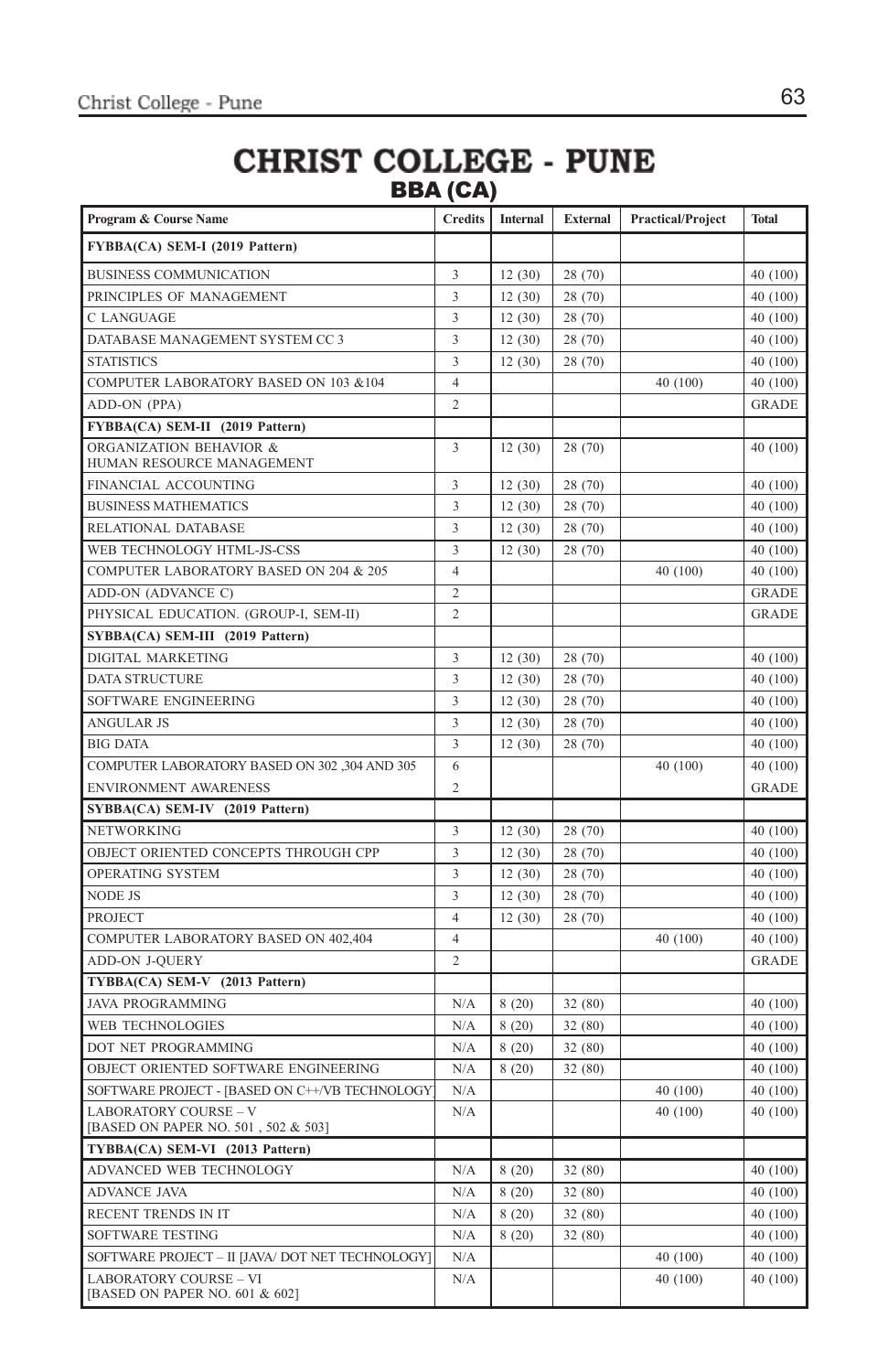### **CHRIST COLLEGE - PUNE** BBA (CA)

| Program & Course Name                                               | <b>Credits</b>          | <b>Internal</b> | <b>External</b> | <b>Practical/Project</b> | <b>Total</b> |
|---------------------------------------------------------------------|-------------------------|-----------------|-----------------|--------------------------|--------------|
| FYBBA(CA) SEM-I (2019 Pattern)                                      |                         |                 |                 |                          |              |
| <b>BUSINESS COMMUNICATION</b>                                       | 3                       | 12(30)          | 28 (70)         |                          | 40 (100)     |
| PRINCIPLES OF MANAGEMENT                                            | $\overline{3}$          | 12(30)          | 28 (70)         |                          | 40 (100)     |
| C LANGUAGE                                                          | $\overline{\mathbf{3}}$ | 12(30)          | 28 (70)         |                          | 40 (100)     |
| DATABASE MANAGEMENT SYSTEM CC 3                                     | $\overline{3}$          | 12(30)          | 28 (70)         |                          | 40 (100)     |
| <b>STATISTICS</b>                                                   | 3                       | 12(30)          | 28 (70)         |                          | 40 (100)     |
| COMPUTER LABORATORY BASED ON 103 &104                               | $\overline{4}$          |                 |                 | 40 (100)                 | 40 (100)     |
| ADD-ON (PPA)                                                        | $\overline{2}$          |                 |                 |                          | <b>GRADE</b> |
| FYBBA(CA) SEM-II (2019 Pattern)                                     |                         |                 |                 |                          |              |
| ORGANIZATION BEHAVIOR &<br>HUMAN RESOURCE MANAGEMENT                | 3                       | 12(30)          | 28 (70)         |                          | 40 (100)     |
| FINANCIAL ACCOUNTING                                                | 3                       | 12(30)          | 28 (70)         |                          | 40 (100)     |
| <b>BUSINESS MATHEMATICS</b>                                         | 3                       | 12(30)          | 28 (70)         |                          | 40 (100)     |
| RELATIONAL DATABASE                                                 | $\overline{\mathbf{3}}$ | 12(30)          | 28 (70)         |                          | 40 (100)     |
| WEB TECHNOLOGY HTML-JS-CSS                                          | 3                       | 12(30)          | 28 (70)         |                          | 40 (100)     |
| COMPUTER LABORATORY BASED ON 204 & 205                              | $\overline{4}$          |                 |                 | 40 (100)                 | 40 (100)     |
| ADD-ON (ADVANCE C)                                                  | $\overline{c}$          |                 |                 |                          | <b>GRADE</b> |
| PHYSICAL EDUCATION. (GROUP-I, SEM-II)                               | $\overline{2}$          |                 |                 |                          | <b>GRADE</b> |
| SYBBA(CA) SEM-III (2019 Pattern)                                    |                         |                 |                 |                          |              |
| DIGITAL MARKETING                                                   | 3                       | 12(30)          | 28 (70)         |                          | 40 (100)     |
| <b>DATA STRUCTURE</b>                                               | 3                       | 12(30)          | 28 (70)         |                          | 40 (100)     |
| SOFTWARE ENGINEERING                                                | $\overline{\mathbf{3}}$ | 12(30)          | 28 (70)         |                          | 40 (100)     |
| <b>ANGULAR JS</b>                                                   | 3                       | 12(30)          | 28 (70)         |                          | 40 (100)     |
| <b>BIG DATA</b>                                                     | $\overline{\mathbf{3}}$ | 12(30)          | 28 (70)         |                          | 40 (100)     |
| COMPUTER LABORATORY BASED ON 302 ,304 AND 305                       | 6                       |                 |                 | 40 (100)                 | 40 (100)     |
| ENVIRONMENT AWARENESS                                               | $\overline{c}$          |                 |                 |                          | <b>GRADE</b> |
| SYBBA(CA) SEM-IV (2019 Pattern)                                     |                         |                 |                 |                          |              |
| NETWORKING                                                          | 3                       | 12(30)          | 28 (70)         |                          | 40 (100)     |
| OBJECT ORIENTED CONCEPTS THROUGH CPP                                | $\overline{\mathbf{3}}$ | 12(30)          | 28 (70)         |                          | 40 (100)     |
| <b>OPERATING SYSTEM</b>                                             | 3                       | 12(30)          | 28 (70)         |                          | 40 (100)     |
| <b>NODE JS</b>                                                      | 3                       | 12(30)          | 28 (70)         |                          | 40 (100)     |
| <b>PROJECT</b>                                                      | $\overline{4}$          | 12(30)          | 28 (70)         |                          | 40 (100)     |
| COMPUTER LABORATORY BASED ON 402,404                                | $\overline{4}$          |                 |                 | 40 (100)                 | 40 (100)     |
| ADD-ON J-QUERY                                                      | $\overline{c}$          |                 |                 |                          | <b>GRADE</b> |
| TYBBA(CA) SEM-V (2013 Pattern)                                      |                         |                 |                 |                          |              |
| <b>JAVA PROGRAMMING</b>                                             | N/A                     | 8(20)           | 32 (80)         |                          | 40 (100)     |
| WEB TECHNOLOGIES                                                    | N/A                     | 8(20)           | 32 (80)         |                          | 40 (100)     |
| DOT NET PROGRAMMING                                                 | N/A                     | 8(20)           | 32 (80)         |                          | 40 (100)     |
| OBJECT ORIENTED SOFTWARE ENGINEERING                                | N/A                     | 8(20)           | 32 (80)         |                          | 40 (100)     |
| SOFTWARE PROJECT - [BASED ON C++/VB TECHNOLOGY                      | N/A                     |                 |                 | 40 (100)                 | 40 (100)     |
| <b>LABORATORY COURSE - V</b><br>[BASED ON PAPER NO. 501, 502 & 503] | N/A                     |                 |                 | 40 (100)                 | 40 (100)     |
| TYBBA(CA) SEM-VI (2013 Pattern)                                     |                         |                 |                 |                          |              |
| ADVANCED WEB TECHNOLOGY                                             | N/A                     | 8(20)           | 32 (80)         |                          | 40 (100)     |
| <b>ADVANCE JAVA</b>                                                 | N/A                     | 8(20)           | 32 (80)         |                          | 40 (100)     |
| RECENT TRENDS IN IT                                                 | N/A                     | 8(20)           | 32 (80)         |                          | 40 (100)     |
| SOFTWARE TESTING                                                    | N/A                     | 8(20)           | 32 (80)         |                          | 40 (100)     |
| SOFTWARE PROJECT - II [JAVA/ DOT NET TECHNOLOGY]                    | N/A                     |                 |                 | 40 (100)                 | 40 (100)     |
| <b>LABORATORY COURSE - VI</b><br>[BASED ON PAPER NO. 601 & 602]     | N/A                     |                 |                 | 40 (100)                 | 40 (100)     |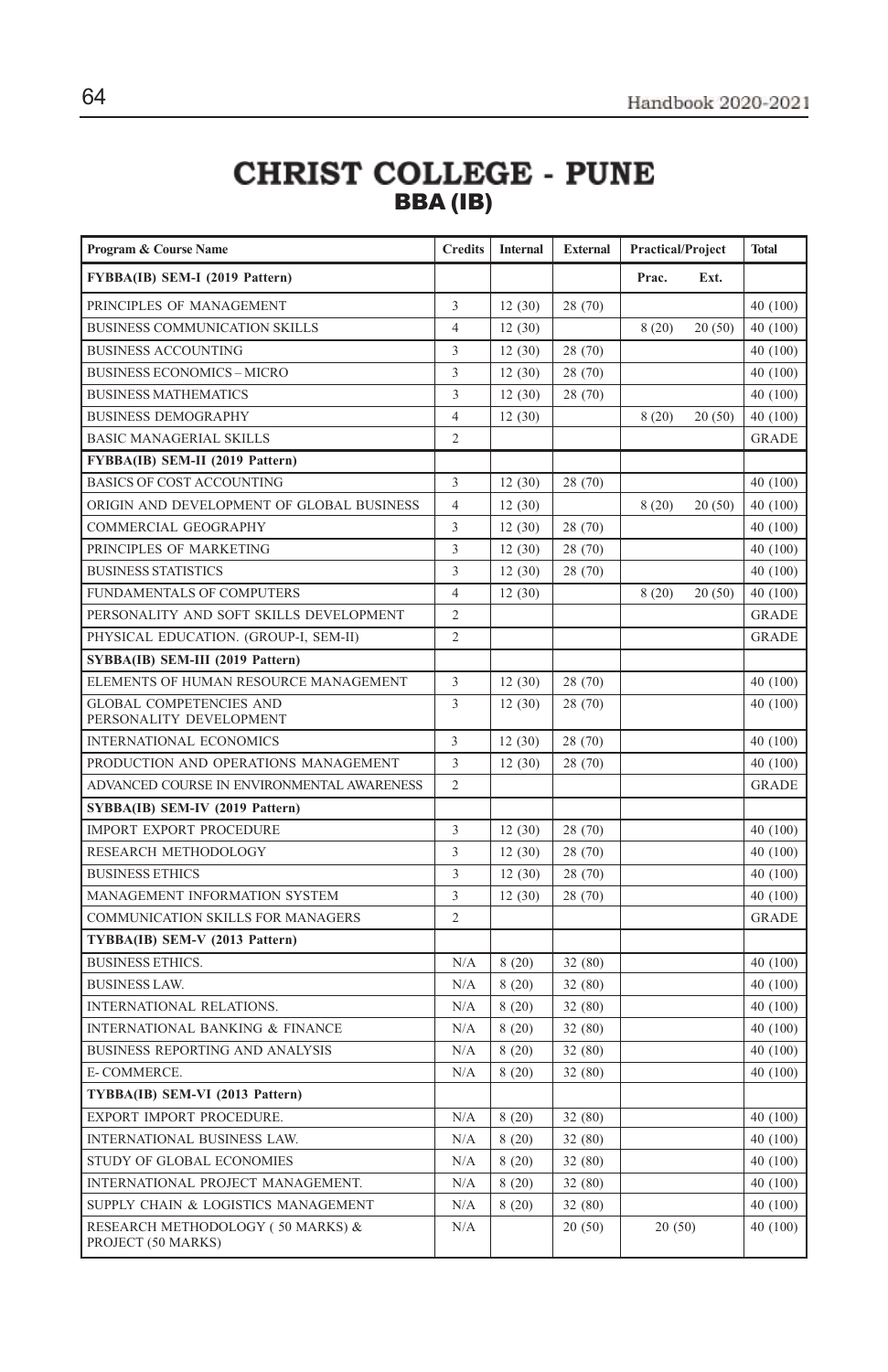### **CHRIST COLLEGE - PUNE** BBA (IB)

| Program & Course Name                                     | <b>Credits</b>          | Internal | <b>External</b> | <b>Practical/Project</b> |        | <b>Total</b> |
|-----------------------------------------------------------|-------------------------|----------|-----------------|--------------------------|--------|--------------|
| FYBBA(IB) SEM-I (2019 Pattern)                            |                         |          |                 | Prac.                    | Ext.   |              |
| PRINCIPLES OF MANAGEMENT                                  | 3                       | 12(30)   | 28 (70)         |                          |        | 40 (100)     |
| BUSINESS COMMUNICATION SKILLS                             | $\overline{4}$          | 12(30)   |                 | 8(20)                    | 20(50) | 40 (100)     |
| <b>BUSINESS ACCOUNTING</b>                                | 3                       | 12(30)   | 28 (70)         |                          |        | 40 (100)     |
| <b>BUSINESS ECONOMICS - MICRO</b>                         | 3                       | 12(30)   | 28 (70)         |                          |        | 40 (100)     |
| <b>BUSINESS MATHEMATICS</b>                               | 3                       | 12(30)   | 28 (70)         |                          |        | 40 (100)     |
| <b>BUSINESS DEMOGRAPHY</b>                                | $\overline{4}$          | 12(30)   |                 | 8(20)                    | 20(50) | 40 (100)     |
| <b>BASIC MANAGERIAL SKILLS</b>                            | $\overline{c}$          |          |                 |                          |        | <b>GRADE</b> |
| FYBBA(IB) SEM-II (2019 Pattern)                           |                         |          |                 |                          |        |              |
| <b>BASICS OF COST ACCOUNTING</b>                          | 3                       | 12(30)   | 28 (70)         |                          |        | 40 (100)     |
| ORIGIN AND DEVELOPMENT OF GLOBAL BUSINESS                 | $\overline{4}$          | 12(30)   |                 | 8(20)                    | 20(50) | 40 (100)     |
| COMMERCIAL GEOGRAPHY                                      | 3                       | 12(30)   | 28 (70)         |                          |        | 40 (100)     |
| PRINCIPLES OF MARKETING                                   | 3                       | 12(30)   | 28 (70)         |                          |        | 40 (100)     |
| <b>BUSINESS STATISTICS</b>                                | 3                       | 12(30)   | 28 (70)         |                          |        | 40 (100)     |
| FUNDAMENTALS OF COMPUTERS                                 | $\overline{4}$          | 12(30)   |                 | 8(20)                    | 20(50) | 40 (100)     |
| PERSONALITY AND SOFT SKILLS DEVELOPMENT                   | $\overline{2}$          |          |                 |                          |        | <b>GRADE</b> |
| PHYSICAL EDUCATION. (GROUP-I, SEM-II)                     | $\overline{2}$          |          |                 |                          |        | <b>GRADE</b> |
| SYBBA(IB) SEM-III (2019 Pattern)                          |                         |          |                 |                          |        |              |
| ELEMENTS OF HUMAN RESOURCE MANAGEMENT                     | 3                       | 12(30)   | 28 (70)         |                          |        | 40 (100)     |
| <b>GLOBAL COMPETENCIES AND</b><br>PERSONALITY DEVELOPMENT | $\overline{\mathbf{3}}$ | 12(30)   | 28 (70)         |                          |        | 40 (100)     |
| <b>INTERNATIONAL ECONOMICS</b>                            | 3                       | 12(30)   | 28 (70)         |                          |        | 40 (100)     |
| PRODUCTION AND OPERATIONS MANAGEMENT                      | 3                       | 12(30)   | 28 (70)         |                          |        | 40 (100)     |
| ADVANCED COURSE IN ENVIRONMENTAL AWARENESS                | $\overline{2}$          |          |                 |                          |        | <b>GRADE</b> |
| SYBBA(IB) SEM-IV (2019 Pattern)                           |                         |          |                 |                          |        |              |
| <b>IMPORT EXPORT PROCEDURE</b>                            | 3                       | 12(30)   | 28 (70)         |                          |        | 40 (100)     |
| RESEARCH METHODOLOGY                                      | $\overline{\mathbf{3}}$ | 12(30)   | 28 (70)         |                          |        | 40 (100)     |
| <b>BUSINESS ETHICS</b>                                    | 3                       | 12(30)   | 28 (70)         |                          |        | 40 (100)     |
| MANAGEMENT INFORMATION SYSTEM                             | 3                       | 12(30)   | 28 (70)         |                          |        | 40 (100)     |
| COMMUNICATION SKILLS FOR MANAGERS                         | $\overline{2}$          |          |                 |                          |        | <b>GRADE</b> |
| TYBBA(IB) SEM-V (2013 Pattern)                            |                         |          |                 |                          |        |              |
| <b>BUSINESS ETHICS.</b>                                   | N/A                     | 8(20)    | 32 (80)         |                          |        | 40 (100)     |
| <b>BUSINESS LAW.</b>                                      | N/A                     | 8(20)    | 32 (80)         |                          |        | 40 (100)     |
| <b>INTERNATIONAL RELATIONS.</b>                           | N/A                     | 8(20)    | 32 (80)         |                          |        | 40 (100)     |
| <b>INTERNATIONAL BANKING &amp; FINANCE</b>                | N/A                     | 8(20)    | 32(80)          |                          |        | 40 (100)     |
| BUSINESS REPORTING AND ANALYSIS                           | N/A                     | 8(20)    | 32 (80)         |                          |        | 40 (100)     |
| E-COMMERCE.                                               | N/A                     | 8(20)    | 32 (80)         |                          |        | 40 (100)     |
| TYBBA(IB) SEM-VI (2013 Pattern)                           |                         |          |                 |                          |        |              |
| EXPORT IMPORT PROCEDURE.                                  | N/A                     | 8(20)    | 32 (80)         |                          |        | 40 (100)     |
| INTERNATIONAL BUSINESS LAW.                               | N/A                     | 8(20)    | 32 (80)         |                          |        | 40 (100)     |
| STUDY OF GLOBAL ECONOMIES                                 | N/A                     | 8(20)    | 32(80)          |                          |        | 40 (100)     |
| INTERNATIONAL PROJECT MANAGEMENT.                         | N/A                     | 8(20)    | 32 (80)         |                          |        | 40 (100)     |
| SUPPLY CHAIN & LOGISTICS MANAGEMENT                       | N/A                     | 8(20)    | 32 (80)         |                          |        | 40 (100)     |
| RESEARCH METHODOLOGY (50 MARKS) &<br>PROJECT (50 MARKS)   | N/A                     |          | 20(50)          | 20(50)                   |        | 40 (100)     |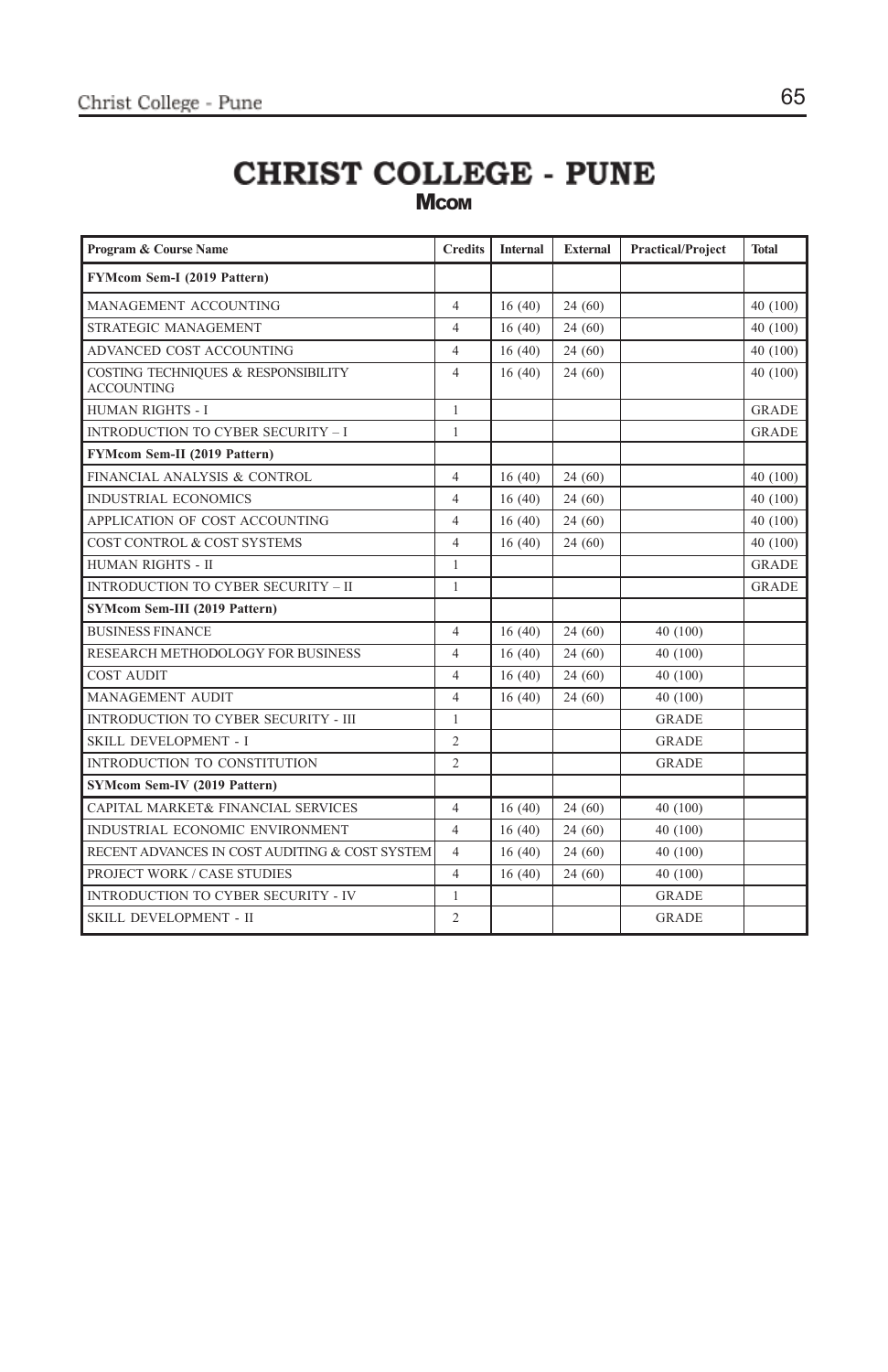### **CHRIST COLLEGE - PUNE Mcom**

| Program & Course Name                                    | <b>Credits</b> | <b>Internal</b> | <b>External</b> | <b>Practical/Project</b> | <b>Total</b> |
|----------------------------------------------------------|----------------|-----------------|-----------------|--------------------------|--------------|
| FYMcom Sem-I (2019 Pattern)                              |                |                 |                 |                          |              |
| MANAGEMENT ACCOUNTING                                    | $\overline{4}$ | 16(40)          | 24(60)          |                          | 40 (100)     |
| STRATEGIC MANAGEMENT                                     | $\overline{4}$ | 16(40)          | 24(60)          |                          | 40 (100)     |
| ADVANCED COST ACCOUNTING                                 | $\overline{4}$ | 16(40)          | 24(60)          |                          | 40 (100)     |
| COSTING TECHNIQUES & RESPONSIBILITY<br><b>ACCOUNTING</b> | $\overline{4}$ | 16(40)          | 24(60)          |                          | 40 (100)     |
| <b>HUMAN RIGHTS - I</b>                                  | $\mathbf{1}$   |                 |                 |                          | <b>GRADE</b> |
| <b>INTRODUCTION TO CYBER SECURITY - I</b>                | 1              |                 |                 |                          | <b>GRADE</b> |
| FYMcom Sem-II (2019 Pattern)                             |                |                 |                 |                          |              |
| FINANCIAL ANALYSIS & CONTROL                             | $\overline{4}$ | 16(40)          | 24(60)          |                          | 40 (100)     |
| <b>INDUSTRIAL ECONOMICS</b>                              | $\overline{4}$ | 16(40)          | 24(60)          |                          | 40 (100)     |
| APPLICATION OF COST ACCOUNTING                           | $\overline{4}$ | 16(40)          | 24(60)          |                          | 40 (100)     |
| COST CONTROL & COST SYSTEMS                              | $\overline{4}$ | 16(40)          | 24(60)          |                          | 40 (100)     |
| <b>HUMAN RIGHTS - II</b>                                 | $\mathbf{1}$   |                 |                 |                          | <b>GRADE</b> |
| INTRODUCTION TO CYBER SECURITY - II                      | 1              |                 |                 |                          | <b>GRADE</b> |
| SYMcom Sem-III (2019 Pattern)                            |                |                 |                 |                          |              |
| <b>BUSINESS FINANCE</b>                                  | $\overline{4}$ | 16(40)          | 24(60)          | 40 (100)                 |              |
| RESEARCH METHODOLOGY FOR BUSINESS                        | $\overline{4}$ | 16(40)          | 24(60)          | 40 (100)                 |              |
| <b>COST AUDIT</b>                                        | $\overline{4}$ | 16(40)          | 24(60)          | 40 (100)                 |              |
| <b>MANAGEMENT AUDIT</b>                                  | $\overline{4}$ | 16(40)          | 24(60)          | 40 (100)                 |              |
| INTRODUCTION TO CYBER SECURITY - III                     | $\mathbf{1}$   |                 |                 | <b>GRADE</b>             |              |
| <b>SKILL DEVELOPMENT - I</b>                             | $\overline{2}$ |                 |                 | <b>GRADE</b>             |              |
| INTRODUCTION TO CONSTITUTION                             | $\overline{c}$ |                 |                 | <b>GRADE</b>             |              |
| SYMcom Sem-IV (2019 Pattern)                             |                |                 |                 |                          |              |
| CAPITAL MARKET& FINANCIAL SERVICES                       | $\overline{4}$ | 16(40)          | 24(60)          | 40 (100)                 |              |
| INDUSTRIAL ECONOMIC ENVIRONMENT                          | $\overline{4}$ | 16(40)          | 24(60)          | 40 (100)                 |              |
| RECENT ADVANCES IN COST AUDITING & COST SYSTEM           | $\overline{4}$ | 16(40)          | 24(60)          | 40 (100)                 |              |
| PROJECT WORK / CASE STUDIES                              | $\overline{4}$ | 16(40)          | 24(60)          | 40 (100)                 |              |
| <b>INTRODUCTION TO CYBER SECURITY - IV</b>               | $\mathbf{1}$   |                 |                 | GRADE                    |              |
| SKILL DEVELOPMENT - II                                   | $\overline{2}$ |                 |                 | <b>GRADE</b>             |              |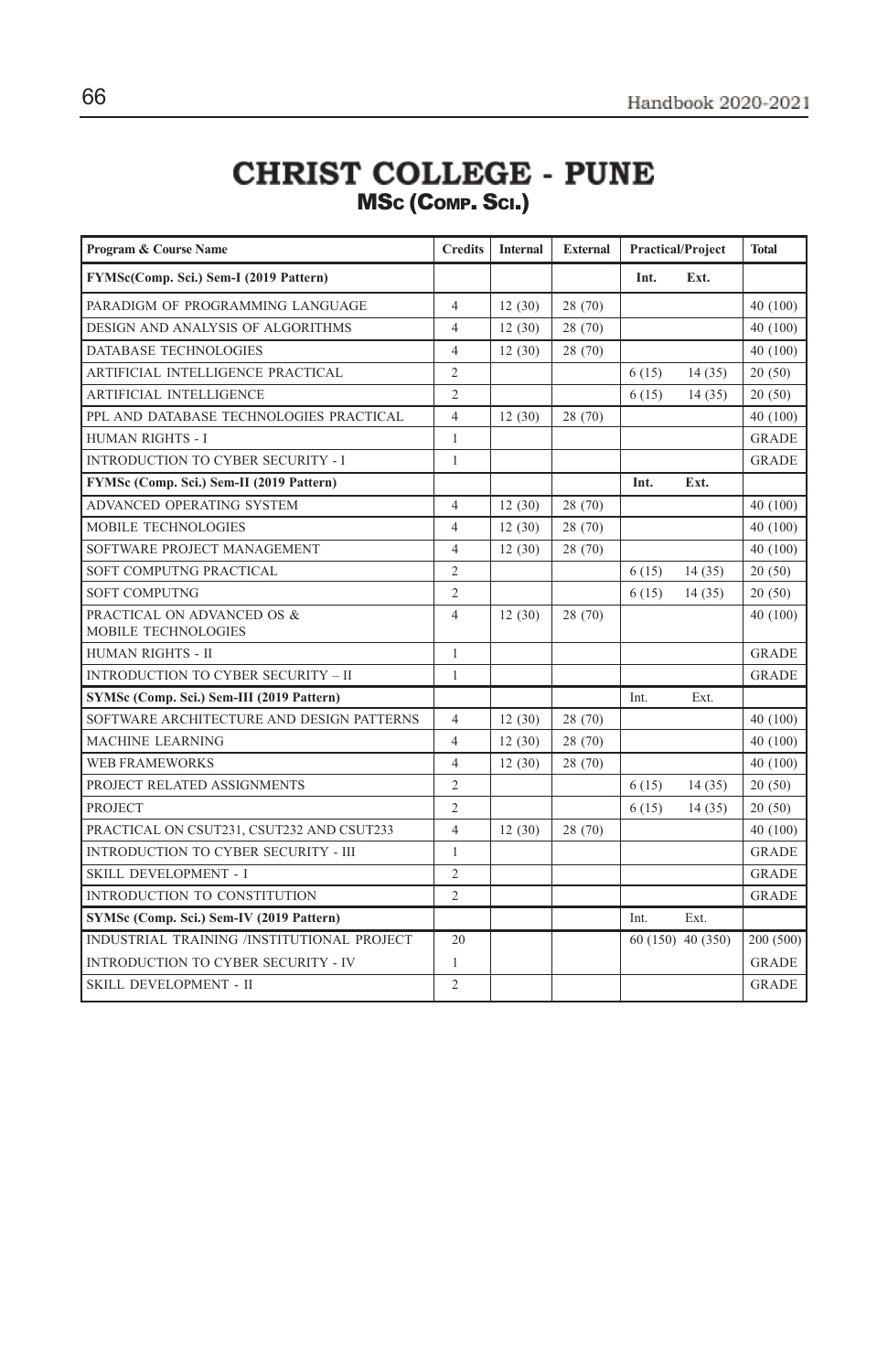### **CHRIST COLLEGE - PUNE** MSC (COMP. SCI.)

| Program & Course Name                             | <b>Credits</b> | <b>Internal</b> | <b>External</b> | <b>Practical/Project</b> |                   | <b>Total</b> |
|---------------------------------------------------|----------------|-----------------|-----------------|--------------------------|-------------------|--------------|
| FYMSc(Comp. Sci.) Sem-I (2019 Pattern)            |                |                 |                 | Int.                     | Ext.              |              |
| PARADIGM OF PROGRAMMING LANGUAGE                  | $\overline{4}$ | 12(30)          | 28 (70)         |                          |                   | 40 (100)     |
| DESIGN AND ANALYSIS OF ALGORITHMS                 | $\overline{4}$ | 12(30)          | 28 (70)         |                          |                   | 40 (100)     |
| DATABASE TECHNOLOGIES                             | $\overline{4}$ | 12(30)          | 28 (70)         |                          |                   | 40 (100)     |
| ARTIFICIAL INTELLIGENCE PRACTICAL                 | 2              |                 |                 | 6(15)                    | 14(35)            | 20(50)       |
| <b>ARTIFICIAL INTELLIGENCE</b>                    | $\overline{c}$ |                 |                 | 6(15)                    | 14(35)            | 20(50)       |
| PPL AND DATABASE TECHNOLOGIES PRACTICAL           | $\overline{4}$ | 12(30)          | 28 (70)         |                          |                   | 40 (100)     |
| <b>HUMAN RIGHTS - I</b>                           | $\mathbf{1}$   |                 |                 |                          |                   | <b>GRADE</b> |
| INTRODUCTION TO CYBER SECURITY - I                | 1              |                 |                 |                          |                   | <b>GRADE</b> |
| FYMSc (Comp. Sci.) Sem-II (2019 Pattern)          |                |                 |                 | Int.                     | Ext.              |              |
| ADVANCED OPERATING SYSTEM                         | $\overline{4}$ | 12(30)          | 28 (70)         |                          |                   | 40 (100)     |
| MOBILE TECHNOLOGIES                               | $\overline{4}$ | 12(30)          | 28 (70)         |                          |                   | 40 (100)     |
| SOFTWARE PROJECT MANAGEMENT                       | $\overline{4}$ | 12(30)          | 28 (70)         |                          |                   | 40 (100)     |
| SOFT COMPUTNG PRACTICAL                           | $\overline{c}$ |                 |                 | 6(15)                    | 14(35)            | 20(50)       |
| <b>SOFT COMPUTNG</b>                              | $\overline{c}$ |                 |                 | 6(15)                    | 14(35)            | 20(50)       |
| PRACTICAL ON ADVANCED OS &<br>MOBILE TECHNOLOGIES | $\overline{4}$ | 12(30)          | 28 (70)         |                          |                   | 40 (100)     |
| <b>HUMAN RIGHTS - II</b>                          | $\mathbf{1}$   |                 |                 |                          |                   | <b>GRADE</b> |
| <b>INTRODUCTION TO CYBER SECURITY - II</b>        | $\mathbf{1}$   |                 |                 |                          |                   | <b>GRADE</b> |
| SYMSc (Comp. Sci.) Sem-III (2019 Pattern)         |                |                 |                 | Int.                     | Ext.              |              |
| SOFTWARE ARCHITECTURE AND DESIGN PATTERNS         | $\overline{4}$ | 12(30)          | 28 (70)         |                          |                   | 40 (100)     |
| MACHINE LEARNING                                  | 4              | 12(30)          | 28 (70)         |                          |                   | 40 (100)     |
| <b>WEB FRAMEWORKS</b>                             | $\overline{4}$ | 12(30)          | 28 (70)         |                          |                   | 40 (100)     |
| PROJECT RELATED ASSIGNMENTS                       | $\overline{c}$ |                 |                 | 6(15)                    | 14(35)            | 20(50)       |
| <b>PROJECT</b>                                    | $\overline{c}$ |                 |                 | 6(15)                    | 14(35)            | 20(50)       |
| PRACTICAL ON CSUT231, CSUT232 AND CSUT233         | $\overline{4}$ | 12(30)          | 28 (70)         |                          |                   | 40 (100)     |
| <b>INTRODUCTION TO CYBER SECURITY - III</b>       | $\mathbf{1}$   |                 |                 |                          |                   | <b>GRADE</b> |
| SKILL DEVELOPMENT - I                             | $\sqrt{2}$     |                 |                 |                          |                   | <b>GRADE</b> |
| INTRODUCTION TO CONSTITUTION                      | $\overline{c}$ |                 |                 |                          |                   | GRADE        |
| SYMSc (Comp. Sci.) Sem-IV (2019 Pattern)          |                |                 |                 | Int                      | Ext               |              |
| INDUSTRIAL TRAINING /INSTITUTIONAL PROJECT        | 20             |                 |                 |                          | 60 (150) 40 (350) | 200 (500)    |
| <b>INTRODUCTION TO CYBER SECURITY - IV</b>        | 1              |                 |                 |                          |                   | <b>GRADE</b> |
| SKILL DEVELOPMENT - II                            | $\overline{c}$ |                 |                 |                          |                   | GRADE        |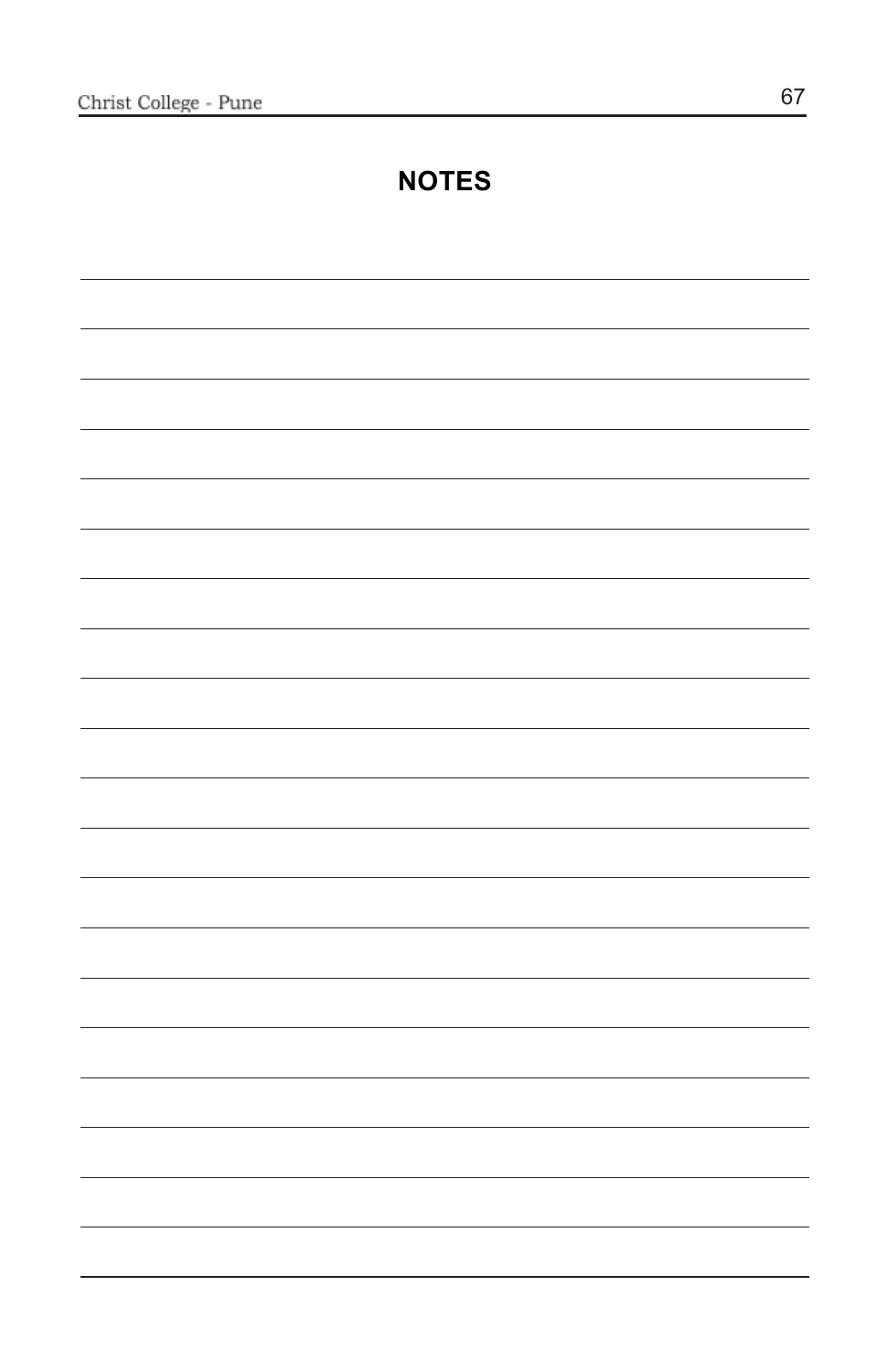# **NOTES**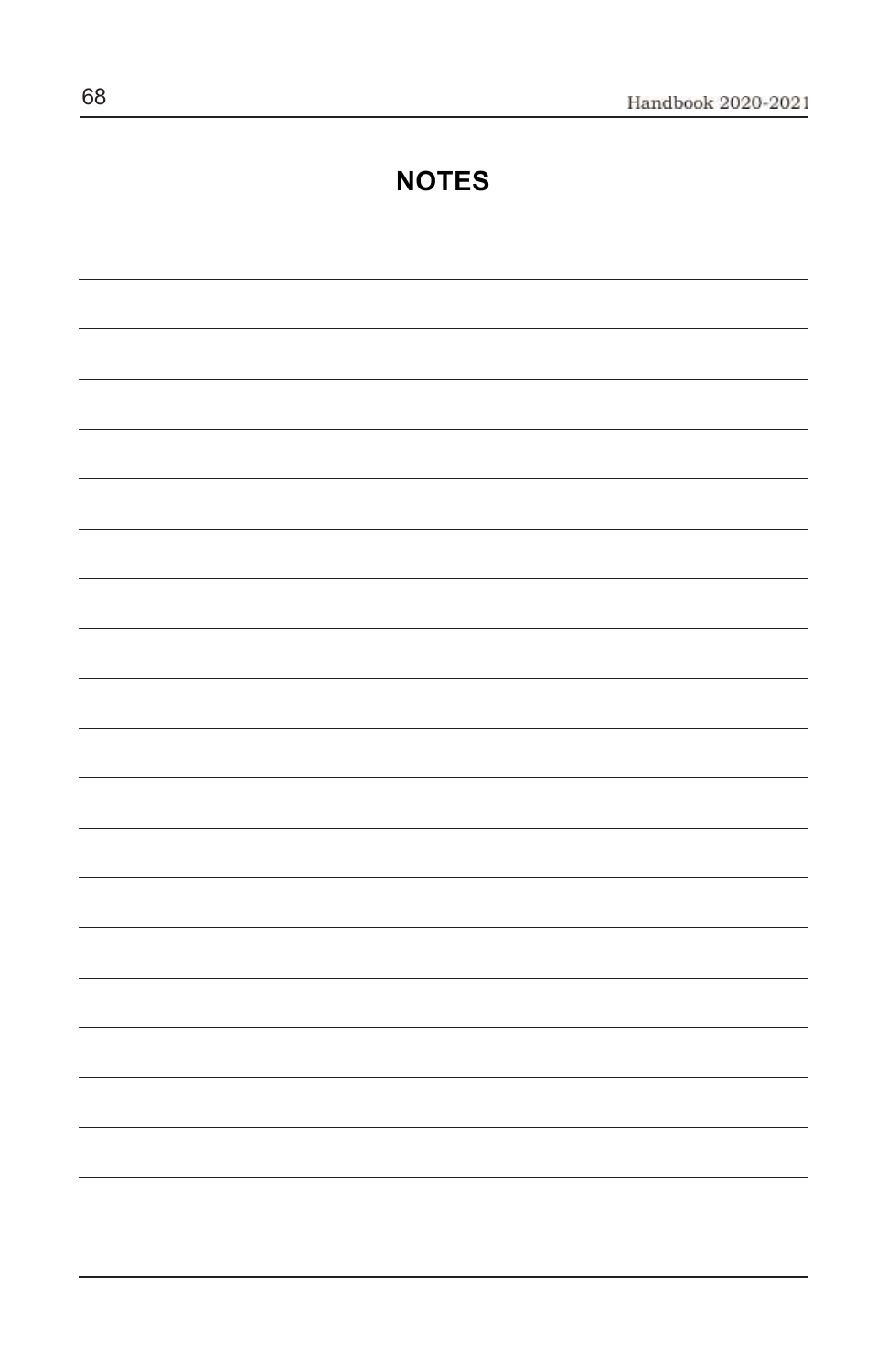## **NOTES**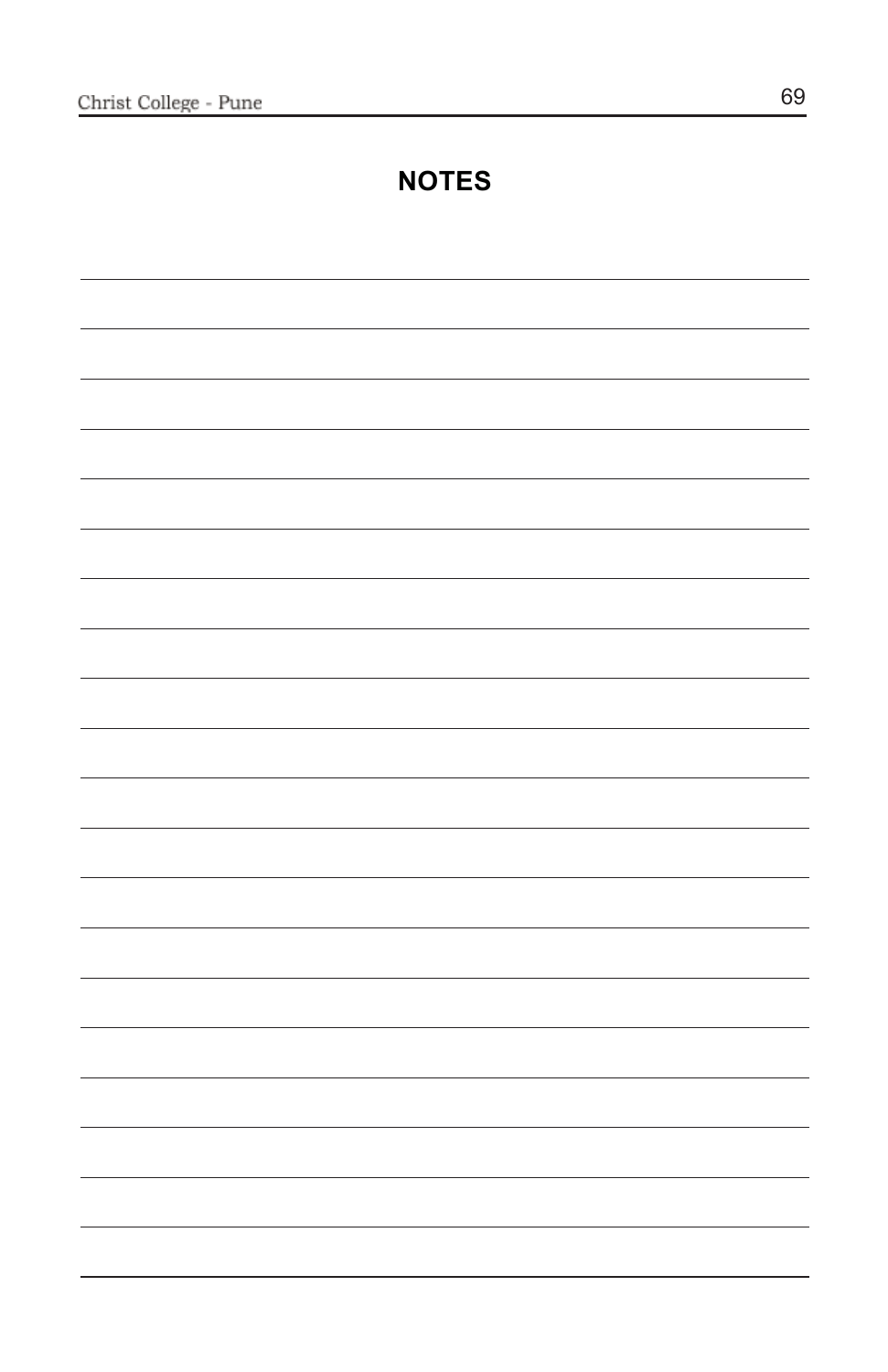# **NOTES**